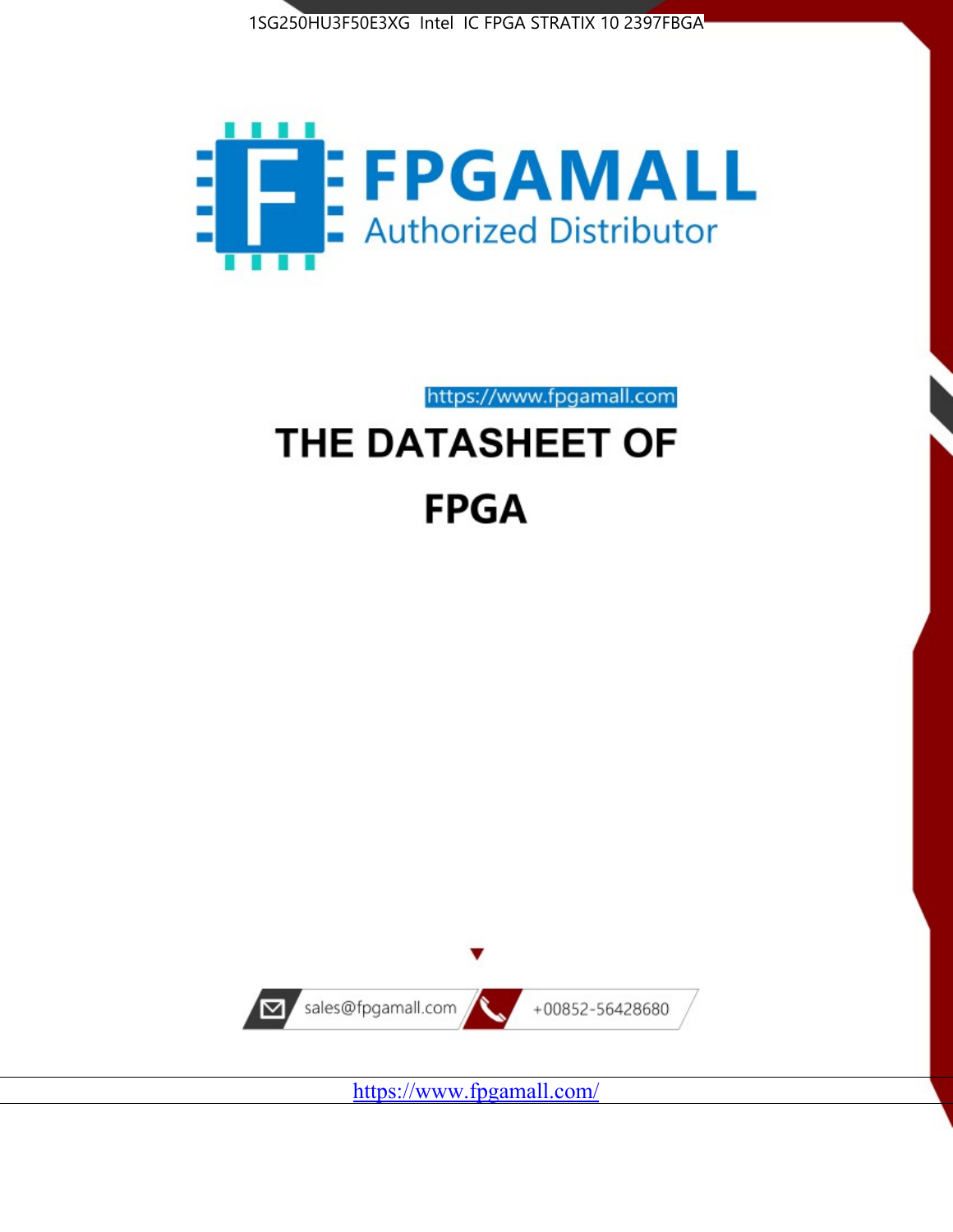



https://www.fpgamall.com

# THE DATASHEET OF **FPGA**



<https://www.fpgamall.com/>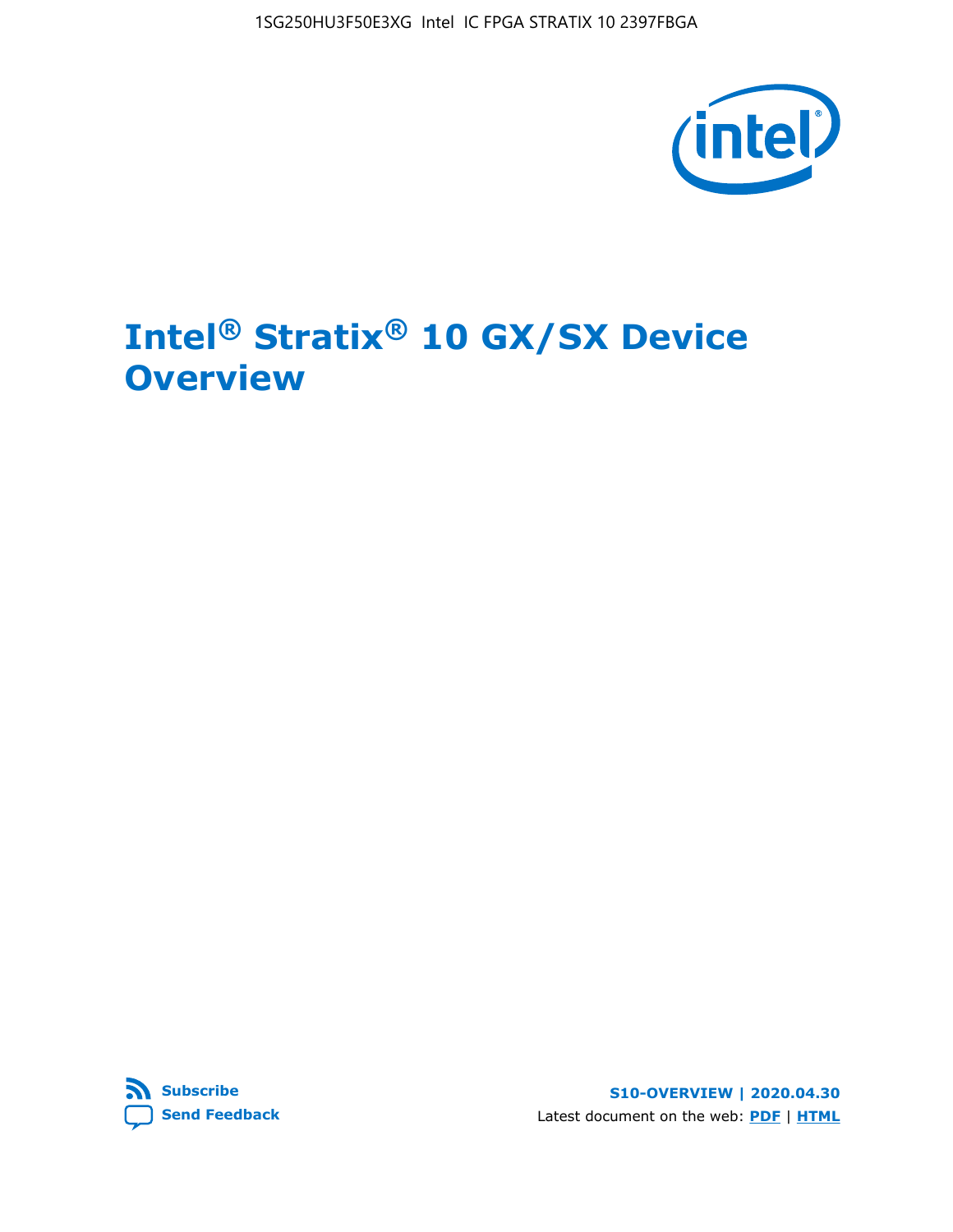

# **Intel® Stratix® 10 GX/SX Device Overview**



**S10-OVERVIEW | 2020.04.30** Latest document on the web: **[PDF](https://www.intel.com/content/dam/www/programmable/us/en/pdfs/literature/hb/stratix-10/s10-overview.pdf)** | **[HTML](https://www.intel.com/content/www/us/en/programmable/documentation/joc1442261161666.html)**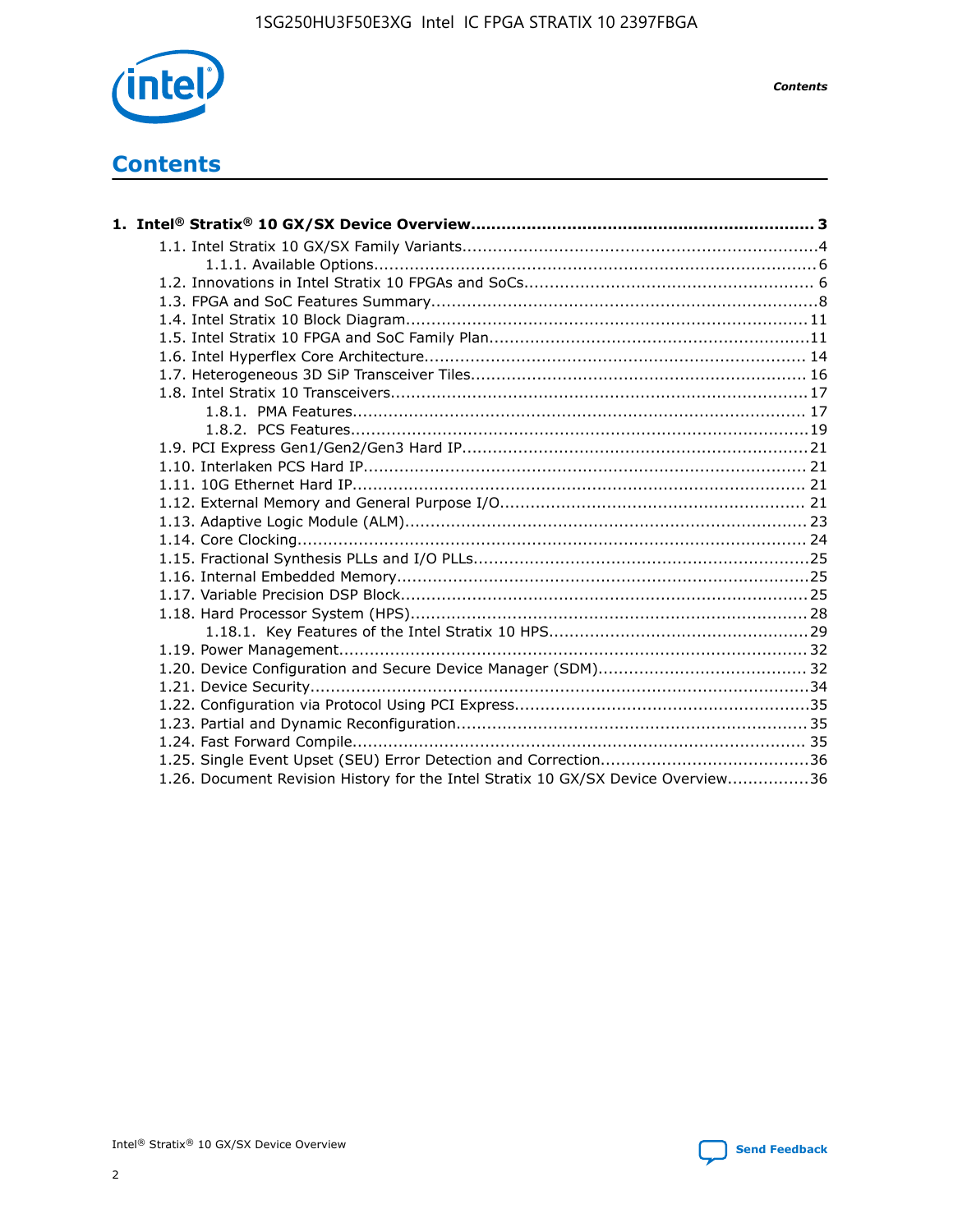

*Contents*

# **Contents**

| 1.26. Document Revision History for the Intel Stratix 10 GX/SX Device Overview36 |  |
|----------------------------------------------------------------------------------|--|

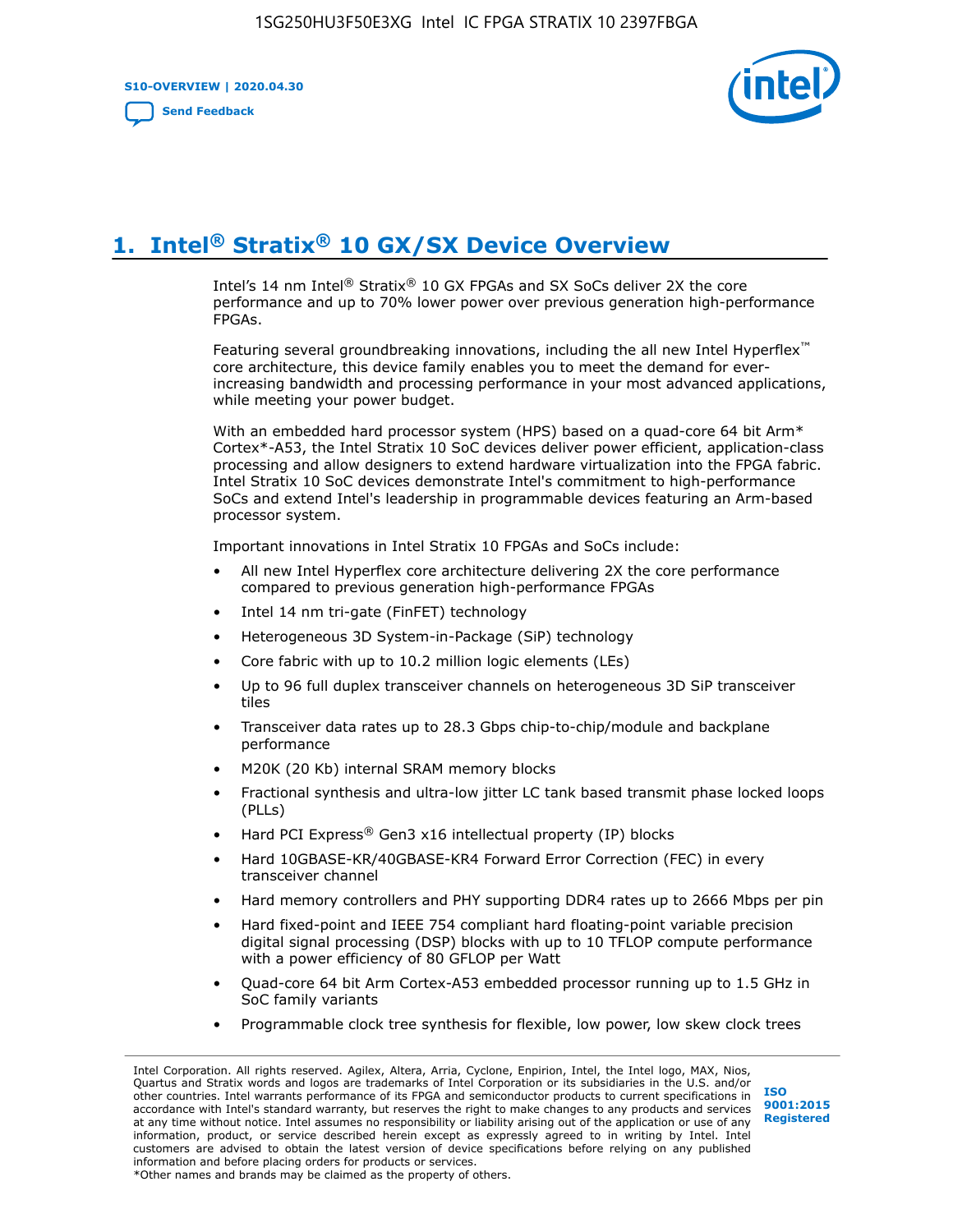**S10-OVERVIEW | 2020.04.30**

**[Send Feedback](mailto:FPGAtechdocfeedback@intel.com?subject=Feedback%20on%20Intel%20Stratix%2010%20GX/SX%20Device%20Overview%20(S10-OVERVIEW%202020.04.30)&body=We%20appreciate%20your%20feedback.%20In%20your%20comments,%20also%20specify%20the%20page%20number%20or%20paragraph.%20Thank%20you.)**



# **1. Intel® Stratix® 10 GX/SX Device Overview**

Intel's 14 nm Intel® Stratix® 10 GX FPGAs and SX SoCs deliver 2X the core performance and up to 70% lower power over previous generation high-performance FPGAs.

Featuring several groundbreaking innovations, including the all new Intel Hyperflex™ core architecture, this device family enables you to meet the demand for everincreasing bandwidth and processing performance in your most advanced applications, while meeting your power budget.

With an embedded hard processor system (HPS) based on a quad-core 64 bit Arm\* Cortex\*-A53, the Intel Stratix 10 SoC devices deliver power efficient, application-class processing and allow designers to extend hardware virtualization into the FPGA fabric. Intel Stratix 10 SoC devices demonstrate Intel's commitment to high-performance SoCs and extend Intel's leadership in programmable devices featuring an Arm-based processor system.

Important innovations in Intel Stratix 10 FPGAs and SoCs include:

- All new Intel Hyperflex core architecture delivering 2X the core performance compared to previous generation high-performance FPGAs
- Intel 14 nm tri-gate (FinFET) technology
- Heterogeneous 3D System-in-Package (SiP) technology
- Core fabric with up to 10.2 million logic elements (LEs)
- Up to 96 full duplex transceiver channels on heterogeneous 3D SiP transceiver tiles
- Transceiver data rates up to 28.3 Gbps chip-to-chip/module and backplane performance
- M20K (20 Kb) internal SRAM memory blocks
- Fractional synthesis and ultra-low jitter LC tank based transmit phase locked loops (PLLs)
- Hard PCI Express<sup>®</sup> Gen3 x16 intellectual property (IP) blocks
- Hard 10GBASE-KR/40GBASE-KR4 Forward Error Correction (FEC) in every transceiver channel
- Hard memory controllers and PHY supporting DDR4 rates up to 2666 Mbps per pin
- Hard fixed-point and IEEE 754 compliant hard floating-point variable precision digital signal processing (DSP) blocks with up to 10 TFLOP compute performance with a power efficiency of 80 GFLOP per Watt
- Quad-core 64 bit Arm Cortex-A53 embedded processor running up to 1.5 GHz in SoC family variants
- Programmable clock tree synthesis for flexible, low power, low skew clock trees

Intel Corporation. All rights reserved. Agilex, Altera, Arria, Cyclone, Enpirion, Intel, the Intel logo, MAX, Nios, Quartus and Stratix words and logos are trademarks of Intel Corporation or its subsidiaries in the U.S. and/or other countries. Intel warrants performance of its FPGA and semiconductor products to current specifications in accordance with Intel's standard warranty, but reserves the right to make changes to any products and services at any time without notice. Intel assumes no responsibility or liability arising out of the application or use of any information, product, or service described herein except as expressly agreed to in writing by Intel. Intel customers are advised to obtain the latest version of device specifications before relying on any published information and before placing orders for products or services. \*Other names and brands may be claimed as the property of others.

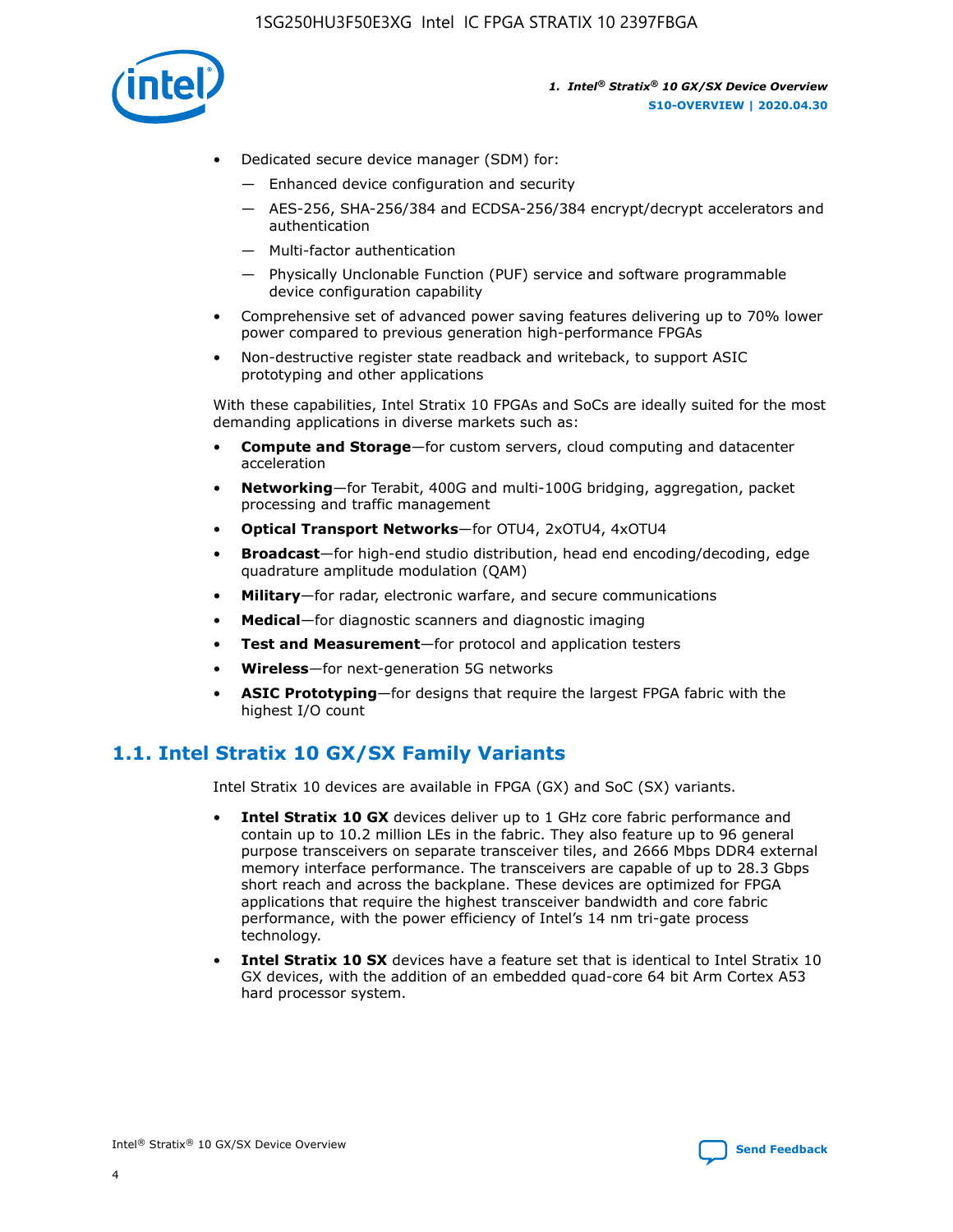

- Dedicated secure device manager (SDM) for:
	- Enhanced device configuration and security
	- AES-256, SHA-256/384 and ECDSA-256/384 encrypt/decrypt accelerators and authentication
	- Multi-factor authentication
	- Physically Unclonable Function (PUF) service and software programmable device configuration capability
- Comprehensive set of advanced power saving features delivering up to 70% lower power compared to previous generation high-performance FPGAs
- Non-destructive register state readback and writeback, to support ASIC prototyping and other applications

With these capabilities, Intel Stratix 10 FPGAs and SoCs are ideally suited for the most demanding applications in diverse markets such as:

- **Compute and Storage**—for custom servers, cloud computing and datacenter acceleration
- **Networking**—for Terabit, 400G and multi-100G bridging, aggregation, packet processing and traffic management
- **Optical Transport Networks**—for OTU4, 2xOTU4, 4xOTU4
- **Broadcast**—for high-end studio distribution, head end encoding/decoding, edge quadrature amplitude modulation (QAM)
- **Military**—for radar, electronic warfare, and secure communications
- **Medical**—for diagnostic scanners and diagnostic imaging
- **Test and Measurement**—for protocol and application testers
- **Wireless**—for next-generation 5G networks
- **ASIC Prototyping**—for designs that require the largest FPGA fabric with the highest I/O count

# **1.1. Intel Stratix 10 GX/SX Family Variants**

Intel Stratix 10 devices are available in FPGA (GX) and SoC (SX) variants.

- **Intel Stratix 10 GX** devices deliver up to 1 GHz core fabric performance and contain up to 10.2 million LEs in the fabric. They also feature up to 96 general purpose transceivers on separate transceiver tiles, and 2666 Mbps DDR4 external memory interface performance. The transceivers are capable of up to 28.3 Gbps short reach and across the backplane. These devices are optimized for FPGA applications that require the highest transceiver bandwidth and core fabric performance, with the power efficiency of Intel's 14 nm tri-gate process technology.
- **Intel Stratix 10 SX** devices have a feature set that is identical to Intel Stratix 10 GX devices, with the addition of an embedded quad-core 64 bit Arm Cortex A53 hard processor system.

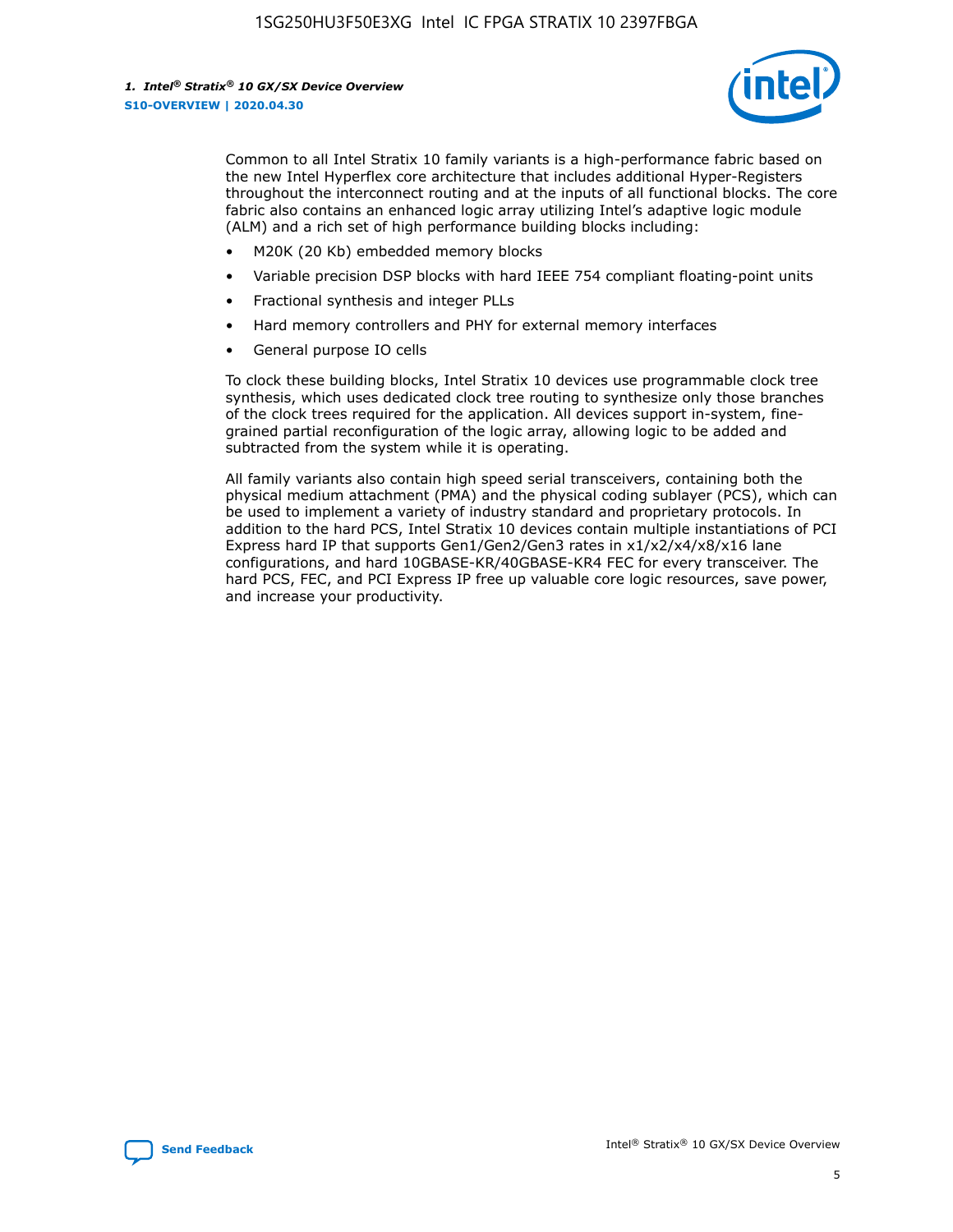

Common to all Intel Stratix 10 family variants is a high-performance fabric based on the new Intel Hyperflex core architecture that includes additional Hyper-Registers throughout the interconnect routing and at the inputs of all functional blocks. The core fabric also contains an enhanced logic array utilizing Intel's adaptive logic module (ALM) and a rich set of high performance building blocks including:

- M20K (20 Kb) embedded memory blocks
- Variable precision DSP blocks with hard IEEE 754 compliant floating-point units
- Fractional synthesis and integer PLLs
- Hard memory controllers and PHY for external memory interfaces
- General purpose IO cells

To clock these building blocks, Intel Stratix 10 devices use programmable clock tree synthesis, which uses dedicated clock tree routing to synthesize only those branches of the clock trees required for the application. All devices support in-system, finegrained partial reconfiguration of the logic array, allowing logic to be added and subtracted from the system while it is operating.

All family variants also contain high speed serial transceivers, containing both the physical medium attachment (PMA) and the physical coding sublayer (PCS), which can be used to implement a variety of industry standard and proprietary protocols. In addition to the hard PCS, Intel Stratix 10 devices contain multiple instantiations of PCI Express hard IP that supports Gen1/Gen2/Gen3 rates in x1/x2/x4/x8/x16 lane configurations, and hard 10GBASE-KR/40GBASE-KR4 FEC for every transceiver. The hard PCS, FEC, and PCI Express IP free up valuable core logic resources, save power, and increase your productivity.

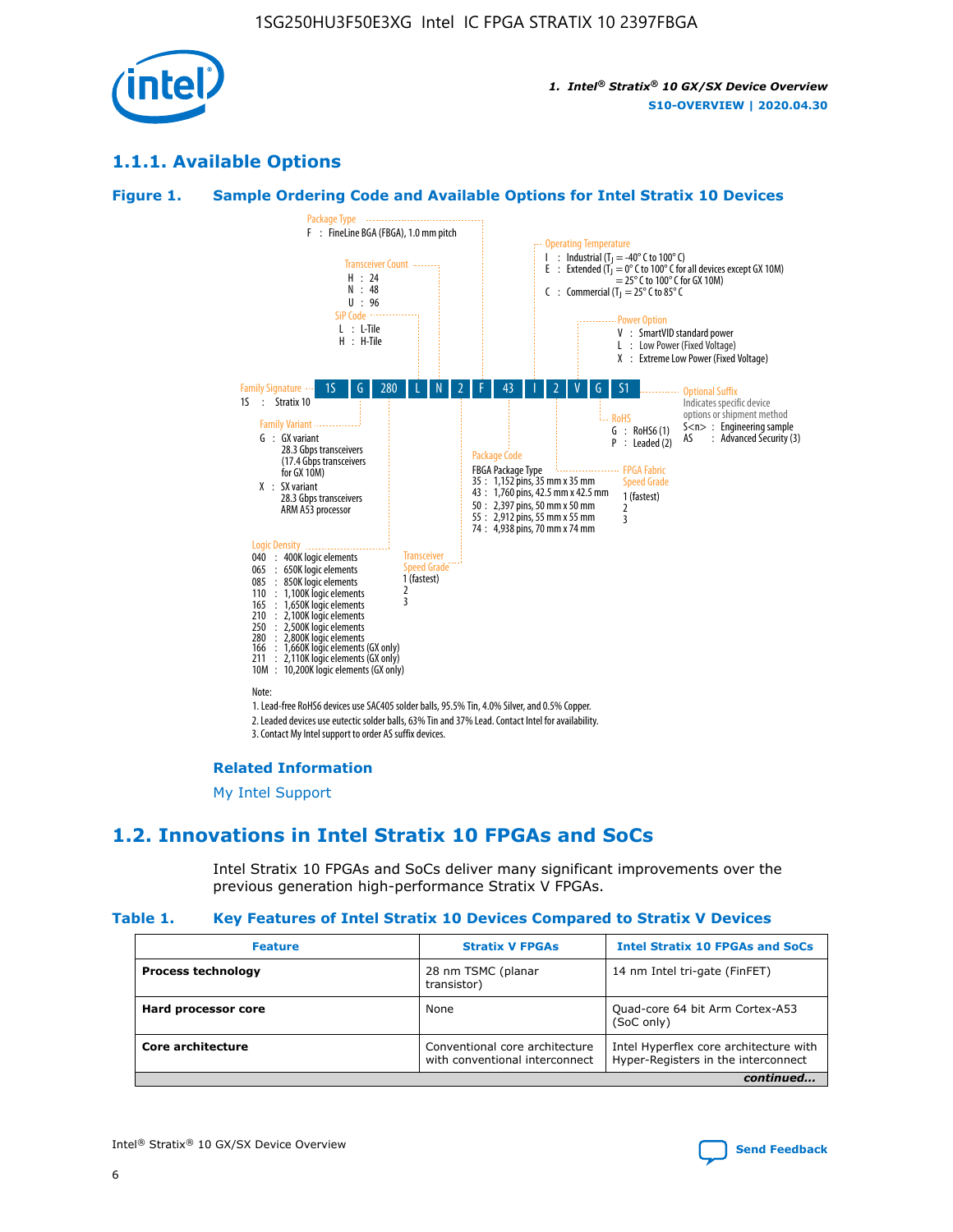

# **1.1.1. Available Options**

#### **Figure 1. Sample Ordering Code and Available Options for Intel Stratix 10 Devices**



# **Related Information**

[My Intel Support](https://www.intel.com/content/www/us/en/programmable/my-intel/mal-home.html)

# **1.2. Innovations in Intel Stratix 10 FPGAs and SoCs**

Intel Stratix 10 FPGAs and SoCs deliver many significant improvements over the previous generation high-performance Stratix V FPGAs.

#### **Table 1. Key Features of Intel Stratix 10 Devices Compared to Stratix V Devices**

| <b>Feature</b>            | <b>Stratix V FPGAs</b>                                           | <b>Intel Stratix 10 FPGAs and SoCs</b>                                        |  |
|---------------------------|------------------------------------------------------------------|-------------------------------------------------------------------------------|--|
| <b>Process technology</b> | 28 nm TSMC (planar<br>transistor)                                | 14 nm Intel tri-gate (FinFET)                                                 |  |
| Hard processor core       | None                                                             | Quad-core 64 bit Arm Cortex-A53<br>(SoC only)                                 |  |
| Core architecture         | Conventional core architecture<br>with conventional interconnect | Intel Hyperflex core architecture with<br>Hyper-Registers in the interconnect |  |
|                           |                                                                  | continued                                                                     |  |

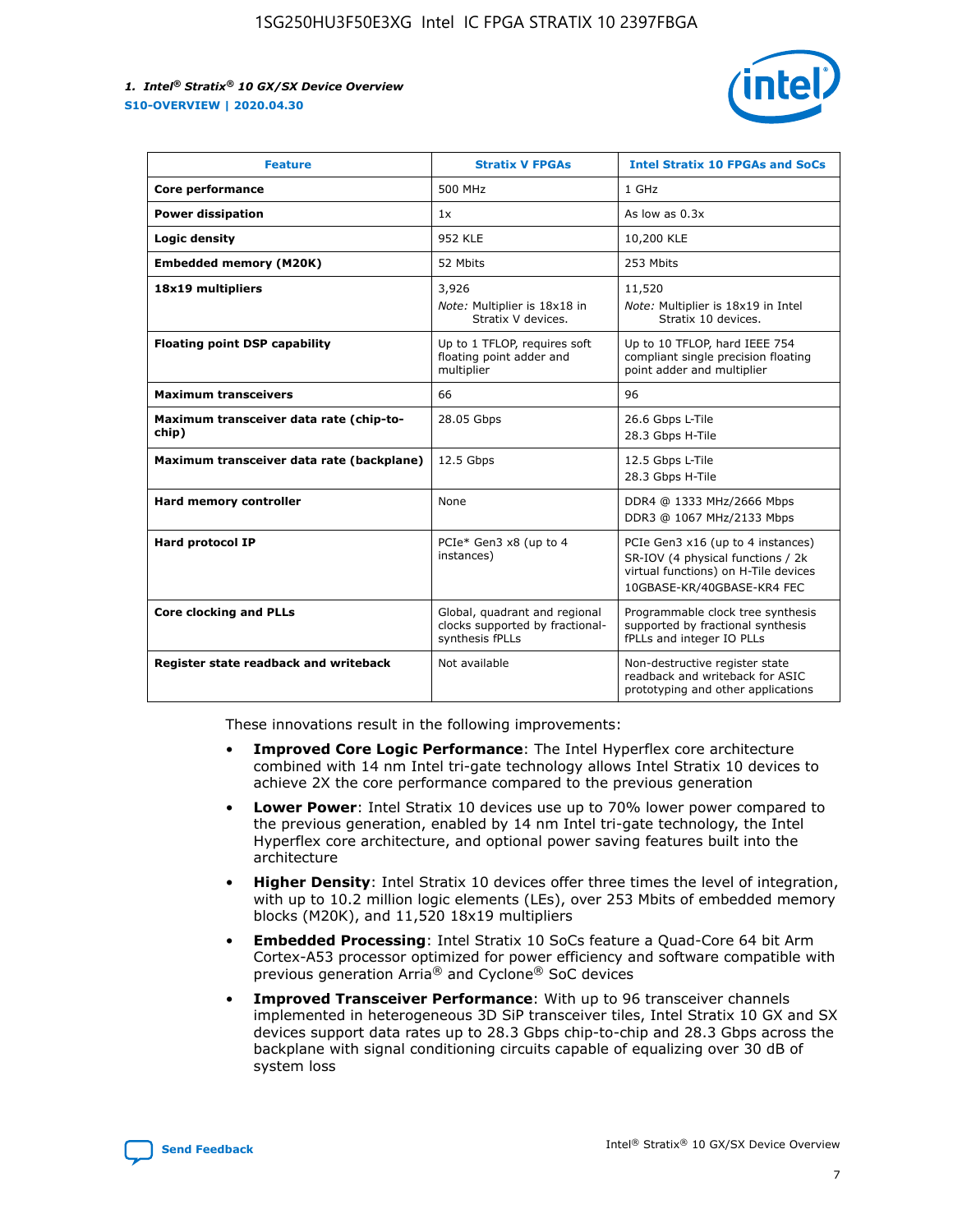

| <b>Feature</b>                                   | <b>Stratix V FPGAs</b>                                                              | <b>Intel Stratix 10 FPGAs and SoCs</b>                                                                                                       |
|--------------------------------------------------|-------------------------------------------------------------------------------------|----------------------------------------------------------------------------------------------------------------------------------------------|
| <b>Core performance</b>                          | 500 MHz                                                                             | 1 GHz                                                                                                                                        |
| <b>Power dissipation</b>                         | 1x                                                                                  | As low as $0.3x$                                                                                                                             |
| Logic density                                    | <b>952 KLE</b>                                                                      | 10,200 KLE                                                                                                                                   |
| <b>Embedded memory (M20K)</b>                    | 52 Mbits                                                                            | 253 Mbits                                                                                                                                    |
| 18x19 multipliers                                | 3,926                                                                               | 11,520                                                                                                                                       |
|                                                  | Note: Multiplier is 18x18 in<br>Stratix V devices.                                  | Note: Multiplier is 18x19 in Intel<br>Stratix 10 devices.                                                                                    |
| <b>Floating point DSP capability</b>             | Up to 1 TFLOP, requires soft<br>floating point adder and<br>multiplier              | Up to 10 TFLOP, hard IEEE 754<br>compliant single precision floating<br>point adder and multiplier                                           |
| <b>Maximum transceivers</b>                      | 66                                                                                  | 96                                                                                                                                           |
| Maximum transceiver data rate (chip-to-<br>chip) | 28.05 Gbps                                                                          | 26.6 Gbps L-Tile<br>28.3 Gbps H-Tile                                                                                                         |
| Maximum transceiver data rate (backplane)        | 12.5 Gbps                                                                           | 12.5 Gbps L-Tile<br>28.3 Gbps H-Tile                                                                                                         |
| <b>Hard memory controller</b>                    | None                                                                                | DDR4 @ 1333 MHz/2666 Mbps<br>DDR3 @ 1067 MHz/2133 Mbps                                                                                       |
| <b>Hard protocol IP</b>                          | PCIe* Gen3 x8 (up to 4<br>instances)                                                | PCIe Gen3 x16 (up to 4 instances)<br>SR-IOV (4 physical functions / 2k<br>virtual functions) on H-Tile devices<br>10GBASE-KR/40GBASE-KR4 FEC |
| <b>Core clocking and PLLs</b>                    | Global, quadrant and regional<br>clocks supported by fractional-<br>synthesis fPLLs | Programmable clock tree synthesis<br>supported by fractional synthesis<br>fPLLs and integer IO PLLs                                          |
| Register state readback and writeback            | Not available                                                                       | Non-destructive register state<br>readback and writeback for ASIC<br>prototyping and other applications                                      |

These innovations result in the following improvements:

- **Improved Core Logic Performance**: The Intel Hyperflex core architecture combined with 14 nm Intel tri-gate technology allows Intel Stratix 10 devices to achieve 2X the core performance compared to the previous generation
- **Lower Power**: Intel Stratix 10 devices use up to 70% lower power compared to the previous generation, enabled by 14 nm Intel tri-gate technology, the Intel Hyperflex core architecture, and optional power saving features built into the architecture
- **Higher Density**: Intel Stratix 10 devices offer three times the level of integration, with up to 10.2 million logic elements (LEs), over 253 Mbits of embedded memory blocks (M20K), and 11,520 18x19 multipliers
- **Embedded Processing**: Intel Stratix 10 SoCs feature a Quad-Core 64 bit Arm Cortex-A53 processor optimized for power efficiency and software compatible with previous generation Arria® and Cyclone® SoC devices
- **Improved Transceiver Performance**: With up to 96 transceiver channels implemented in heterogeneous 3D SiP transceiver tiles, Intel Stratix 10 GX and SX devices support data rates up to 28.3 Gbps chip-to-chip and 28.3 Gbps across the backplane with signal conditioning circuits capable of equalizing over 30 dB of system loss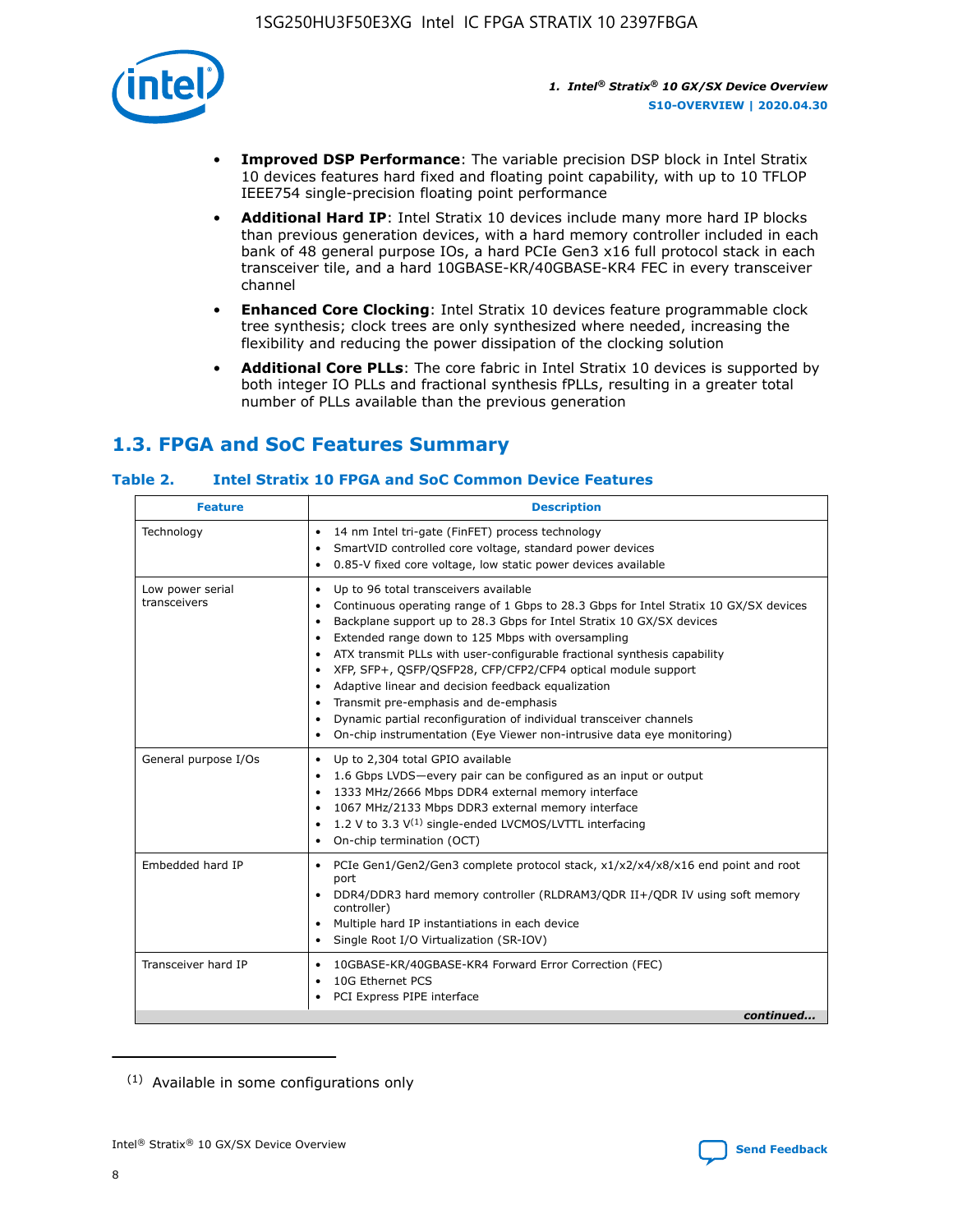

- **Improved DSP Performance**: The variable precision DSP block in Intel Stratix 10 devices features hard fixed and floating point capability, with up to 10 TFLOP IEEE754 single-precision floating point performance
- **Additional Hard IP**: Intel Stratix 10 devices include many more hard IP blocks than previous generation devices, with a hard memory controller included in each bank of 48 general purpose IOs, a hard PCIe Gen3 x16 full protocol stack in each transceiver tile, and a hard 10GBASE-KR/40GBASE-KR4 FEC in every transceiver channel
- **Enhanced Core Clocking**: Intel Stratix 10 devices feature programmable clock tree synthesis; clock trees are only synthesized where needed, increasing the flexibility and reducing the power dissipation of the clocking solution
- **Additional Core PLLs**: The core fabric in Intel Stratix 10 devices is supported by both integer IO PLLs and fractional synthesis fPLLs, resulting in a greater total number of PLLs available than the previous generation

# **1.3. FPGA and SoC Features Summary**

#### **Table 2. Intel Stratix 10 FPGA and SoC Common Device Features**

| Technology<br>14 nm Intel tri-gate (FinFET) process technology<br>$\bullet$<br>SmartVID controlled core voltage, standard power devices<br>٠<br>0.85-V fixed core voltage, low static power devices available<br>٠<br>Up to 96 total transceivers available<br>Low power serial<br>٠<br>transceivers<br>Backplane support up to 28.3 Gbps for Intel Stratix 10 GX/SX devices<br>$\bullet$<br>Extended range down to 125 Mbps with oversampling<br>$\bullet$<br>• ATX transmit PLLs with user-configurable fractional synthesis capability<br>• XFP, SFP+, QSFP/QSFP28, CFP/CFP2/CFP4 optical module support<br>• Adaptive linear and decision feedback equalization<br>Transmit pre-emphasis and de-emphasis<br>Dynamic partial reconfiguration of individual transceiver channels<br>٠<br>On-chip instrumentation (Eye Viewer non-intrusive data eye monitoring)<br>$\bullet$<br>General purpose I/Os<br>Up to 2,304 total GPIO available<br>$\bullet$<br>1.6 Gbps LVDS-every pair can be configured as an input or output<br>$\bullet$<br>1333 MHz/2666 Mbps DDR4 external memory interface<br>1067 MHz/2133 Mbps DDR3 external memory interface<br>$\bullet$ 1.2 V to 3.3 V <sup>(1)</sup> single-ended LVCMOS/LVTTL interfacing | <b>Feature</b> | <b>Description</b>                                                                                                                                              |
|-------------------------------------------------------------------------------------------------------------------------------------------------------------------------------------------------------------------------------------------------------------------------------------------------------------------------------------------------------------------------------------------------------------------------------------------------------------------------------------------------------------------------------------------------------------------------------------------------------------------------------------------------------------------------------------------------------------------------------------------------------------------------------------------------------------------------------------------------------------------------------------------------------------------------------------------------------------------------------------------------------------------------------------------------------------------------------------------------------------------------------------------------------------------------------------------------------------------------------------|----------------|-----------------------------------------------------------------------------------------------------------------------------------------------------------------|
|                                                                                                                                                                                                                                                                                                                                                                                                                                                                                                                                                                                                                                                                                                                                                                                                                                                                                                                                                                                                                                                                                                                                                                                                                                     |                |                                                                                                                                                                 |
|                                                                                                                                                                                                                                                                                                                                                                                                                                                                                                                                                                                                                                                                                                                                                                                                                                                                                                                                                                                                                                                                                                                                                                                                                                     |                | Continuous operating range of 1 Gbps to 28.3 Gbps for Intel Stratix 10 GX/SX devices                                                                            |
|                                                                                                                                                                                                                                                                                                                                                                                                                                                                                                                                                                                                                                                                                                                                                                                                                                                                                                                                                                                                                                                                                                                                                                                                                                     |                | • On-chip termination (OCT)                                                                                                                                     |
| Embedded hard IP<br>port<br>controller)<br>• Multiple hard IP instantiations in each device<br>• Single Root I/O Virtualization (SR-IOV)                                                                                                                                                                                                                                                                                                                                                                                                                                                                                                                                                                                                                                                                                                                                                                                                                                                                                                                                                                                                                                                                                            |                | • PCIe Gen1/Gen2/Gen3 complete protocol stack, x1/x2/x4/x8/x16 end point and root<br>DDR4/DDR3 hard memory controller (RLDRAM3/QDR II+/QDR IV using soft memory |
| Transceiver hard IP<br>10GBASE-KR/40GBASE-KR4 Forward Error Correction (FEC)<br>$\bullet$<br>10G Ethernet PCS<br>٠<br>PCI Express PIPE interface<br>٠                                                                                                                                                                                                                                                                                                                                                                                                                                                                                                                                                                                                                                                                                                                                                                                                                                                                                                                                                                                                                                                                               |                | continued                                                                                                                                                       |

<sup>(1)</sup> Available in some configurations only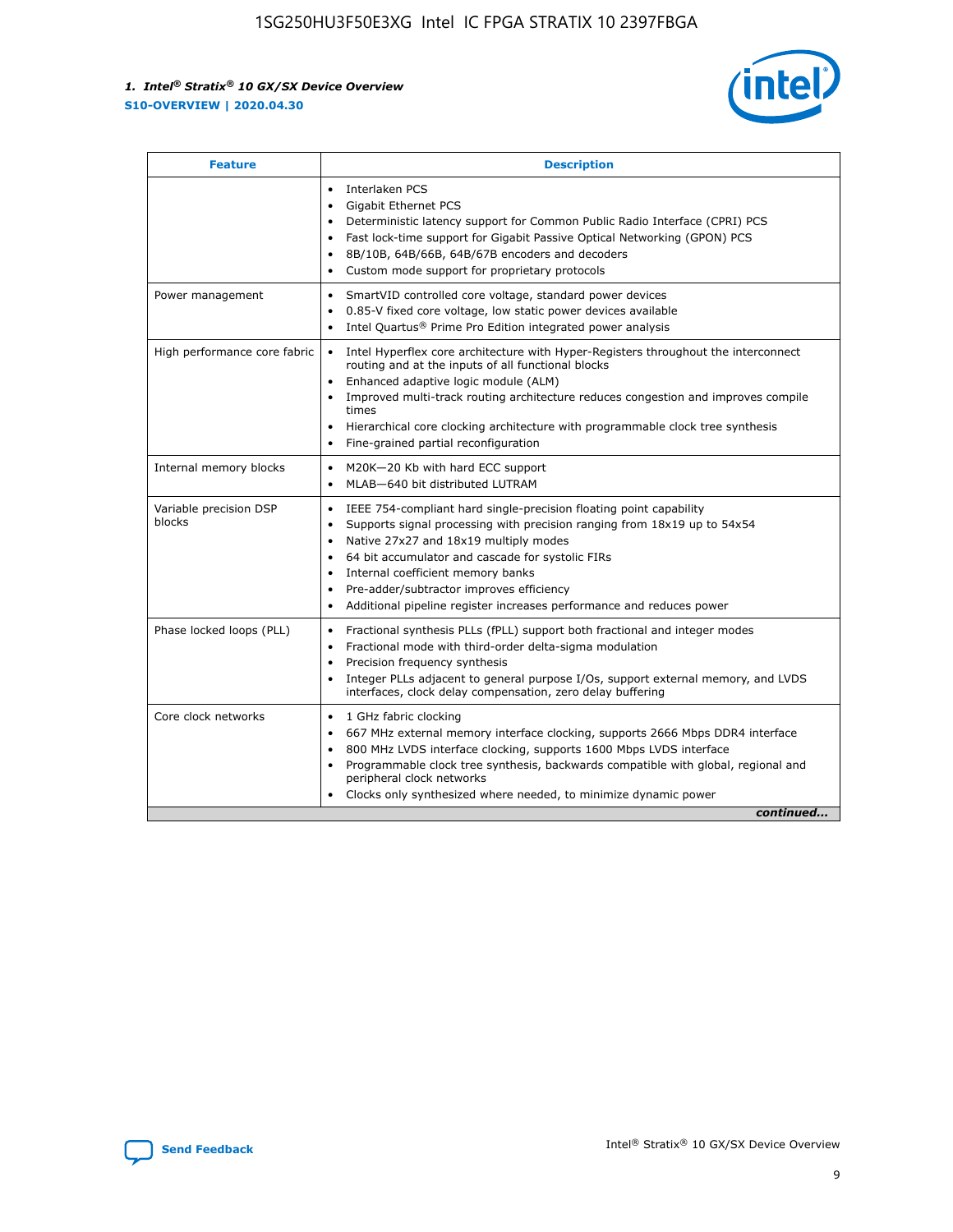

| <b>Feature</b>                   | <b>Description</b>                                                                                                                                                                                                                                                                                                                                                                                                                                                    |  |  |  |
|----------------------------------|-----------------------------------------------------------------------------------------------------------------------------------------------------------------------------------------------------------------------------------------------------------------------------------------------------------------------------------------------------------------------------------------------------------------------------------------------------------------------|--|--|--|
|                                  | Interlaken PCS<br>$\bullet$<br>Gigabit Ethernet PCS<br>$\bullet$<br>Deterministic latency support for Common Public Radio Interface (CPRI) PCS<br>$\bullet$<br>Fast lock-time support for Gigabit Passive Optical Networking (GPON) PCS<br>$\bullet$<br>8B/10B, 64B/66B, 64B/67B encoders and decoders<br>Custom mode support for proprietary protocols                                                                                                               |  |  |  |
| Power management                 | SmartVID controlled core voltage, standard power devices<br>$\bullet$<br>0.85-V fixed core voltage, low static power devices available<br>$\bullet$<br>Intel Quartus <sup>®</sup> Prime Pro Edition integrated power analysis<br>$\bullet$                                                                                                                                                                                                                            |  |  |  |
| High performance core fabric     | Intel Hyperflex core architecture with Hyper-Registers throughout the interconnect<br>routing and at the inputs of all functional blocks<br>Enhanced adaptive logic module (ALM)<br>$\bullet$<br>Improved multi-track routing architecture reduces congestion and improves compile<br>times<br>Hierarchical core clocking architecture with programmable clock tree synthesis<br>$\bullet$<br>Fine-grained partial reconfiguration                                    |  |  |  |
| Internal memory blocks           | M20K-20 Kb with hard ECC support<br>$\bullet$<br>MLAB-640 bit distributed LUTRAM<br>$\bullet$                                                                                                                                                                                                                                                                                                                                                                         |  |  |  |
| Variable precision DSP<br>blocks | IEEE 754-compliant hard single-precision floating point capability<br>$\bullet$<br>Supports signal processing with precision ranging from 18x19 up to 54x54<br>$\bullet$<br>Native 27x27 and 18x19 multiply modes<br>$\bullet$<br>64 bit accumulator and cascade for systolic FIRs<br>Internal coefficient memory banks<br>Pre-adder/subtractor improves efficiency<br>$\bullet$<br>Additional pipeline register increases performance and reduces power<br>$\bullet$ |  |  |  |
| Phase locked loops (PLL)         | Fractional synthesis PLLs (fPLL) support both fractional and integer modes<br>$\bullet$<br>Fractional mode with third-order delta-sigma modulation<br>Precision frequency synthesis<br>$\bullet$<br>Integer PLLs adjacent to general purpose I/Os, support external memory, and LVDS<br>$\bullet$<br>interfaces, clock delay compensation, zero delay buffering                                                                                                       |  |  |  |
| Core clock networks              | 1 GHz fabric clocking<br>$\bullet$<br>667 MHz external memory interface clocking, supports 2666 Mbps DDR4 interface<br>٠<br>800 MHz LVDS interface clocking, supports 1600 Mbps LVDS interface<br>$\bullet$<br>Programmable clock tree synthesis, backwards compatible with global, regional and<br>$\bullet$<br>peripheral clock networks<br>Clocks only synthesized where needed, to minimize dynamic power<br>continued                                            |  |  |  |

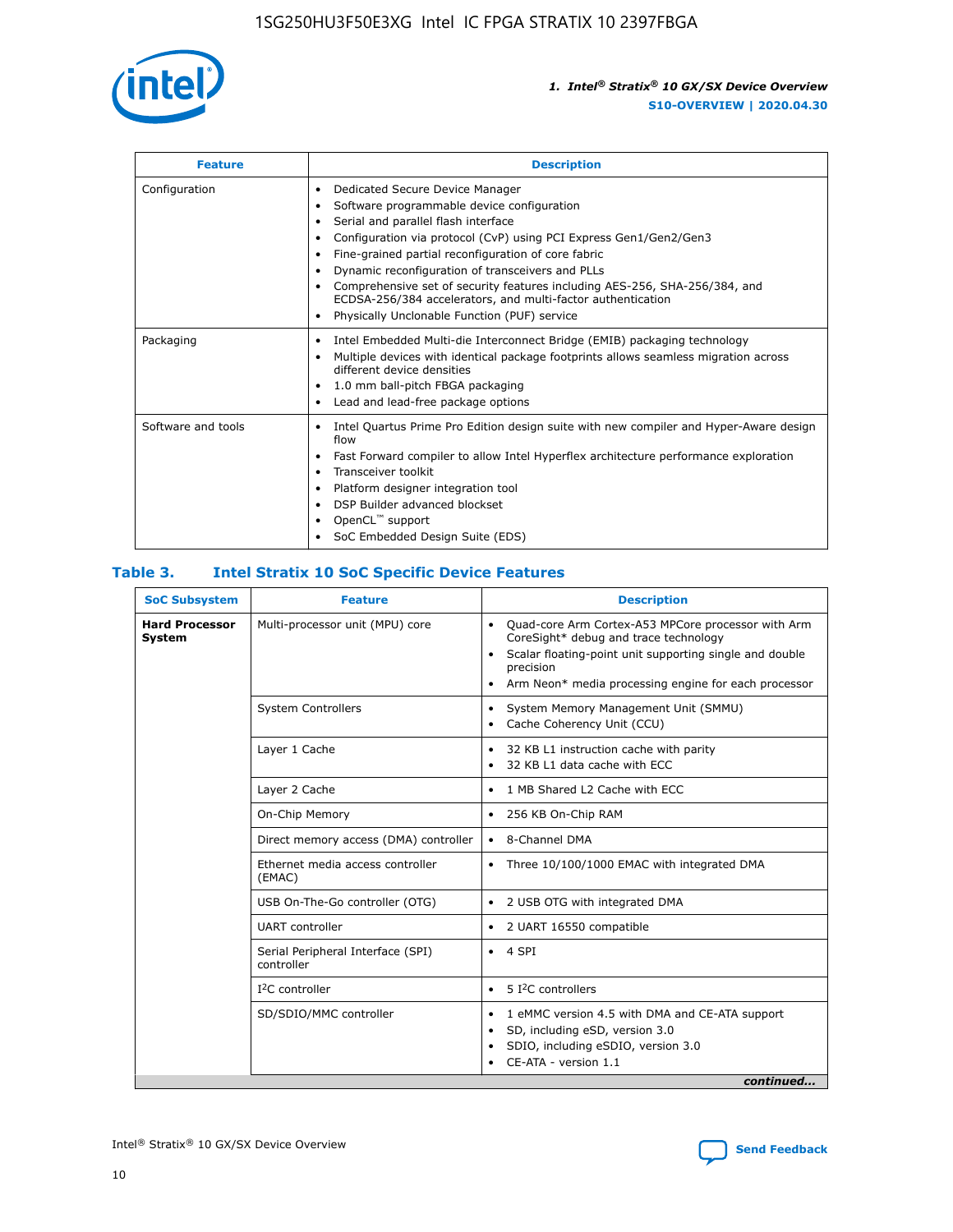

| <b>Feature</b>     | <b>Description</b>                                                                                                                                                                                                                                                                                                                                                                                                                                                                                                    |
|--------------------|-----------------------------------------------------------------------------------------------------------------------------------------------------------------------------------------------------------------------------------------------------------------------------------------------------------------------------------------------------------------------------------------------------------------------------------------------------------------------------------------------------------------------|
| Configuration      | Dedicated Secure Device Manager<br>٠<br>Software programmable device configuration<br>٠<br>Serial and parallel flash interface<br>٠<br>Configuration via protocol (CvP) using PCI Express Gen1/Gen2/Gen3<br>Fine-grained partial reconfiguration of core fabric<br>Dynamic reconfiguration of transceivers and PLLs<br>٠<br>Comprehensive set of security features including AES-256, SHA-256/384, and<br>ECDSA-256/384 accelerators, and multi-factor authentication<br>Physically Unclonable Function (PUF) service |
| Packaging          | Intel Embedded Multi-die Interconnect Bridge (EMIB) packaging technology<br>٠<br>Multiple devices with identical package footprints allows seamless migration across<br>٠<br>different device densities<br>1.0 mm ball-pitch FBGA packaging<br>٠<br>Lead and lead-free package options                                                                                                                                                                                                                                |
| Software and tools | Intel Quartus Prime Pro Edition design suite with new compiler and Hyper-Aware design<br>flow<br>Fast Forward compiler to allow Intel Hyperflex architecture performance exploration<br>٠<br>Transceiver toolkit<br>Platform designer integration tool<br>DSP Builder advanced blockset<br>OpenCL <sup>™</sup> support<br>SoC Embedded Design Suite (EDS)                                                                                                                                                             |

#### **Table 3. Intel Stratix 10 SoC Specific Device Features**

| <b>SoC Subsystem</b>                   | <b>Feature</b>                                  | <b>Description</b>                                                                                                                                                                                                                                                 |
|----------------------------------------|-------------------------------------------------|--------------------------------------------------------------------------------------------------------------------------------------------------------------------------------------------------------------------------------------------------------------------|
| <b>Hard Processor</b><br><b>System</b> | Multi-processor unit (MPU) core                 | Quad-core Arm Cortex-A53 MPCore processor with Arm<br>$\bullet$<br>CoreSight* debug and trace technology<br>Scalar floating-point unit supporting single and double<br>$\bullet$<br>precision<br>Arm Neon* media processing engine for each processor<br>$\bullet$ |
|                                        | <b>System Controllers</b>                       | System Memory Management Unit (SMMU)<br>$\bullet$<br>Cache Coherency Unit (CCU)<br>$\bullet$                                                                                                                                                                       |
|                                        | Layer 1 Cache                                   | 32 KB L1 instruction cache with parity<br>٠<br>32 KB L1 data cache with ECC<br>$\bullet$                                                                                                                                                                           |
|                                        | Layer 2 Cache                                   | 1 MB Shared L2 Cache with ECC<br>$\bullet$                                                                                                                                                                                                                         |
|                                        | On-Chip Memory                                  | 256 KB On-Chip RAM<br>$\bullet$                                                                                                                                                                                                                                    |
|                                        | Direct memory access (DMA) controller           | • 8-Channel DMA                                                                                                                                                                                                                                                    |
|                                        | Ethernet media access controller<br>(EMAC)      | Three 10/100/1000 EMAC with integrated DMA<br>$\bullet$                                                                                                                                                                                                            |
|                                        | USB On-The-Go controller (OTG)                  | 2 USB OTG with integrated DMA<br>$\bullet$                                                                                                                                                                                                                         |
|                                        | <b>UART</b> controller                          | 2 UART 16550 compatible<br>$\bullet$                                                                                                                                                                                                                               |
|                                        | Serial Peripheral Interface (SPI)<br>controller | $\bullet$ 4 SPI                                                                                                                                                                                                                                                    |
|                                        | $I2C$ controller                                | 5 <sup>2</sup> C controllers<br>$\bullet$                                                                                                                                                                                                                          |
|                                        | SD/SDIO/MMC controller                          | 1 eMMC version 4.5 with DMA and CE-ATA support<br>$\bullet$<br>SD, including eSD, version 3.0<br>٠<br>SDIO, including eSDIO, version 3.0<br>CE-ATA - version 1.1<br>continued                                                                                      |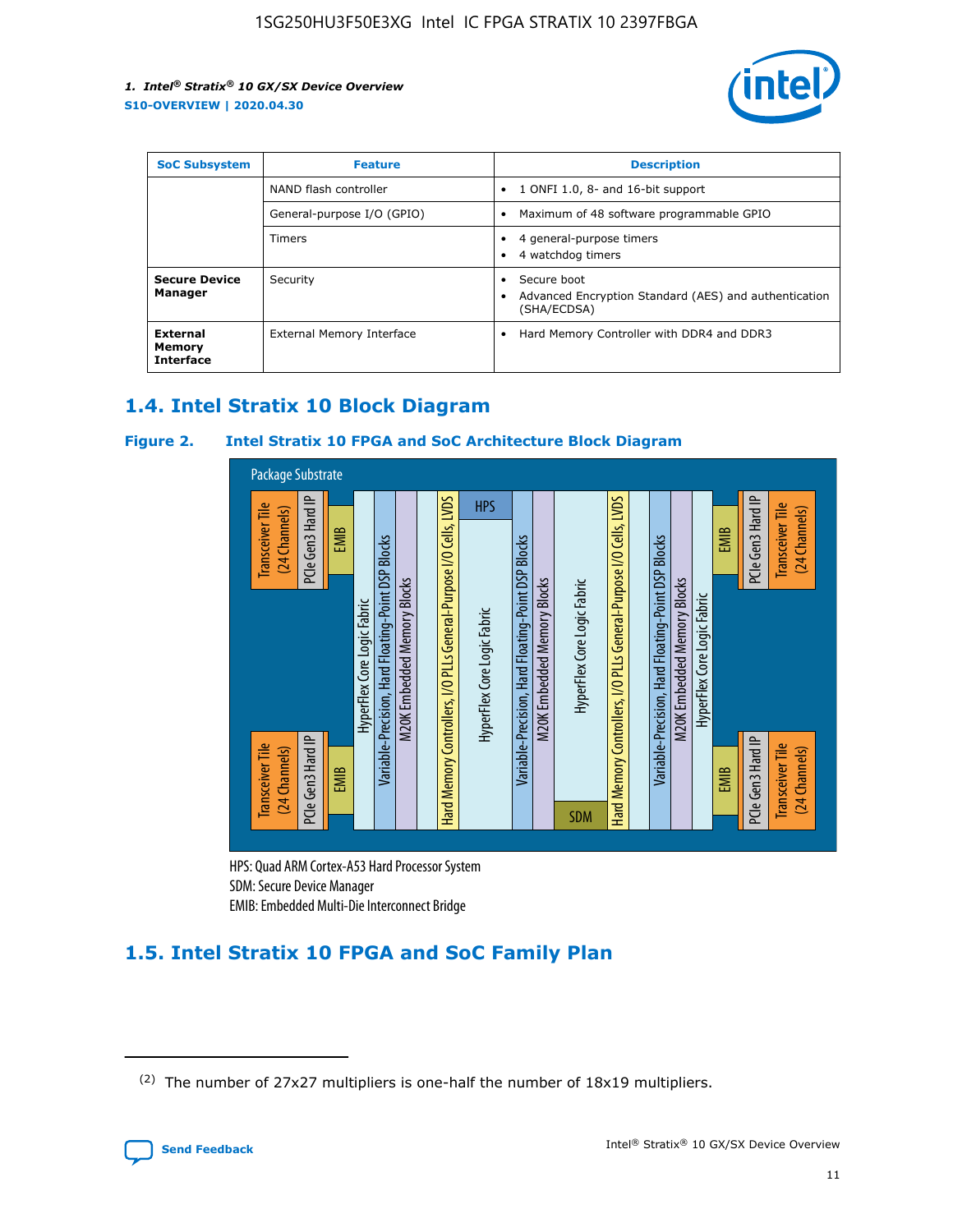

| <b>SoC Subsystem</b>                   | <b>Feature</b>             | <b>Description</b>                                                                                    |  |  |
|----------------------------------------|----------------------------|-------------------------------------------------------------------------------------------------------|--|--|
|                                        | NAND flash controller      | 1 ONFI 1.0, 8- and 16-bit support<br>$\bullet$                                                        |  |  |
|                                        | General-purpose I/O (GPIO) | Maximum of 48 software programmable GPIO<br>$\bullet$                                                 |  |  |
|                                        | Timers                     | 4 general-purpose timers<br>4 watchdog timers<br>٠                                                    |  |  |
| <b>Secure Device</b><br>Manager        | Security                   | Secure boot<br>$\bullet$<br>Advanced Encryption Standard (AES) and authentication<br>٠<br>(SHA/ECDSA) |  |  |
| External<br>Memory<br><b>Interface</b> | External Memory Interface  | Hard Memory Controller with DDR4 and DDR3<br>$\bullet$                                                |  |  |

# **1.4. Intel Stratix 10 Block Diagram**

#### **Figure 2. Intel Stratix 10 FPGA and SoC Architecture Block Diagram**



HPS: Quad ARM Cortex-A53 Hard Processor System SDM: Secure Device Manager

# **1.5. Intel Stratix 10 FPGA and SoC Family Plan**

<sup>(2)</sup> The number of 27x27 multipliers is one-half the number of 18x19 multipliers.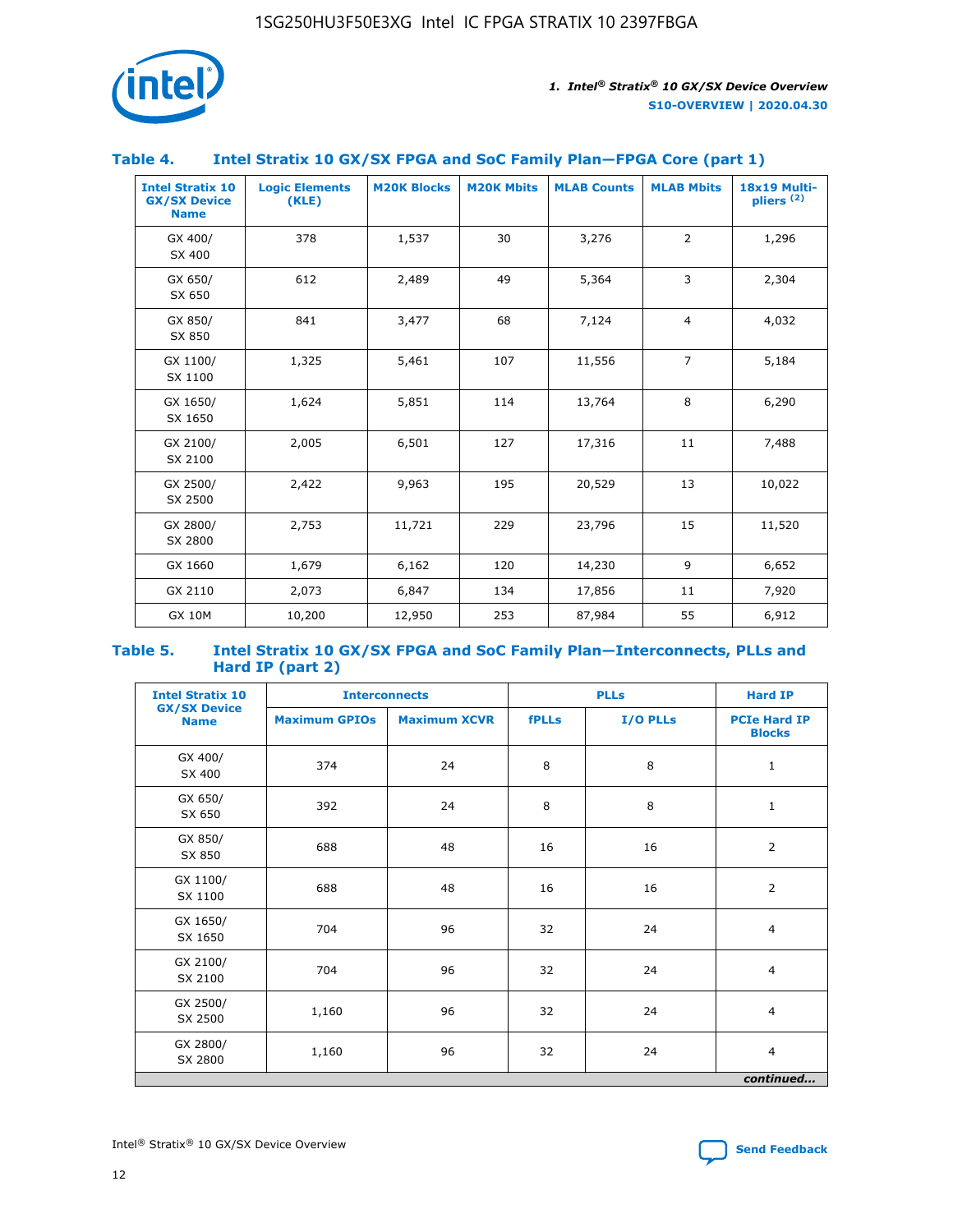

#### **Table 4. Intel Stratix 10 GX/SX FPGA and SoC Family Plan—FPGA Core (part 1)**

| <b>Intel Stratix 10</b><br><b>GX/SX Device</b><br><b>Name</b> | <b>Logic Elements</b><br>(KLE) | <b>M20K Blocks</b> | <b>M20K Mbits</b> | <b>MLAB Counts</b> | <b>MLAB Mbits</b> | 18x19 Multi-<br>pliers <sup>(2)</sup> |
|---------------------------------------------------------------|--------------------------------|--------------------|-------------------|--------------------|-------------------|---------------------------------------|
| GX 400/<br>SX 400                                             | 378                            | 1,537              | 30                | 3,276              | $\overline{2}$    | 1,296                                 |
| GX 650/<br>SX 650                                             | 612                            | 2,489              | 49                | 5,364              | 3                 | 2,304                                 |
| GX 850/<br>SX 850                                             | 841                            | 3,477              | 68                | 7,124              | $\overline{4}$    | 4,032                                 |
| GX 1100/<br>SX 1100                                           | 1,325                          | 5,461              | 107               | 11,556             | $\overline{7}$    | 5,184                                 |
| GX 1650/<br>SX 1650                                           | 1,624                          | 5,851              | 114               | 13,764             | 8                 | 6,290                                 |
| GX 2100/<br>SX 2100                                           | 2,005                          | 6,501              | 127               | 17,316             | 11                | 7,488                                 |
| GX 2500/<br>SX 2500                                           | 2,422                          | 9,963              | 195               | 20,529             | 13                | 10,022                                |
| GX 2800/<br>SX 2800                                           | 2,753                          | 11,721             | 229               | 23,796             | 15                | 11,520                                |
| GX 1660                                                       | 1,679                          | 6,162              | 120               | 14,230             | 9                 | 6,652                                 |
| GX 2110                                                       | 2,073                          | 6,847              | 134               | 17,856             | 11                | 7,920                                 |
| <b>GX 10M</b>                                                 | 10,200                         | 12,950             | 253               | 87,984             | 55                | 6,912                                 |

#### **Table 5. Intel Stratix 10 GX/SX FPGA and SoC Family Plan—Interconnects, PLLs and Hard IP (part 2)**

| <b>Intel Stratix 10</b>            |                      | <b>PLLs</b><br><b>Interconnects</b> |              |          | <b>Hard IP</b>                       |  |
|------------------------------------|----------------------|-------------------------------------|--------------|----------|--------------------------------------|--|
| <b>GX/SX Device</b><br><b>Name</b> | <b>Maximum GPIOs</b> | <b>Maximum XCVR</b>                 | <b>fPLLs</b> | I/O PLLs | <b>PCIe Hard IP</b><br><b>Blocks</b> |  |
| GX 400/<br>SX 400                  | 374                  | 24                                  | 8            | 8        | $\mathbf{1}$                         |  |
| GX 650/<br>SX 650                  | 392                  | 24                                  | 8            | 8        | $\mathbf{1}$                         |  |
| GX 850/<br>SX 850                  | 688                  | 48                                  | 16           | 16       | 2                                    |  |
| GX 1100/<br>SX 1100                | 688                  | 48                                  | 16           | 16       | 2                                    |  |
| GX 1650/<br>SX 1650                | 704                  | 96                                  | 32           | 24       | $\overline{4}$                       |  |
| GX 2100/<br>SX 2100                | 704                  | 96                                  | 32           | 24       | 4                                    |  |
| GX 2500/<br>SX 2500                | 1,160                | 96                                  | 32           | 24       | $\overline{4}$                       |  |
| GX 2800/<br>SX 2800                | 1,160                | 96                                  | 32           | 24       | $\overline{4}$                       |  |
| continued                          |                      |                                     |              |          |                                      |  |

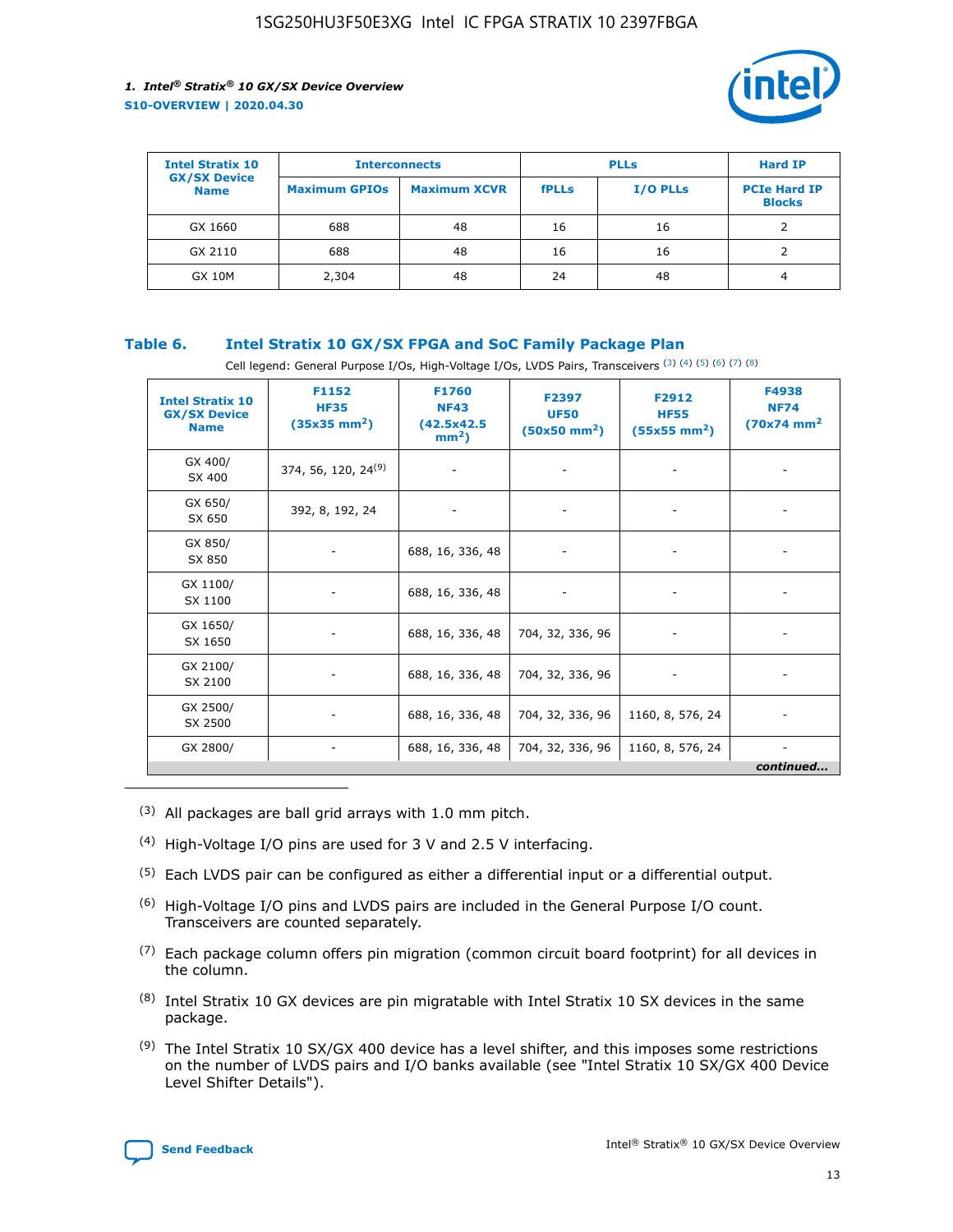

| <b>Intel Stratix 10</b>            |                      | <b>Interconnects</b> |              | <b>PLLs</b>     | <b>Hard IP</b>                       |
|------------------------------------|----------------------|----------------------|--------------|-----------------|--------------------------------------|
| <b>GX/SX Device</b><br><b>Name</b> | <b>Maximum GPIOs</b> | <b>Maximum XCVR</b>  | <b>fPLLs</b> | <b>I/O PLLs</b> | <b>PCIe Hard IP</b><br><b>Blocks</b> |
| GX 1660                            | 688                  | 48                   | 16           | 16              |                                      |
| GX 2110                            | 688                  | 48                   | 16           | 16              |                                      |
| <b>GX 10M</b>                      | 2,304                | 48                   | 24           | 48              | 4                                    |

#### **Table 6. Intel Stratix 10 GX/SX FPGA and SoC Family Package Plan**

Cell legend: General Purpose I/Os, High-Voltage I/Os, LVDS Pairs, Transceivers (3) (4) (5) (6) (7) (8)

| <b>Intel Stratix 10</b><br><b>GX/SX Device</b><br><b>Name</b> | F1152<br><b>HF35</b><br>$(35x35 \text{ mm}^2)$ | F1760<br><b>NF43</b><br>(42.5x42.5<br>$mm2$ ) | F2397<br><b>UF50</b><br>$(50x50 \text{ mm}^2)$ | F2912<br><b>HF55</b><br>$(55x55$ mm <sup>2</sup> ) | F4938<br><b>NF74</b><br>$(70x74)$ mm <sup>2</sup> |
|---------------------------------------------------------------|------------------------------------------------|-----------------------------------------------|------------------------------------------------|----------------------------------------------------|---------------------------------------------------|
| GX 400/<br>SX 400                                             | 374, 56, 120, 24 <sup>(9)</sup>                | $\overline{\phantom{a}}$                      | $\overline{\phantom{a}}$                       | ۰                                                  |                                                   |
| GX 650/<br>SX 650                                             | 392, 8, 192, 24                                | $\overline{\phantom{a}}$                      | $\overline{\phantom{a}}$                       |                                                    |                                                   |
| GX 850/<br>SX 850                                             | ۰.                                             | 688, 16, 336, 48                              |                                                |                                                    |                                                   |
| GX 1100/<br>SX 1100                                           |                                                | 688, 16, 336, 48                              |                                                |                                                    |                                                   |
| GX 1650/<br>SX 1650                                           |                                                | 688, 16, 336, 48                              | 704, 32, 336, 96                               |                                                    |                                                   |
| GX 2100/<br>SX 2100                                           | -                                              | 688, 16, 336, 48                              | 704, 32, 336, 96                               | $\overline{\phantom{a}}$                           |                                                   |
| GX 2500/<br>SX 2500                                           |                                                | 688, 16, 336, 48                              | 704, 32, 336, 96                               | 1160, 8, 576, 24                                   |                                                   |
| GX 2800/                                                      | ۰                                              | 688, 16, 336, 48                              | 704, 32, 336, 96                               | 1160, 8, 576, 24                                   | $\overline{\phantom{a}}$<br>continued             |

- (3) All packages are ball grid arrays with 1.0 mm pitch.
- (4) High-Voltage I/O pins are used for 3 V and 2.5 V interfacing.
- $(5)$  Each LVDS pair can be configured as either a differential input or a differential output.
- (6) High-Voltage I/O pins and LVDS pairs are included in the General Purpose I/O count. Transceivers are counted separately.
- $(7)$  Each package column offers pin migration (common circuit board footprint) for all devices in the column.
- $(8)$  Intel Stratix 10 GX devices are pin migratable with Intel Stratix 10 SX devices in the same package.
- $(9)$  The Intel Stratix 10 SX/GX 400 device has a level shifter, and this imposes some restrictions on the number of LVDS pairs and I/O banks available (see "Intel Stratix 10 SX/GX 400 Device Level Shifter Details").

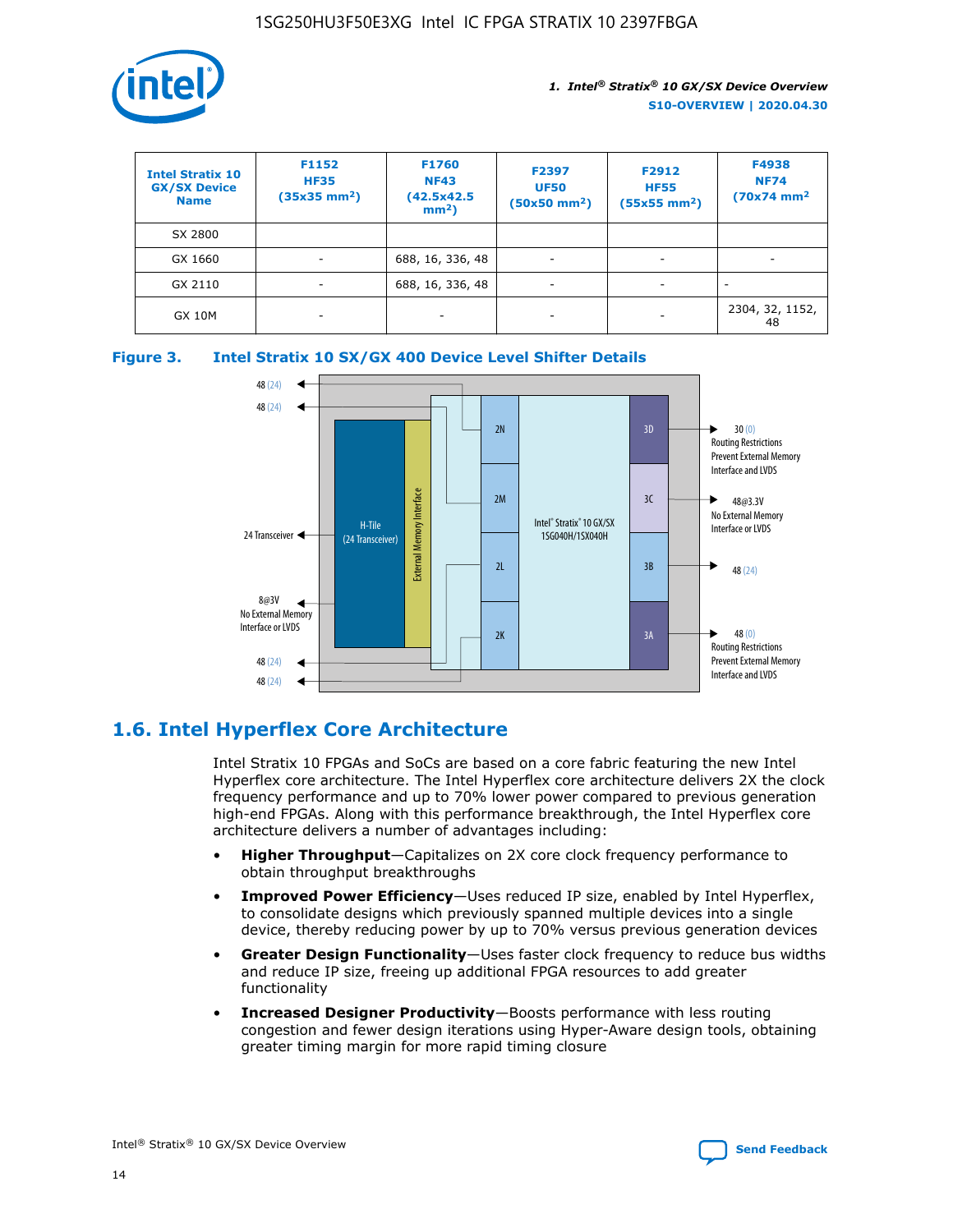

| <b>Intel Stratix 10</b><br><b>GX/SX Device</b><br><b>Name</b> | F1152<br><b>HF35</b><br>$(35x35)$ mm <sup>2</sup> ) | F1760<br><b>NF43</b><br>(42.5x42.5<br>$mm2$ ) | F2397<br><b>UF50</b><br>$(50x50 \text{ mm}^2)$ | F2912<br><b>HF55</b><br>$(55x55$ mm <sup>2</sup> ) | F4938<br><b>NF74</b><br>$(70x74)$ mm <sup>2</sup> |
|---------------------------------------------------------------|-----------------------------------------------------|-----------------------------------------------|------------------------------------------------|----------------------------------------------------|---------------------------------------------------|
| SX 2800                                                       |                                                     |                                               |                                                |                                                    |                                                   |
| GX 1660                                                       | -                                                   | 688, 16, 336, 48                              | $\overline{\phantom{a}}$                       |                                                    |                                                   |
| GX 2110                                                       |                                                     | 688, 16, 336, 48                              | $\overline{\phantom{a}}$                       |                                                    |                                                   |
| <b>GX 10M</b>                                                 | ۰                                                   |                                               |                                                |                                                    | 2304, 32, 1152,<br>48                             |





# **1.6. Intel Hyperflex Core Architecture**

Intel Stratix 10 FPGAs and SoCs are based on a core fabric featuring the new Intel Hyperflex core architecture. The Intel Hyperflex core architecture delivers 2X the clock frequency performance and up to 70% lower power compared to previous generation high-end FPGAs. Along with this performance breakthrough, the Intel Hyperflex core architecture delivers a number of advantages including:

- **Higher Throughput**—Capitalizes on 2X core clock frequency performance to obtain throughput breakthroughs
- **Improved Power Efficiency**—Uses reduced IP size, enabled by Intel Hyperflex, to consolidate designs which previously spanned multiple devices into a single device, thereby reducing power by up to 70% versus previous generation devices
- **Greater Design Functionality**—Uses faster clock frequency to reduce bus widths and reduce IP size, freeing up additional FPGA resources to add greater functionality
- **Increased Designer Productivity**—Boosts performance with less routing congestion and fewer design iterations using Hyper-Aware design tools, obtaining greater timing margin for more rapid timing closure

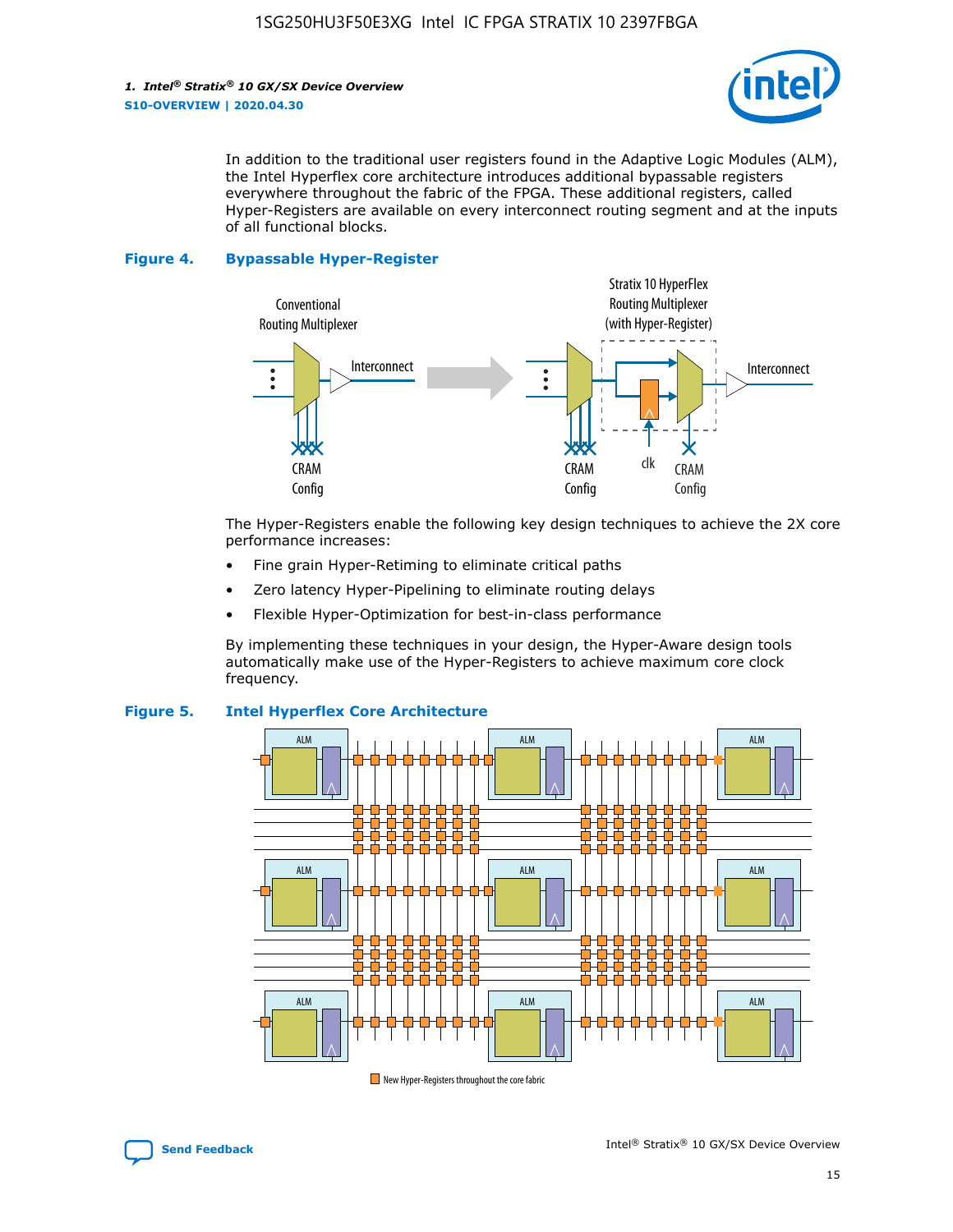

In addition to the traditional user registers found in the Adaptive Logic Modules (ALM), the Intel Hyperflex core architecture introduces additional bypassable registers everywhere throughout the fabric of the FPGA. These additional registers, called Hyper-Registers are available on every interconnect routing segment and at the inputs of all functional blocks.

#### **Figure 4. Bypassable Hyper-Register**



The Hyper-Registers enable the following key design techniques to achieve the 2X core performance increases:

- Fine grain Hyper-Retiming to eliminate critical paths
- Zero latency Hyper-Pipelining to eliminate routing delays
- Flexible Hyper-Optimization for best-in-class performance

By implementing these techniques in your design, the Hyper-Aware design tools automatically make use of the Hyper-Registers to achieve maximum core clock frequency.



#### **Figure 5. Intel Hyperflex Core Architecture**

New Hyper-Registers throughout the core fabric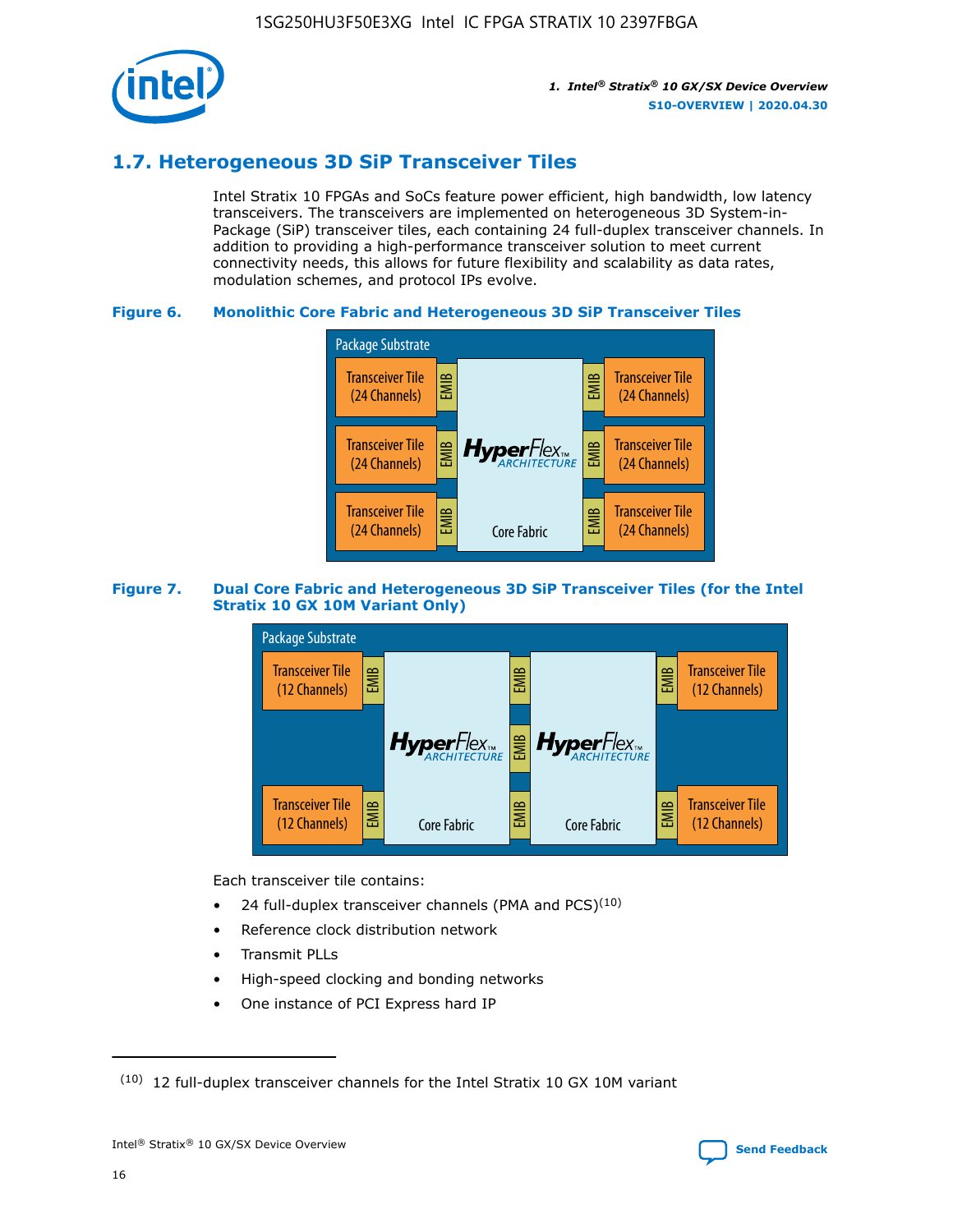

# **1.7. Heterogeneous 3D SiP Transceiver Tiles**

Intel Stratix 10 FPGAs and SoCs feature power efficient, high bandwidth, low latency transceivers. The transceivers are implemented on heterogeneous 3D System-in-Package (SiP) transceiver tiles, each containing 24 full-duplex transceiver channels. In addition to providing a high-performance transceiver solution to meet current connectivity needs, this allows for future flexibility and scalability as data rates, modulation schemes, and protocol IPs evolve.

#### **Figure 6. Monolithic Core Fabric and Heterogeneous 3D SiP Transceiver Tiles**



#### **Figure 7. Dual Core Fabric and Heterogeneous 3D SiP Transceiver Tiles (for the Intel Stratix 10 GX 10M Variant Only)**



Each transceiver tile contains:

- 24 full-duplex transceiver channels (PMA and PCS) $(10)$
- Reference clock distribution network
- Transmit PLLs
- High-speed clocking and bonding networks
- One instance of PCI Express hard IP



 $(10)$  12 full-duplex transceiver channels for the Intel Stratix 10 GX 10M variant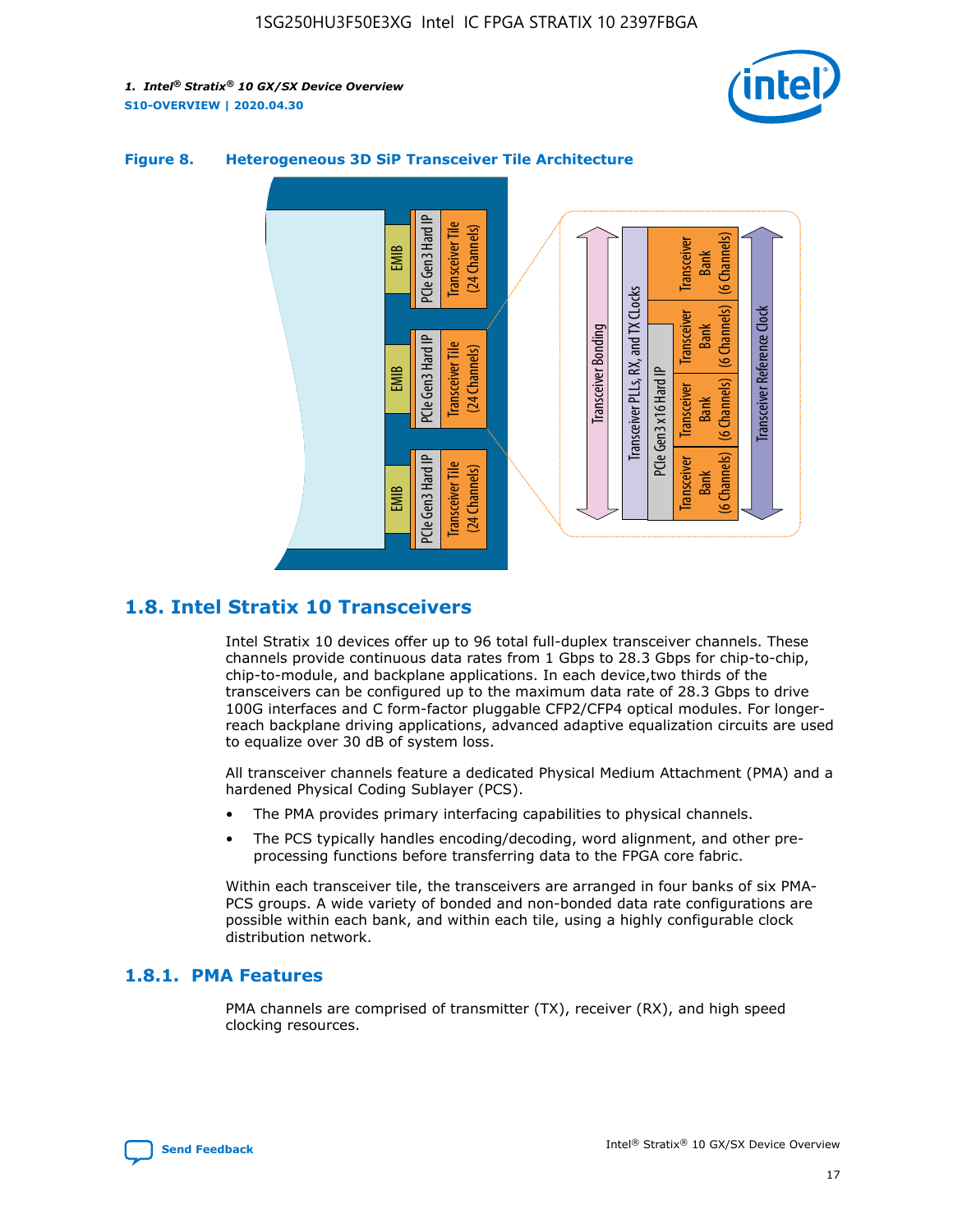



#### **Figure 8. Heterogeneous 3D SiP Transceiver Tile Architecture**

# **1.8. Intel Stratix 10 Transceivers**

Intel Stratix 10 devices offer up to 96 total full-duplex transceiver channels. These channels provide continuous data rates from 1 Gbps to 28.3 Gbps for chip-to-chip, chip-to-module, and backplane applications. In each device,two thirds of the transceivers can be configured up to the maximum data rate of 28.3 Gbps to drive 100G interfaces and C form-factor pluggable CFP2/CFP4 optical modules. For longerreach backplane driving applications, advanced adaptive equalization circuits are used to equalize over 30 dB of system loss.

All transceiver channels feature a dedicated Physical Medium Attachment (PMA) and a hardened Physical Coding Sublayer (PCS).

- The PMA provides primary interfacing capabilities to physical channels.
- The PCS typically handles encoding/decoding, word alignment, and other preprocessing functions before transferring data to the FPGA core fabric.

Within each transceiver tile, the transceivers are arranged in four banks of six PMA-PCS groups. A wide variety of bonded and non-bonded data rate configurations are possible within each bank, and within each tile, using a highly configurable clock distribution network.

#### **1.8.1. PMA Features**

PMA channels are comprised of transmitter (TX), receiver (RX), and high speed clocking resources.

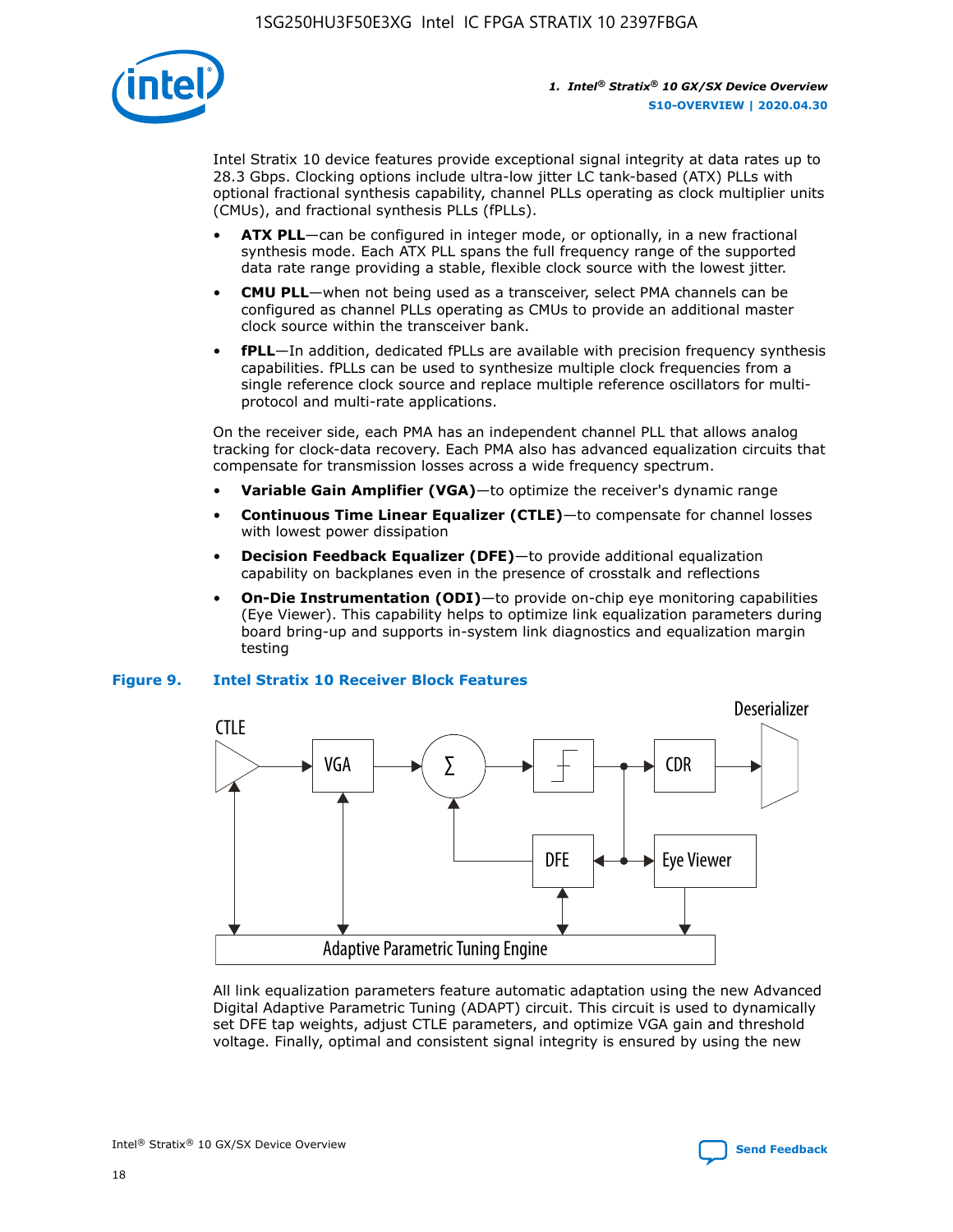

Intel Stratix 10 device features provide exceptional signal integrity at data rates up to 28.3 Gbps. Clocking options include ultra-low jitter LC tank-based (ATX) PLLs with optional fractional synthesis capability, channel PLLs operating as clock multiplier units (CMUs), and fractional synthesis PLLs (fPLLs).

- **ATX PLL**—can be configured in integer mode, or optionally, in a new fractional synthesis mode. Each ATX PLL spans the full frequency range of the supported data rate range providing a stable, flexible clock source with the lowest jitter.
- **CMU PLL**—when not being used as a transceiver, select PMA channels can be configured as channel PLLs operating as CMUs to provide an additional master clock source within the transceiver bank.
- **fPLL**—In addition, dedicated fPLLs are available with precision frequency synthesis capabilities. fPLLs can be used to synthesize multiple clock frequencies from a single reference clock source and replace multiple reference oscillators for multiprotocol and multi-rate applications.

On the receiver side, each PMA has an independent channel PLL that allows analog tracking for clock-data recovery. Each PMA also has advanced equalization circuits that compensate for transmission losses across a wide frequency spectrum.

- **Variable Gain Amplifier (VGA)**—to optimize the receiver's dynamic range
- **Continuous Time Linear Equalizer (CTLE)**—to compensate for channel losses with lowest power dissipation
- **Decision Feedback Equalizer (DFE)**—to provide additional equalization capability on backplanes even in the presence of crosstalk and reflections
- **On-Die Instrumentation (ODI)**—to provide on-chip eye monitoring capabilities (Eye Viewer). This capability helps to optimize link equalization parameters during board bring-up and supports in-system link diagnostics and equalization margin testing

#### **Figure 9. Intel Stratix 10 Receiver Block Features**



All link equalization parameters feature automatic adaptation using the new Advanced Digital Adaptive Parametric Tuning (ADAPT) circuit. This circuit is used to dynamically set DFE tap weights, adjust CTLE parameters, and optimize VGA gain and threshold voltage. Finally, optimal and consistent signal integrity is ensured by using the new

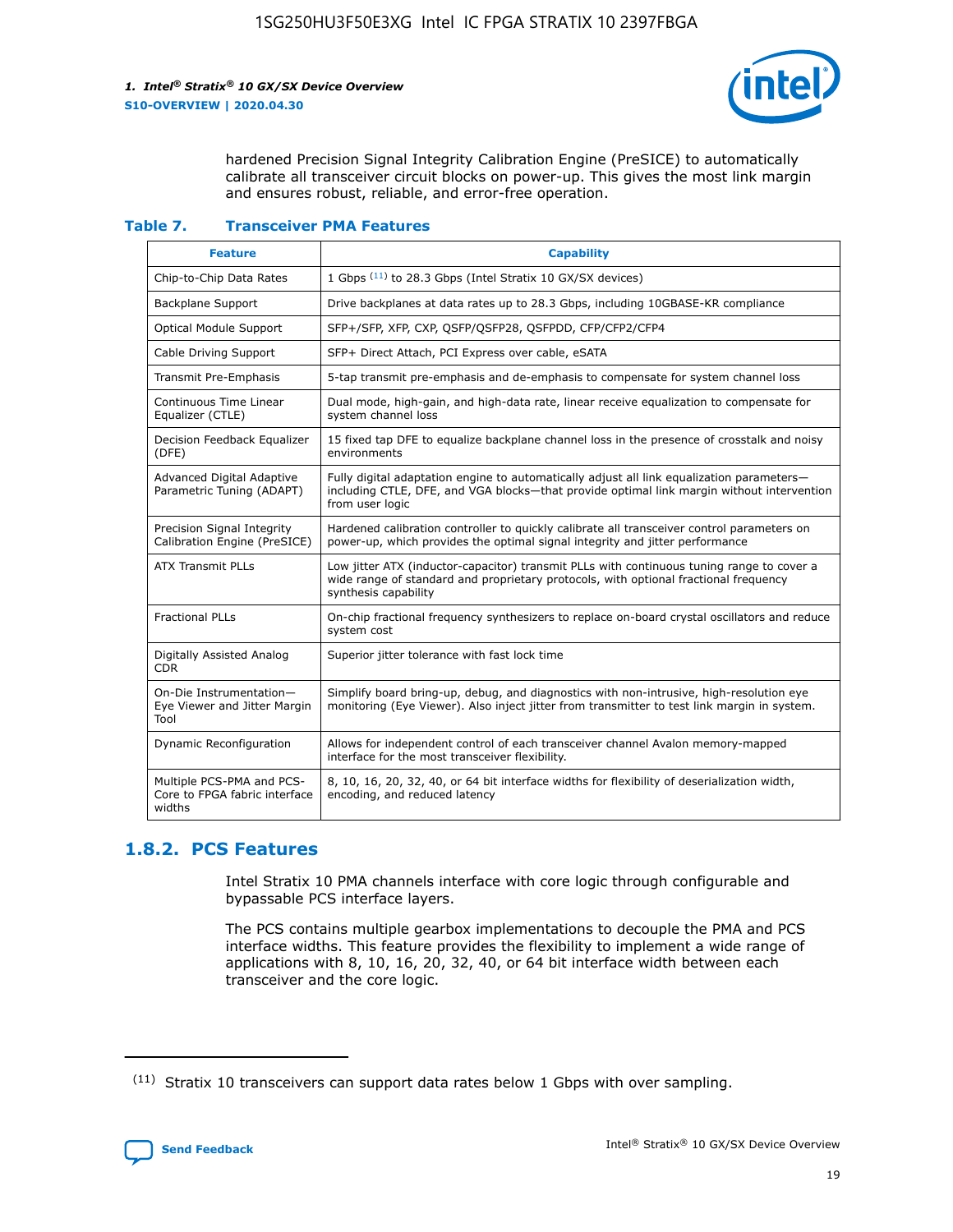

hardened Precision Signal Integrity Calibration Engine (PreSICE) to automatically calibrate all transceiver circuit blocks on power-up. This gives the most link margin and ensures robust, reliable, and error-free operation.

#### **Table 7. Transceiver PMA Features**

| <b>Feature</b>                                                       | <b>Capability</b>                                                                                                                                                                                         |
|----------------------------------------------------------------------|-----------------------------------------------------------------------------------------------------------------------------------------------------------------------------------------------------------|
| Chip-to-Chip Data Rates                                              | 1 Gbps (11) to 28.3 Gbps (Intel Stratix 10 GX/SX devices)                                                                                                                                                 |
| <b>Backplane Support</b>                                             | Drive backplanes at data rates up to 28.3 Gbps, including 10GBASE-KR compliance                                                                                                                           |
| Optical Module Support                                               | SFP+/SFP, XFP, CXP, QSFP/QSFP28, QSFPDD, CFP/CFP2/CFP4                                                                                                                                                    |
| Cable Driving Support                                                | SFP+ Direct Attach, PCI Express over cable, eSATA                                                                                                                                                         |
| <b>Transmit Pre-Emphasis</b>                                         | 5-tap transmit pre-emphasis and de-emphasis to compensate for system channel loss                                                                                                                         |
| Continuous Time Linear<br>Equalizer (CTLE)                           | Dual mode, high-gain, and high-data rate, linear receive equalization to compensate for<br>system channel loss                                                                                            |
| Decision Feedback Equalizer<br>(DFE)                                 | 15 fixed tap DFE to equalize backplane channel loss in the presence of crosstalk and noisy<br>environments                                                                                                |
| Advanced Digital Adaptive<br>Parametric Tuning (ADAPT)               | Fully digital adaptation engine to automatically adjust all link equalization parameters-<br>including CTLE, DFE, and VGA blocks-that provide optimal link margin without intervention<br>from user logic |
| Precision Signal Integrity<br>Calibration Engine (PreSICE)           | Hardened calibration controller to quickly calibrate all transceiver control parameters on<br>power-up, which provides the optimal signal integrity and jitter performance                                |
| <b>ATX Transmit PLLs</b>                                             | Low jitter ATX (inductor-capacitor) transmit PLLs with continuous tuning range to cover a<br>wide range of standard and proprietary protocols, with optional fractional frequency<br>synthesis capability |
| <b>Fractional PLLs</b>                                               | On-chip fractional frequency synthesizers to replace on-board crystal oscillators and reduce<br>system cost                                                                                               |
| Digitally Assisted Analog<br>CDR.                                    | Superior jitter tolerance with fast lock time                                                                                                                                                             |
| On-Die Instrumentation-<br>Eye Viewer and Jitter Margin<br>Tool      | Simplify board bring-up, debug, and diagnostics with non-intrusive, high-resolution eye<br>monitoring (Eye Viewer). Also inject jitter from transmitter to test link margin in system.                    |
| Dynamic Reconfiguration                                              | Allows for independent control of each transceiver channel Avalon memory-mapped<br>interface for the most transceiver flexibility.                                                                        |
| Multiple PCS-PMA and PCS-<br>Core to FPGA fabric interface<br>widths | 8, 10, 16, 20, 32, 40, or 64 bit interface widths for flexibility of deserialization width,<br>encoding, and reduced latency                                                                              |

### **1.8.2. PCS Features**

Intel Stratix 10 PMA channels interface with core logic through configurable and bypassable PCS interface layers.

The PCS contains multiple gearbox implementations to decouple the PMA and PCS interface widths. This feature provides the flexibility to implement a wide range of applications with 8, 10, 16, 20, 32, 40, or 64 bit interface width between each transceiver and the core logic.

<sup>(11)</sup> Stratix 10 transceivers can support data rates below 1 Gbps with over sampling.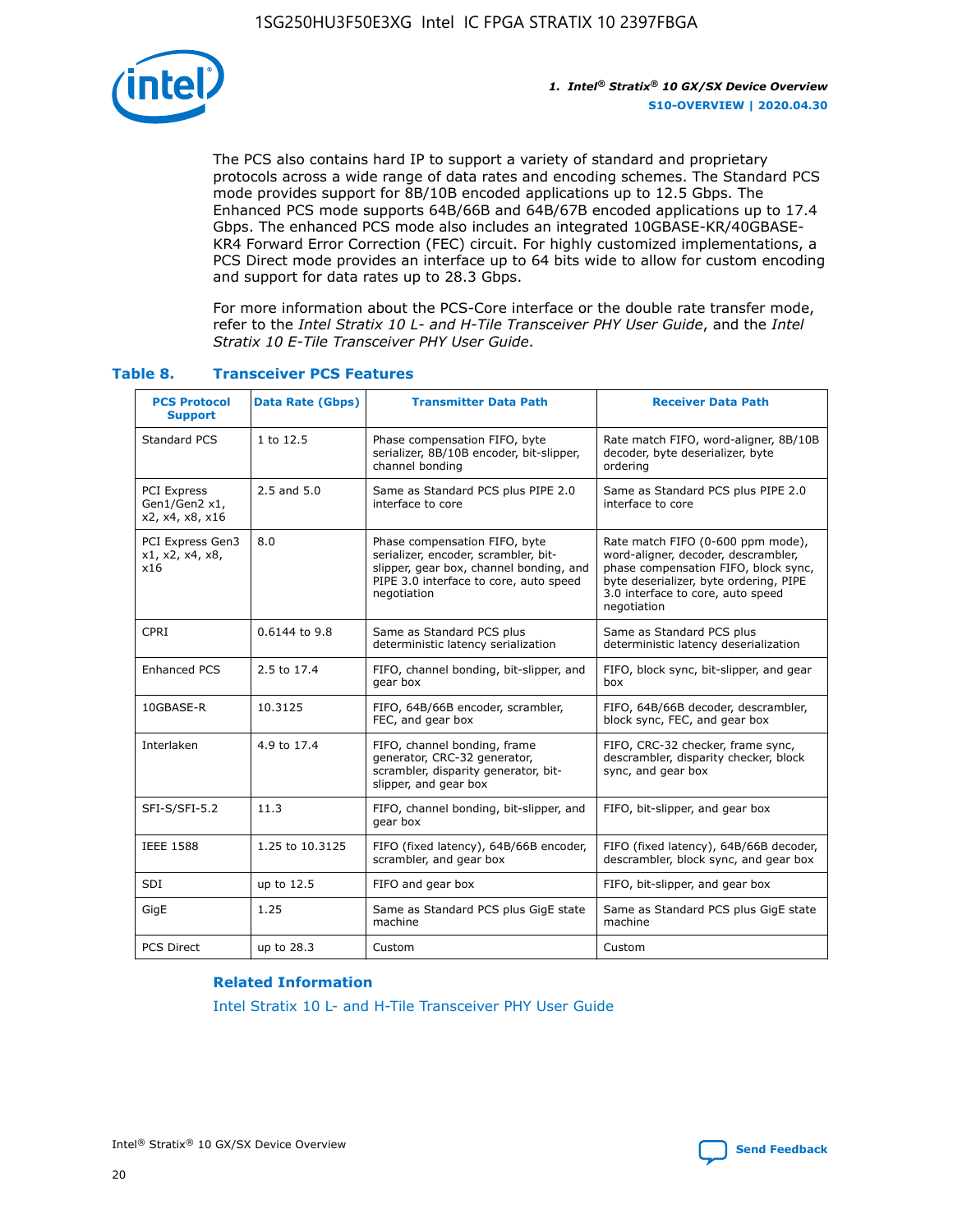

The PCS also contains hard IP to support a variety of standard and proprietary protocols across a wide range of data rates and encoding schemes. The Standard PCS mode provides support for 8B/10B encoded applications up to 12.5 Gbps. The Enhanced PCS mode supports 64B/66B and 64B/67B encoded applications up to 17.4 Gbps. The enhanced PCS mode also includes an integrated 10GBASE-KR/40GBASE-KR4 Forward Error Correction (FEC) circuit. For highly customized implementations, a PCS Direct mode provides an interface up to 64 bits wide to allow for custom encoding and support for data rates up to 28.3 Gbps.

For more information about the PCS-Core interface or the double rate transfer mode, refer to the *Intel Stratix 10 L- and H-Tile Transceiver PHY User Guide*, and the *Intel Stratix 10 E-Tile Transceiver PHY User Guide*.

| <b>PCS Protocol</b><br><b>Support</b>           | <b>Data Rate (Gbps)</b> | <b>Transmitter Data Path</b>                                                                                                                                              | <b>Receiver Data Path</b>                                                                                                                                                                                      |
|-------------------------------------------------|-------------------------|---------------------------------------------------------------------------------------------------------------------------------------------------------------------------|----------------------------------------------------------------------------------------------------------------------------------------------------------------------------------------------------------------|
| Standard PCS                                    | 1 to 12.5               | Phase compensation FIFO, byte<br>serializer, 8B/10B encoder, bit-slipper,<br>channel bonding                                                                              | Rate match FIFO, word-aligner, 8B/10B<br>decoder, byte deserializer, byte<br>ordering                                                                                                                          |
| PCI Express<br>Gen1/Gen2 x1,<br>x2, x4, x8, x16 | $2.5$ and $5.0$         | Same as Standard PCS plus PIPE 2.0<br>interface to core                                                                                                                   | Same as Standard PCS plus PIPE 2.0<br>interface to core                                                                                                                                                        |
| PCI Express Gen3<br>x1, x2, x4, x8,<br>x16      | 8.0                     | Phase compensation FIFO, byte<br>serializer, encoder, scrambler, bit-<br>slipper, gear box, channel bonding, and<br>PIPE 3.0 interface to core, auto speed<br>negotiation | Rate match FIFO (0-600 ppm mode),<br>word-aligner, decoder, descrambler,<br>phase compensation FIFO, block sync,<br>byte deserializer, byte ordering, PIPE<br>3.0 interface to core, auto speed<br>negotiation |
| CPRI                                            | 0.6144 to 9.8           | Same as Standard PCS plus<br>deterministic latency serialization                                                                                                          | Same as Standard PCS plus<br>deterministic latency deserialization                                                                                                                                             |
| <b>Enhanced PCS</b>                             | 2.5 to 17.4             | FIFO, channel bonding, bit-slipper, and<br>gear box                                                                                                                       | FIFO, block sync, bit-slipper, and gear<br>box                                                                                                                                                                 |
| 10GBASE-R                                       | 10.3125                 | FIFO, 64B/66B encoder, scrambler,<br>FEC, and gear box                                                                                                                    | FIFO, 64B/66B decoder, descrambler,<br>block sync, FEC, and gear box                                                                                                                                           |
| Interlaken                                      | 4.9 to 17.4             | FIFO, channel bonding, frame<br>generator, CRC-32 generator,<br>scrambler, disparity generator, bit-<br>slipper, and gear box                                             | FIFO, CRC-32 checker, frame sync,<br>descrambler, disparity checker, block<br>sync, and gear box                                                                                                               |
| SFI-S/SFI-5.2                                   | 11.3                    | FIFO, channel bonding, bit-slipper, and<br>gear box                                                                                                                       | FIFO, bit-slipper, and gear box                                                                                                                                                                                |
| <b>IEEE 1588</b>                                | 1.25 to 10.3125         | FIFO (fixed latency), 64B/66B encoder,<br>scrambler, and gear box                                                                                                         | FIFO (fixed latency), 64B/66B decoder,<br>descrambler, block sync, and gear box                                                                                                                                |
| SDI                                             | up to 12.5              | FIFO and gear box                                                                                                                                                         | FIFO, bit-slipper, and gear box                                                                                                                                                                                |
| GigE                                            | 1.25                    | Same as Standard PCS plus GigE state<br>machine                                                                                                                           | Same as Standard PCS plus GigE state<br>machine                                                                                                                                                                |
| <b>PCS Direct</b>                               | up to 28.3              | Custom                                                                                                                                                                    | Custom                                                                                                                                                                                                         |

#### **Table 8. Transceiver PCS Features**

#### **Related Information**

[Intel Stratix 10 L- and H-Tile Transceiver PHY User Guide](https://www.altera.com/documentation/wry1479165198810.html)

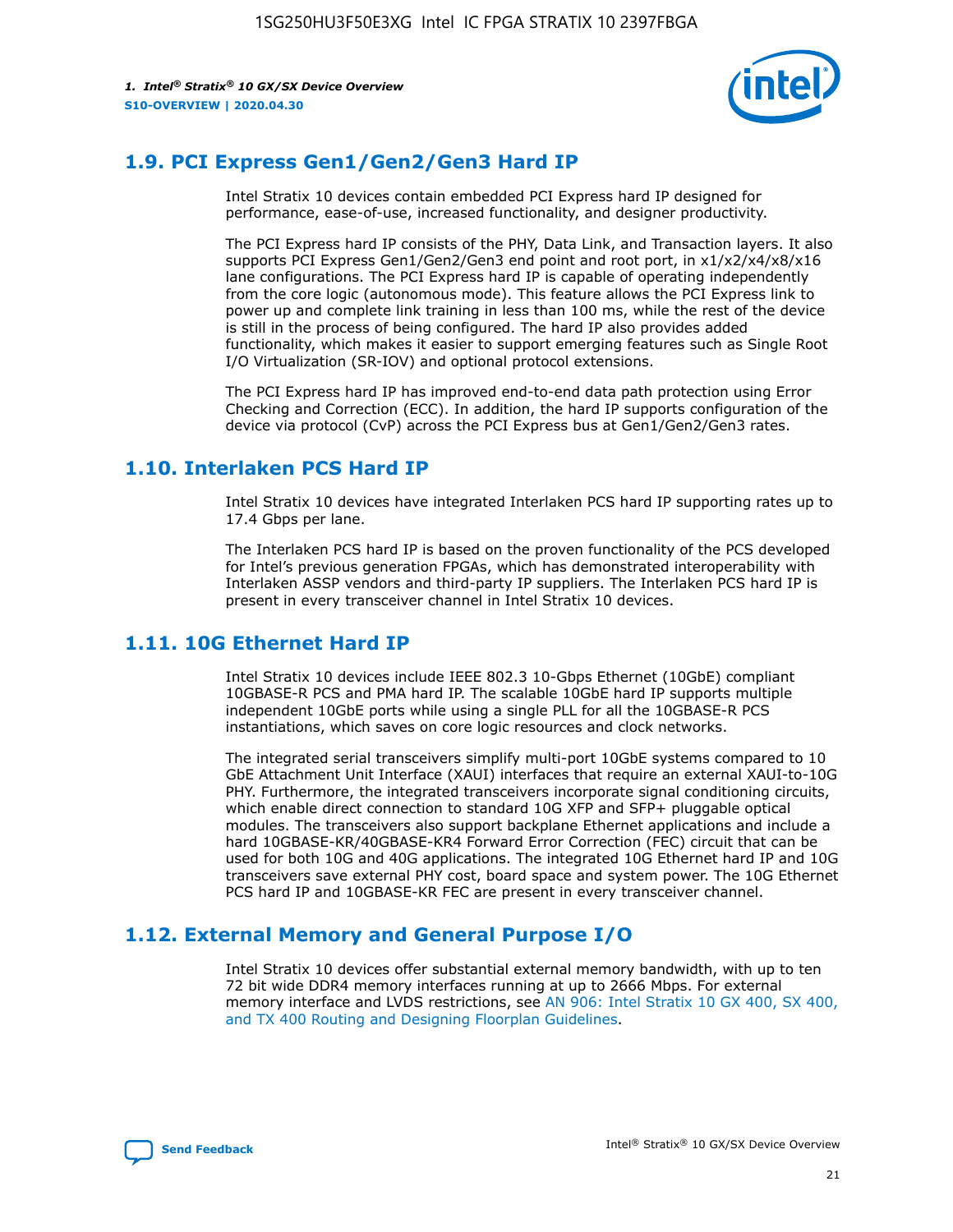

# **1.9. PCI Express Gen1/Gen2/Gen3 Hard IP**

Intel Stratix 10 devices contain embedded PCI Express hard IP designed for performance, ease-of-use, increased functionality, and designer productivity.

The PCI Express hard IP consists of the PHY, Data Link, and Transaction layers. It also supports PCI Express Gen1/Gen2/Gen3 end point and root port, in x1/x2/x4/x8/x16 lane configurations. The PCI Express hard IP is capable of operating independently from the core logic (autonomous mode). This feature allows the PCI Express link to power up and complete link training in less than 100 ms, while the rest of the device is still in the process of being configured. The hard IP also provides added functionality, which makes it easier to support emerging features such as Single Root I/O Virtualization (SR-IOV) and optional protocol extensions.

The PCI Express hard IP has improved end-to-end data path protection using Error Checking and Correction (ECC). In addition, the hard IP supports configuration of the device via protocol (CvP) across the PCI Express bus at Gen1/Gen2/Gen3 rates.

# **1.10. Interlaken PCS Hard IP**

Intel Stratix 10 devices have integrated Interlaken PCS hard IP supporting rates up to 17.4 Gbps per lane.

The Interlaken PCS hard IP is based on the proven functionality of the PCS developed for Intel's previous generation FPGAs, which has demonstrated interoperability with Interlaken ASSP vendors and third-party IP suppliers. The Interlaken PCS hard IP is present in every transceiver channel in Intel Stratix 10 devices.

# **1.11. 10G Ethernet Hard IP**

Intel Stratix 10 devices include IEEE 802.3 10-Gbps Ethernet (10GbE) compliant 10GBASE-R PCS and PMA hard IP. The scalable 10GbE hard IP supports multiple independent 10GbE ports while using a single PLL for all the 10GBASE-R PCS instantiations, which saves on core logic resources and clock networks.

The integrated serial transceivers simplify multi-port 10GbE systems compared to 10 GbE Attachment Unit Interface (XAUI) interfaces that require an external XAUI-to-10G PHY. Furthermore, the integrated transceivers incorporate signal conditioning circuits, which enable direct connection to standard 10G XFP and SFP+ pluggable optical modules. The transceivers also support backplane Ethernet applications and include a hard 10GBASE-KR/40GBASE-KR4 Forward Error Correction (FEC) circuit that can be used for both 10G and 40G applications. The integrated 10G Ethernet hard IP and 10G transceivers save external PHY cost, board space and system power. The 10G Ethernet PCS hard IP and 10GBASE-KR FEC are present in every transceiver channel.

# **1.12. External Memory and General Purpose I/O**

Intel Stratix 10 devices offer substantial external memory bandwidth, with up to ten 72 bit wide DDR4 memory interfaces running at up to 2666 Mbps. For external memory interface and LVDS restrictions, see [AN 906: Intel Stratix 10 GX 400, SX 400,](https://www.intel.com/content/www/us/en/programmable/documentation/sjf1574667190623.html#bft1574667627484) [and TX 400 Routing and Designing Floorplan Guidelines.](https://www.intel.com/content/www/us/en/programmable/documentation/sjf1574667190623.html#bft1574667627484)

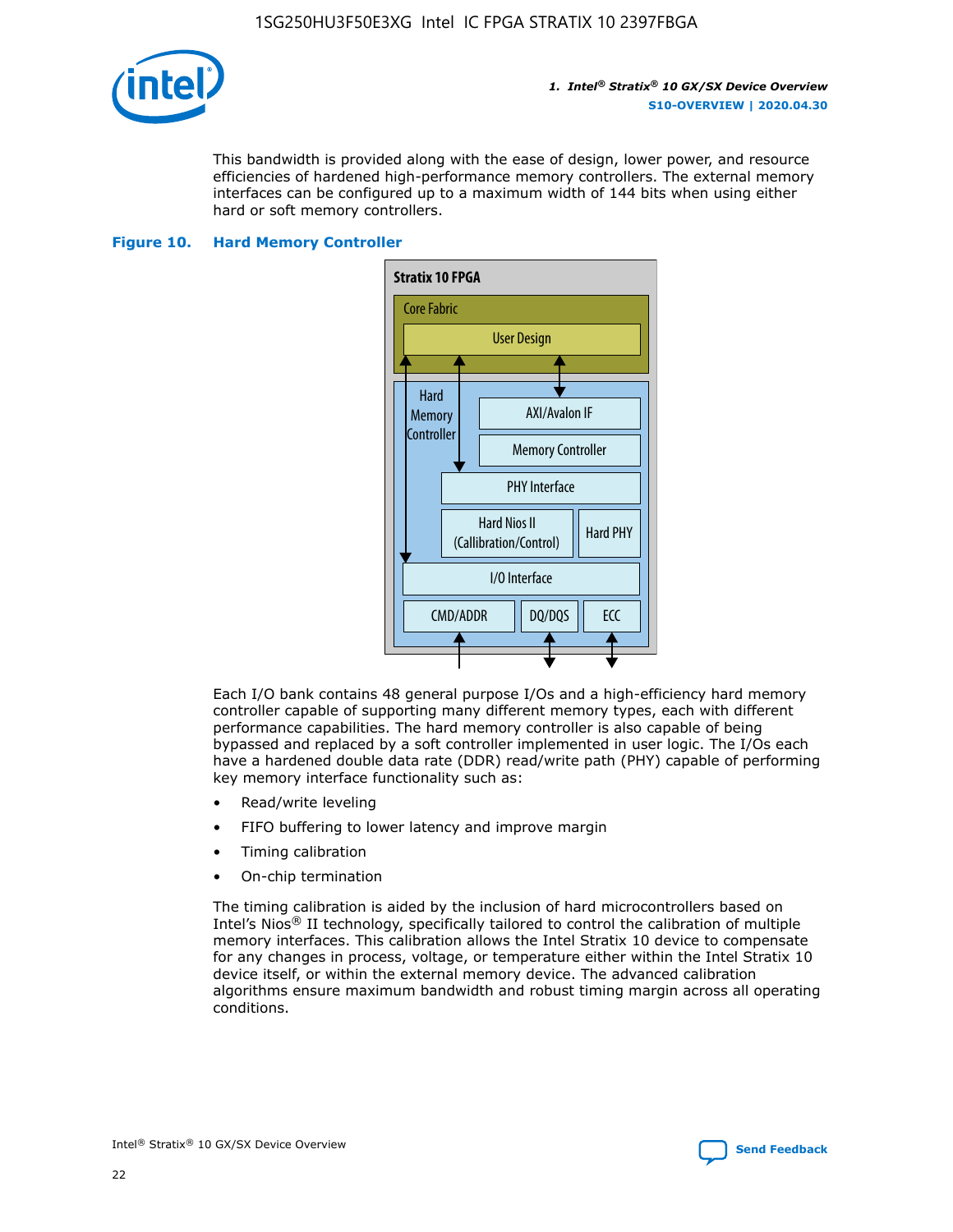

This bandwidth is provided along with the ease of design, lower power, and resource efficiencies of hardened high-performance memory controllers. The external memory interfaces can be configured up to a maximum width of 144 bits when using either hard or soft memory controllers.

#### **Figure 10. Hard Memory Controller**



Each I/O bank contains 48 general purpose I/Os and a high-efficiency hard memory controller capable of supporting many different memory types, each with different performance capabilities. The hard memory controller is also capable of being bypassed and replaced by a soft controller implemented in user logic. The I/Os each have a hardened double data rate (DDR) read/write path (PHY) capable of performing key memory interface functionality such as:

- Read/write leveling
- FIFO buffering to lower latency and improve margin
- Timing calibration
- On-chip termination

The timing calibration is aided by the inclusion of hard microcontrollers based on Intel's Nios® II technology, specifically tailored to control the calibration of multiple memory interfaces. This calibration allows the Intel Stratix 10 device to compensate for any changes in process, voltage, or temperature either within the Intel Stratix 10 device itself, or within the external memory device. The advanced calibration algorithms ensure maximum bandwidth and robust timing margin across all operating conditions.

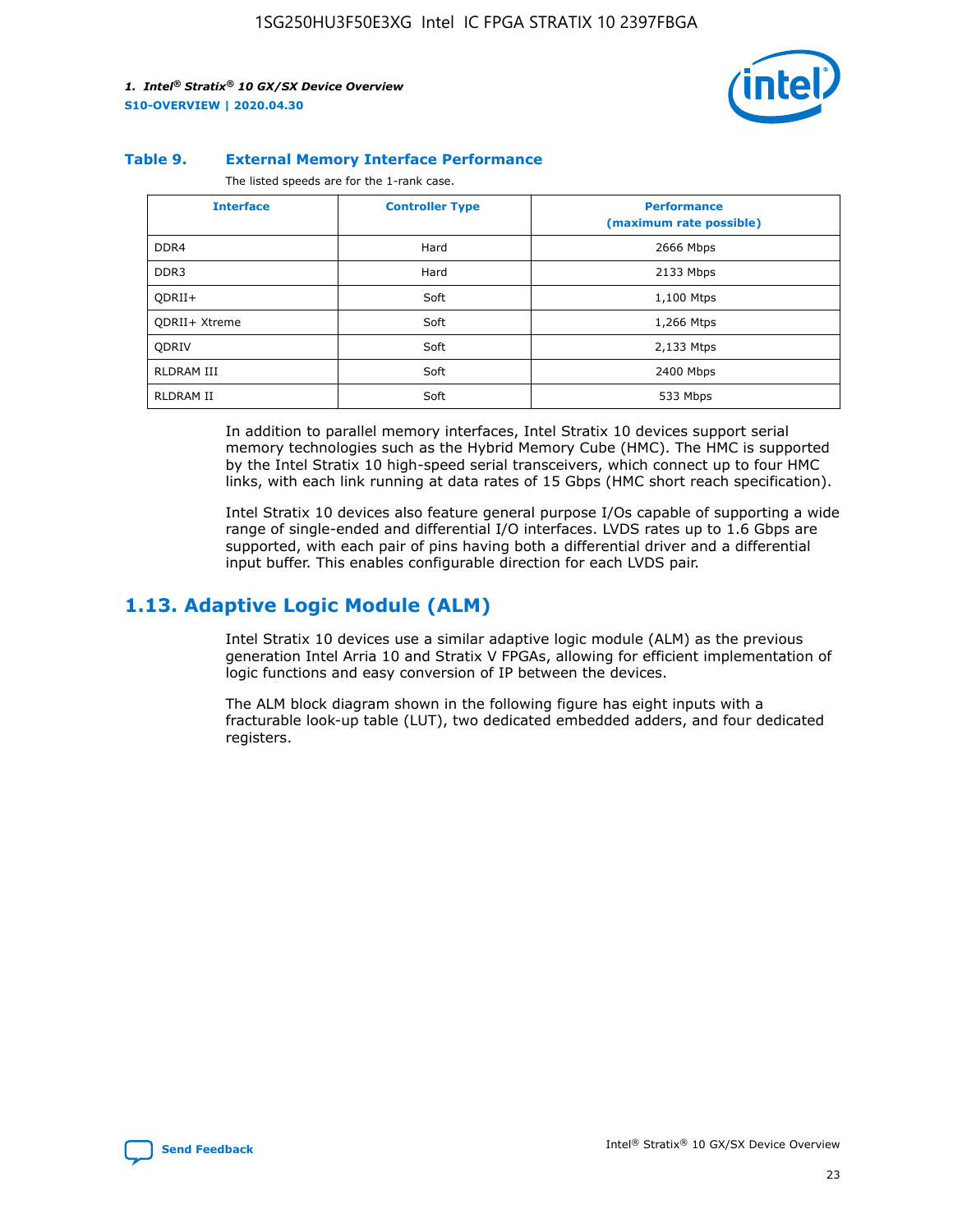

#### **Table 9. External Memory Interface Performance**

The listed speeds are for the 1-rank case.

| <b>Interface</b> | <b>Controller Type</b> | <b>Performance</b><br>(maximum rate possible) |
|------------------|------------------------|-----------------------------------------------|
| DDR4             | Hard                   | 2666 Mbps                                     |
| DDR <sub>3</sub> | Hard                   | 2133 Mbps                                     |
| QDRII+           | Soft                   | 1,100 Mtps                                    |
| QDRII+ Xtreme    | Soft                   | 1,266 Mtps                                    |
| <b>ODRIV</b>     | Soft                   | 2,133 Mtps                                    |
| RLDRAM III       | Soft                   | 2400 Mbps                                     |
| <b>RLDRAM II</b> | Soft                   | 533 Mbps                                      |

In addition to parallel memory interfaces, Intel Stratix 10 devices support serial memory technologies such as the Hybrid Memory Cube (HMC). The HMC is supported by the Intel Stratix 10 high-speed serial transceivers, which connect up to four HMC links, with each link running at data rates of 15 Gbps (HMC short reach specification).

Intel Stratix 10 devices also feature general purpose I/Os capable of supporting a wide range of single-ended and differential I/O interfaces. LVDS rates up to 1.6 Gbps are supported, with each pair of pins having both a differential driver and a differential input buffer. This enables configurable direction for each LVDS pair.

### **1.13. Adaptive Logic Module (ALM)**

Intel Stratix 10 devices use a similar adaptive logic module (ALM) as the previous generation Intel Arria 10 and Stratix V FPGAs, allowing for efficient implementation of logic functions and easy conversion of IP between the devices.

The ALM block diagram shown in the following figure has eight inputs with a fracturable look-up table (LUT), two dedicated embedded adders, and four dedicated registers.

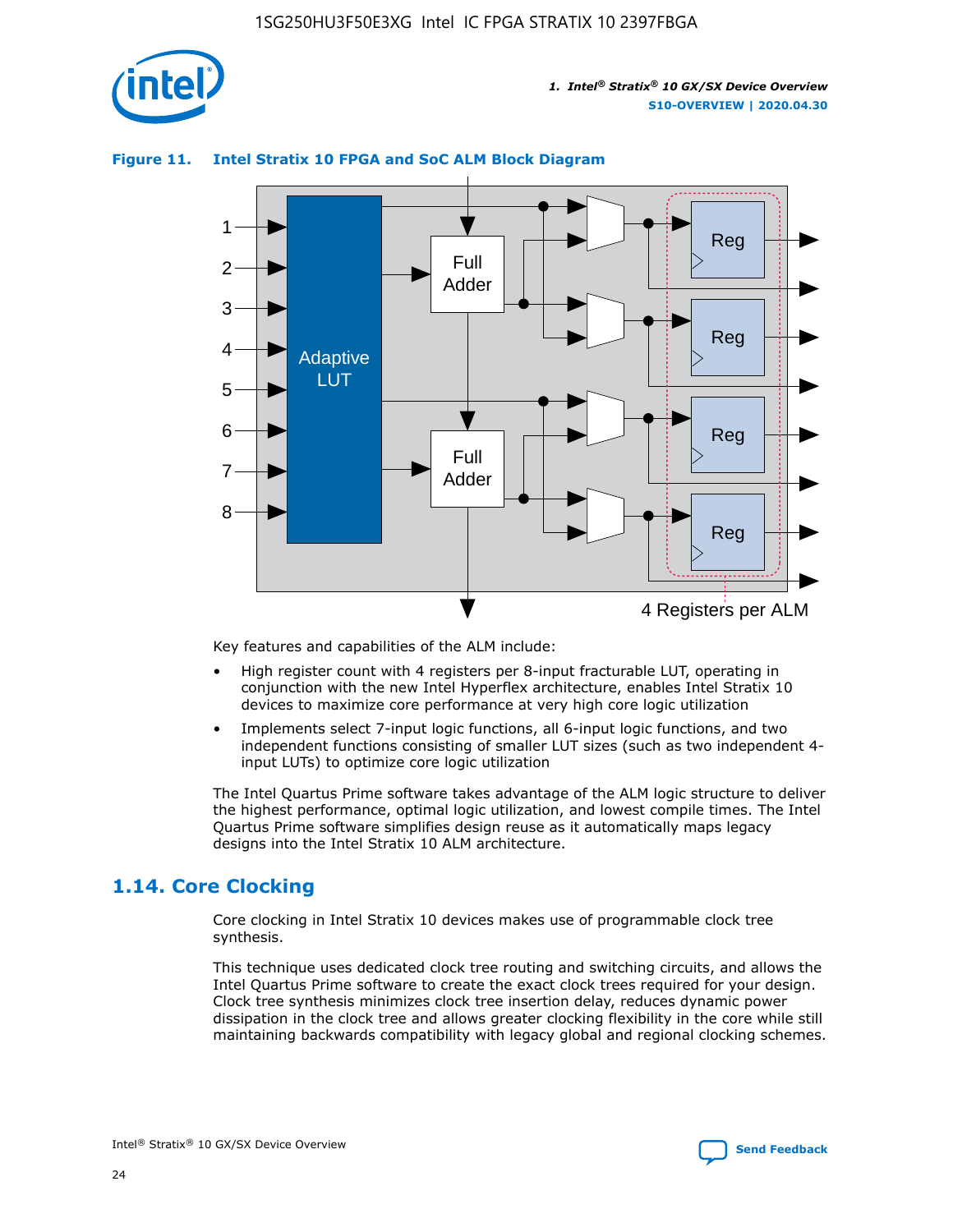

Reg

Reg

4 Registers per ALM

#### Reg Reg 1 2 3 4 5 Full Adder Adaptive LUT

Full Adder

#### **Figure 11. Intel Stratix 10 FPGA and SoC ALM Block Diagram**

Key features and capabilities of the ALM include:

- High register count with 4 registers per 8-input fracturable LUT, operating in conjunction with the new Intel Hyperflex architecture, enables Intel Stratix 10 devices to maximize core performance at very high core logic utilization
- Implements select 7-input logic functions, all 6-input logic functions, and two independent functions consisting of smaller LUT sizes (such as two independent 4 input LUTs) to optimize core logic utilization

The Intel Quartus Prime software takes advantage of the ALM logic structure to deliver the highest performance, optimal logic utilization, and lowest compile times. The Intel Quartus Prime software simplifies design reuse as it automatically maps legacy designs into the Intel Stratix 10 ALM architecture.

# **1.14. Core Clocking**

6

7

8

Core clocking in Intel Stratix 10 devices makes use of programmable clock tree synthesis.

This technique uses dedicated clock tree routing and switching circuits, and allows the Intel Quartus Prime software to create the exact clock trees required for your design. Clock tree synthesis minimizes clock tree insertion delay, reduces dynamic power dissipation in the clock tree and allows greater clocking flexibility in the core while still maintaining backwards compatibility with legacy global and regional clocking schemes.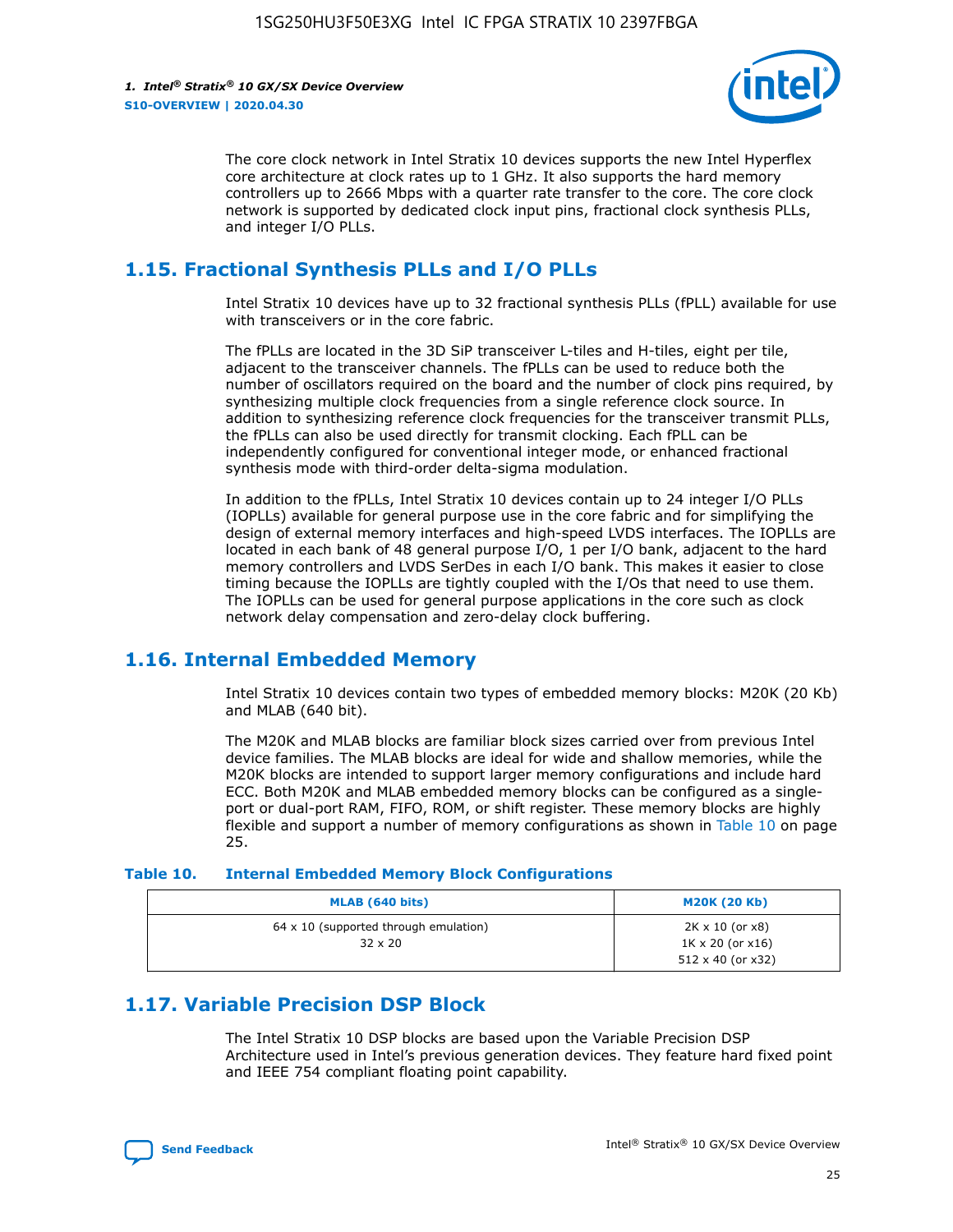

The core clock network in Intel Stratix 10 devices supports the new Intel Hyperflex core architecture at clock rates up to 1 GHz. It also supports the hard memory controllers up to 2666 Mbps with a quarter rate transfer to the core. The core clock network is supported by dedicated clock input pins, fractional clock synthesis PLLs, and integer I/O PLLs.

# **1.15. Fractional Synthesis PLLs and I/O PLLs**

Intel Stratix 10 devices have up to 32 fractional synthesis PLLs (fPLL) available for use with transceivers or in the core fabric.

The fPLLs are located in the 3D SiP transceiver L-tiles and H-tiles, eight per tile, adjacent to the transceiver channels. The fPLLs can be used to reduce both the number of oscillators required on the board and the number of clock pins required, by synthesizing multiple clock frequencies from a single reference clock source. In addition to synthesizing reference clock frequencies for the transceiver transmit PLLs, the fPLLs can also be used directly for transmit clocking. Each fPLL can be independently configured for conventional integer mode, or enhanced fractional synthesis mode with third-order delta-sigma modulation.

In addition to the fPLLs, Intel Stratix 10 devices contain up to 24 integer I/O PLLs (IOPLLs) available for general purpose use in the core fabric and for simplifying the design of external memory interfaces and high-speed LVDS interfaces. The IOPLLs are located in each bank of 48 general purpose I/O, 1 per I/O bank, adjacent to the hard memory controllers and LVDS SerDes in each I/O bank. This makes it easier to close timing because the IOPLLs are tightly coupled with the I/Os that need to use them. The IOPLLs can be used for general purpose applications in the core such as clock network delay compensation and zero-delay clock buffering.

# **1.16. Internal Embedded Memory**

Intel Stratix 10 devices contain two types of embedded memory blocks: M20K (20 Kb) and MLAB (640 bit).

The M20K and MLAB blocks are familiar block sizes carried over from previous Intel device families. The MLAB blocks are ideal for wide and shallow memories, while the M20K blocks are intended to support larger memory configurations and include hard ECC. Both M20K and MLAB embedded memory blocks can be configured as a singleport or dual-port RAM, FIFO, ROM, or shift register. These memory blocks are highly flexible and support a number of memory configurations as shown in Table 10 on page 25.

#### **Table 10. Internal Embedded Memory Block Configurations**

| MLAB (640 bits)                                                | <b>M20K (20 Kb)</b>                                                                    |
|----------------------------------------------------------------|----------------------------------------------------------------------------------------|
| $64 \times 10$ (supported through emulation)<br>$32 \times 20$ | $2K \times 10$ (or $x8$ )<br>$1K \times 20$ (or $x16$ )<br>$512 \times 40$ (or $x32$ ) |

# **1.17. Variable Precision DSP Block**

The Intel Stratix 10 DSP blocks are based upon the Variable Precision DSP Architecture used in Intel's previous generation devices. They feature hard fixed point and IEEE 754 compliant floating point capability.

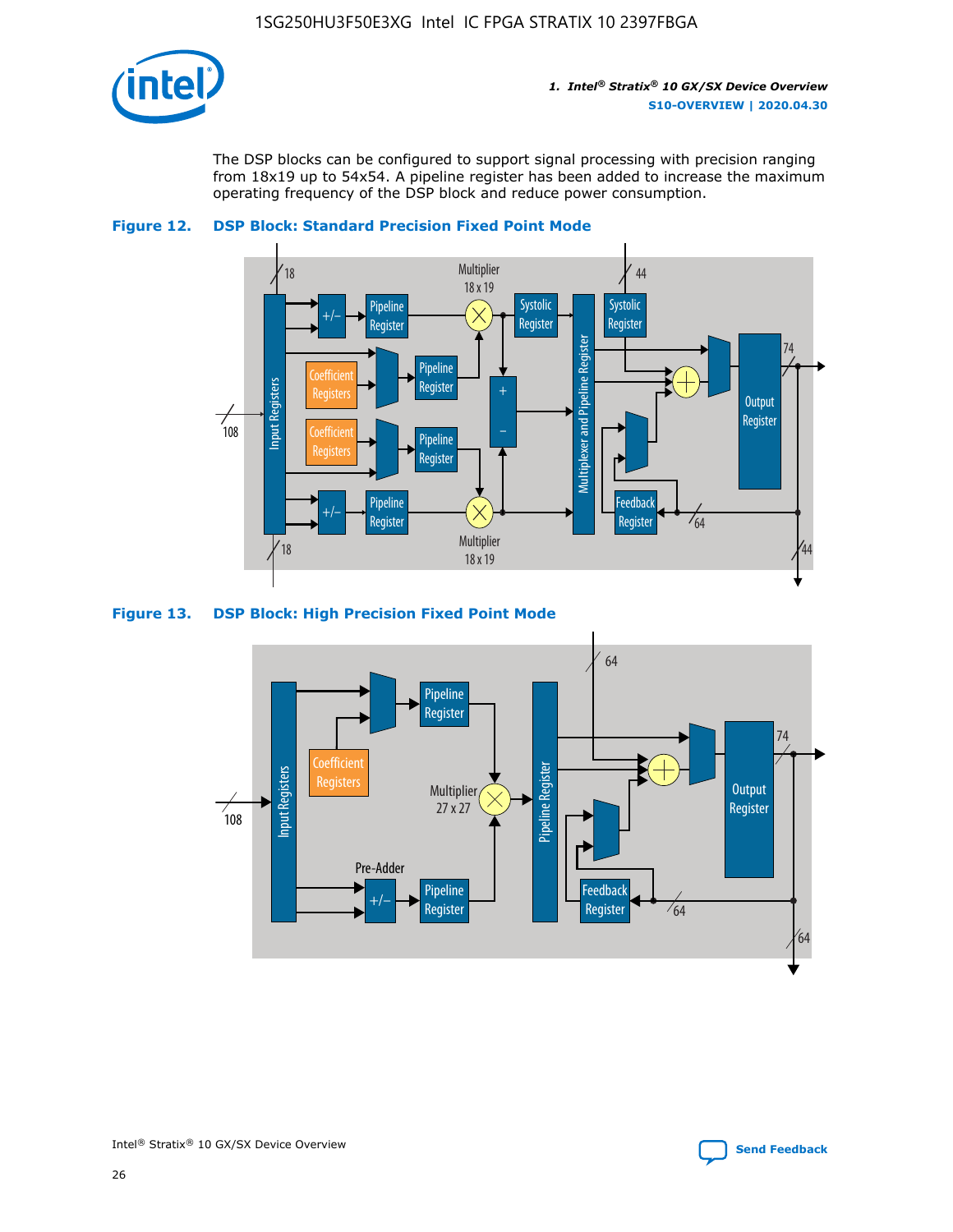

The DSP blocks can be configured to support signal processing with precision ranging from 18x19 up to 54x54. A pipeline register has been added to increase the maximum operating frequency of the DSP block and reduce power consumption.





#### **Figure 13. DSP Block: High Precision Fixed Point Mode**

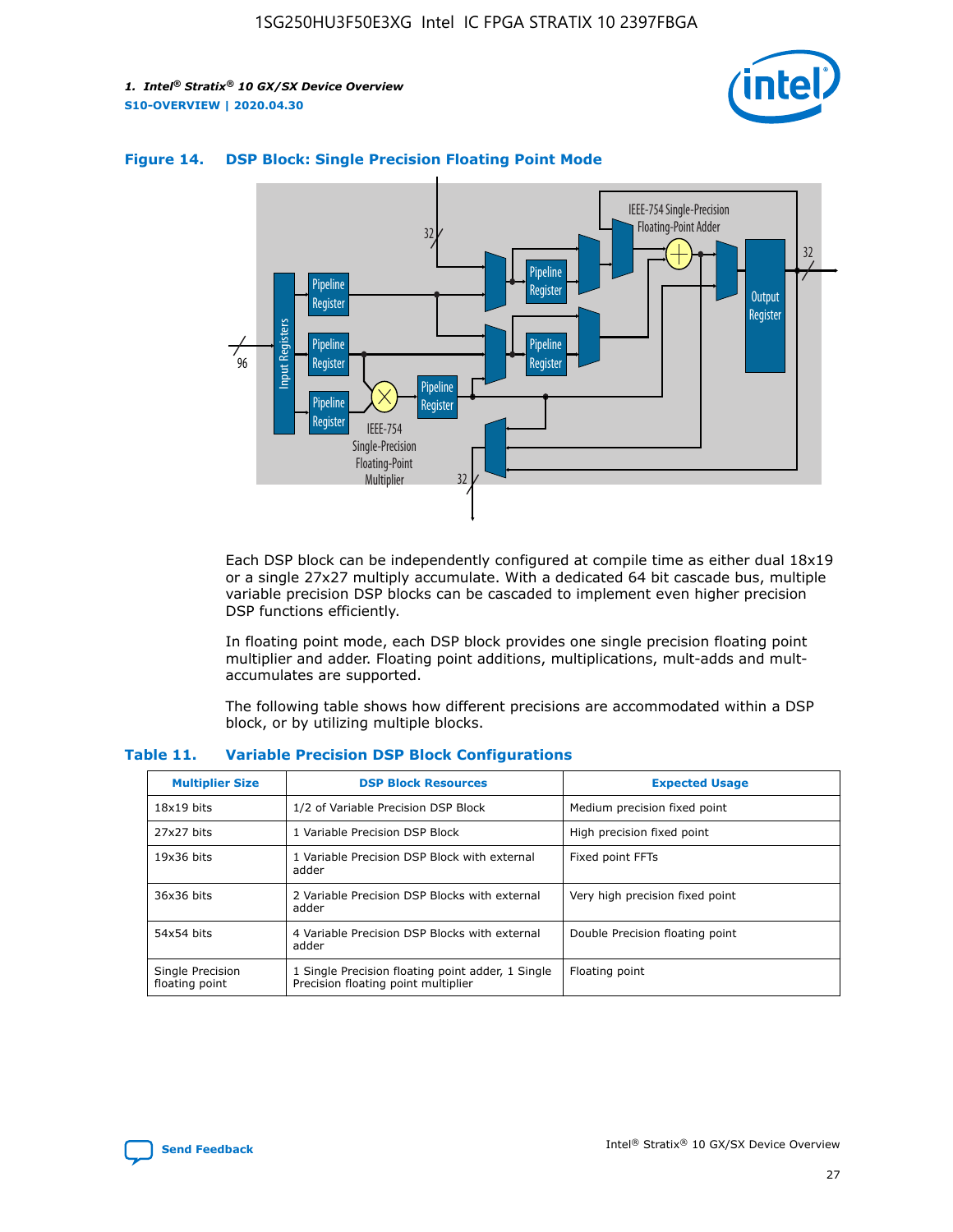



#### **Figure 14. DSP Block: Single Precision Floating Point Mode**

Each DSP block can be independently configured at compile time as either dual 18x19 or a single 27x27 multiply accumulate. With a dedicated 64 bit cascade bus, multiple variable precision DSP blocks can be cascaded to implement even higher precision DSP functions efficiently.

In floating point mode, each DSP block provides one single precision floating point multiplier and adder. Floating point additions, multiplications, mult-adds and multaccumulates are supported.

The following table shows how different precisions are accommodated within a DSP block, or by utilizing multiple blocks.

| <b>Multiplier Size</b>             | <b>DSP Block Resources</b>                                                               | <b>Expected Usage</b>           |
|------------------------------------|------------------------------------------------------------------------------------------|---------------------------------|
| $18x19$ bits                       | 1/2 of Variable Precision DSP Block                                                      | Medium precision fixed point    |
| 27x27 bits                         | 1 Variable Precision DSP Block                                                           | High precision fixed point      |
| $19x36$ bits                       | 1 Variable Precision DSP Block with external<br>adder                                    | Fixed point FFTs                |
| 36x36 bits                         | 2 Variable Precision DSP Blocks with external<br>adder                                   | Very high precision fixed point |
| 54x54 bits                         | 4 Variable Precision DSP Blocks with external<br>adder                                   | Double Precision floating point |
| Single Precision<br>floating point | 1 Single Precision floating point adder, 1 Single<br>Precision floating point multiplier | Floating point                  |

#### **Table 11. Variable Precision DSP Block Configurations**

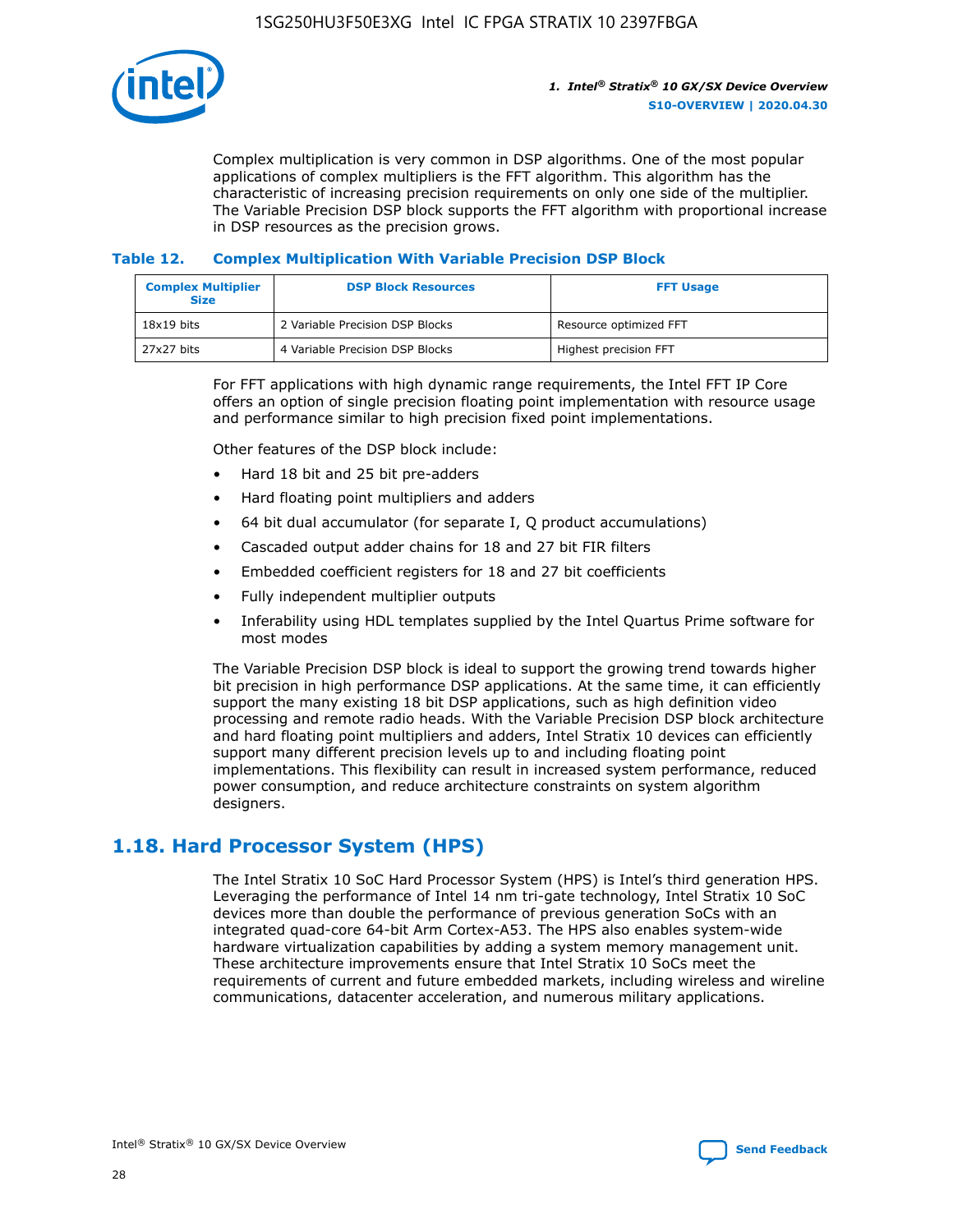

Complex multiplication is very common in DSP algorithms. One of the most popular applications of complex multipliers is the FFT algorithm. This algorithm has the characteristic of increasing precision requirements on only one side of the multiplier. The Variable Precision DSP block supports the FFT algorithm with proportional increase in DSP resources as the precision grows.

#### **Table 12. Complex Multiplication With Variable Precision DSP Block**

| <b>Complex Multiplier</b><br><b>Size</b> | <b>DSP Block Resources</b>      | <b>FFT Usage</b>       |  |
|------------------------------------------|---------------------------------|------------------------|--|
| $18x19$ bits                             | 2 Variable Precision DSP Blocks | Resource optimized FFT |  |
| 27x27 bits                               | 4 Variable Precision DSP Blocks | Highest precision FFT  |  |

For FFT applications with high dynamic range requirements, the Intel FFT IP Core offers an option of single precision floating point implementation with resource usage and performance similar to high precision fixed point implementations.

Other features of the DSP block include:

- Hard 18 bit and 25 bit pre-adders
- Hard floating point multipliers and adders
- 64 bit dual accumulator (for separate I, Q product accumulations)
- Cascaded output adder chains for 18 and 27 bit FIR filters
- Embedded coefficient registers for 18 and 27 bit coefficients
- Fully independent multiplier outputs
- Inferability using HDL templates supplied by the Intel Quartus Prime software for most modes

The Variable Precision DSP block is ideal to support the growing trend towards higher bit precision in high performance DSP applications. At the same time, it can efficiently support the many existing 18 bit DSP applications, such as high definition video processing and remote radio heads. With the Variable Precision DSP block architecture and hard floating point multipliers and adders, Intel Stratix 10 devices can efficiently support many different precision levels up to and including floating point implementations. This flexibility can result in increased system performance, reduced power consumption, and reduce architecture constraints on system algorithm designers.

# **1.18. Hard Processor System (HPS)**

The Intel Stratix 10 SoC Hard Processor System (HPS) is Intel's third generation HPS. Leveraging the performance of Intel 14 nm tri-gate technology, Intel Stratix 10 SoC devices more than double the performance of previous generation SoCs with an integrated quad-core 64-bit Arm Cortex-A53. The HPS also enables system-wide hardware virtualization capabilities by adding a system memory management unit. These architecture improvements ensure that Intel Stratix 10 SoCs meet the requirements of current and future embedded markets, including wireless and wireline communications, datacenter acceleration, and numerous military applications.

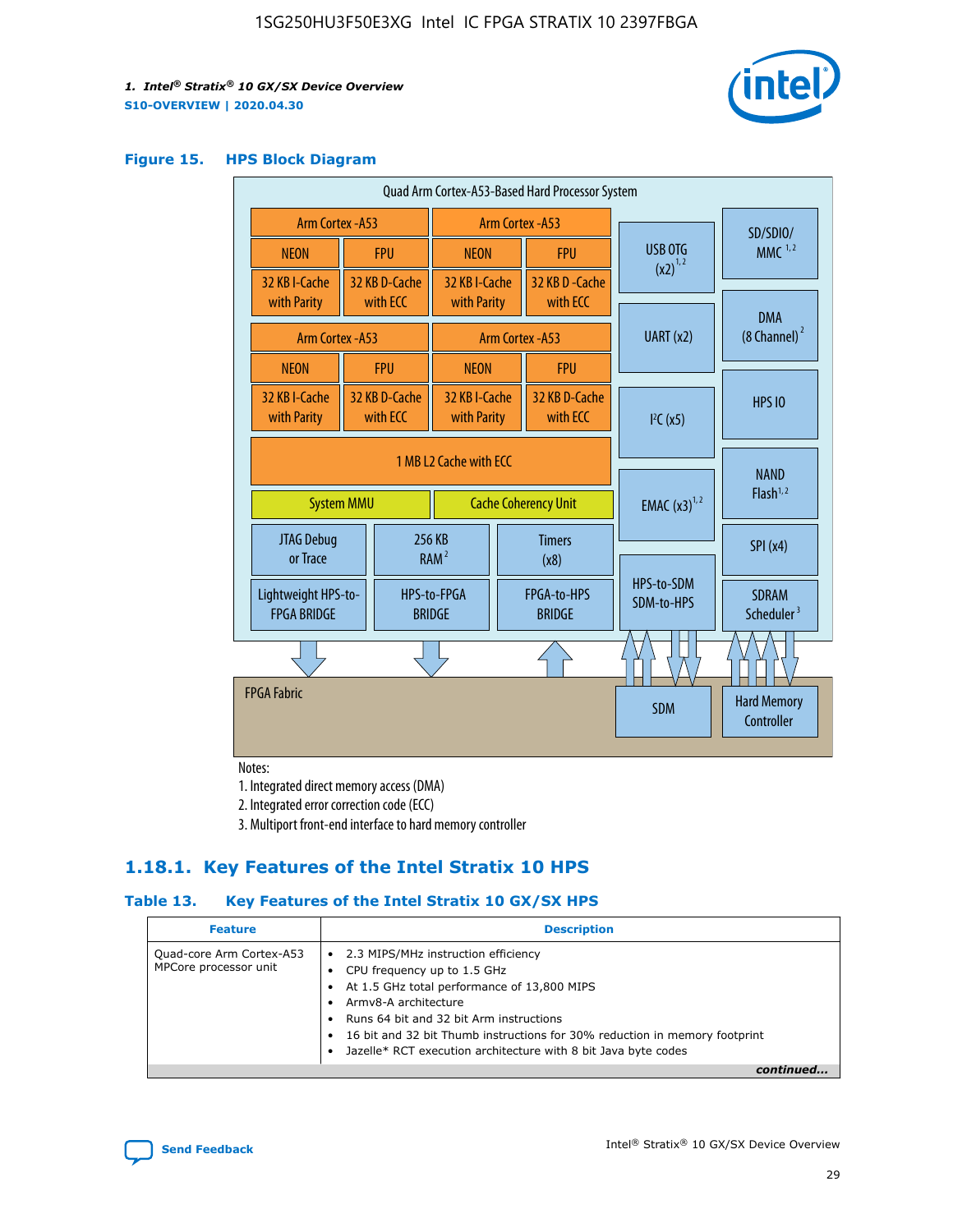

#### **Figure 15. HPS Block Diagram**

| Quad Arm Cortex-A53-Based Hard Processor System |  |                           |                              |                             |                              |           |                          |                                        |                                     |
|-------------------------------------------------|--|---------------------------|------------------------------|-----------------------------|------------------------------|-----------|--------------------------|----------------------------------------|-------------------------------------|
| <b>Arm Cortex - A53</b>                         |  |                           | Arm Cortex - A53             |                             |                              |           | SD/SDIO/                 |                                        |                                     |
| <b>NEON</b>                                     |  | <b>FPU</b>                | <b>NEON</b>                  |                             | <b>FPU</b>                   |           | USB OTG                  | $MMC$ <sup>1,2</sup>                   |                                     |
| 32 KB I-Cache                                   |  | 32 KB D-Cache             | 32 KB I-Cache                |                             | 32 KB D - Cache              |           | $(x2)^{1,2}$             |                                        |                                     |
| with Parity                                     |  | with ECC                  | with Parity                  |                             | with ECC                     |           |                          | <b>DMA</b>                             |                                     |
| Arm Cortex - A53                                |  |                           |                              |                             | Arm Cortex - A53             | UART (x2) |                          | $(8 \text{ Channel})^2$                |                                     |
| <b>NEON</b>                                     |  | <b>FPU</b>                | <b>NEON</b>                  |                             | <b>FPU</b>                   |           |                          |                                        |                                     |
| 32 KB I-Cache<br>with Parity                    |  | 32 KB D-Cache<br>with ECC | 32 KB I-Cache<br>with Parity |                             | 32 KB D-Cache<br>with ECC    |           | I <sup>2</sup> C(x5)     | <b>HPS 10</b>                          |                                     |
|                                                 |  |                           |                              |                             | 1 MB L2 Cache with ECC       |           |                          |                                        |                                     |
| <b>System MMU</b>                               |  |                           |                              | <b>Cache Coherency Unit</b> |                              |           |                          | <b>EMAC</b> $(x3)^{1,2}$               | <b>NAND</b><br>Flash <sup>1,2</sup> |
| JTAG Debug<br>or Trace                          |  |                           | 256 KB<br>RAM <sup>2</sup>   | <b>Timers</b><br>(x8)       |                              |           |                          | SPI(x4)                                |                                     |
| Lightweight HPS-to-<br><b>FPGA BRIDGE</b>       |  |                           | HPS-to-FPGA<br><b>BRIDGE</b> |                             | FPGA-to-HPS<br><b>BRIDGE</b> |           | HPS-to-SDM<br>SDM-to-HPS | <b>SDRAM</b><br>Scheduler <sup>3</sup> |                                     |
|                                                 |  |                           |                              |                             |                              |           |                          |                                        |                                     |
| <b>FPGA Fabric</b>                              |  |                           |                              |                             |                              |           | <b>SDM</b>               | <b>Hard Memory</b><br>Controller       |                                     |
|                                                 |  |                           |                              |                             |                              |           |                          |                                        |                                     |

Notes:

1. Integrated direct memory access (DMA)

2. Integrated error correction code (ECC)

3. Multiport front-end interface to hard memory controller

### **1.18.1. Key Features of the Intel Stratix 10 HPS**

#### **Table 13. Key Features of the Intel Stratix 10 GX/SX HPS**

| <b>Feature</b>                                    | <b>Description</b>                                                                                                                                                                                                                                                                                                                     |
|---------------------------------------------------|----------------------------------------------------------------------------------------------------------------------------------------------------------------------------------------------------------------------------------------------------------------------------------------------------------------------------------------|
| Quad-core Arm Cortex-A53<br>MPCore processor unit | • 2.3 MIPS/MHz instruction efficiency<br>CPU frequency up to 1.5 GHz<br>At 1.5 GHz total performance of 13,800 MIPS<br>Army8-A architecture<br>Runs 64 bit and 32 bit Arm instructions<br>16 bit and 32 bit Thumb instructions for 30% reduction in memory footprint<br>Jazelle* RCT execution architecture with 8 bit Java byte codes |
|                                                   |                                                                                                                                                                                                                                                                                                                                        |

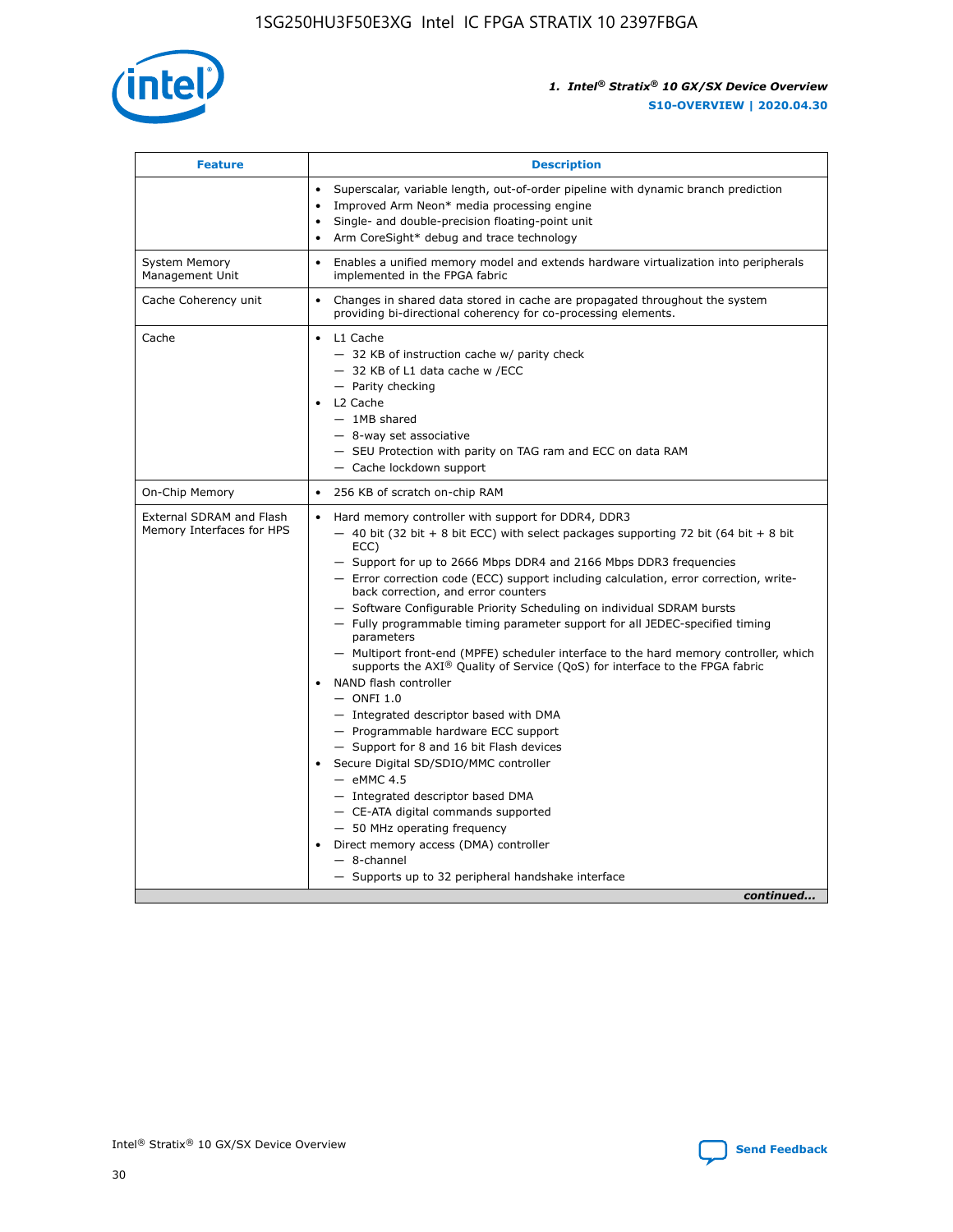

| <b>Feature</b>                                        | <b>Description</b>                                                                                                                                                                                                                                                                                                                                                                                                                                                                                                                                                                                                                                                                                                                                                                                                                                                                                                                                                                                                                                                                                                                                                                                                     |  |
|-------------------------------------------------------|------------------------------------------------------------------------------------------------------------------------------------------------------------------------------------------------------------------------------------------------------------------------------------------------------------------------------------------------------------------------------------------------------------------------------------------------------------------------------------------------------------------------------------------------------------------------------------------------------------------------------------------------------------------------------------------------------------------------------------------------------------------------------------------------------------------------------------------------------------------------------------------------------------------------------------------------------------------------------------------------------------------------------------------------------------------------------------------------------------------------------------------------------------------------------------------------------------------------|--|
|                                                       | Superscalar, variable length, out-of-order pipeline with dynamic branch prediction<br>Improved Arm Neon* media processing engine<br>$\bullet$<br>Single- and double-precision floating-point unit<br>Arm CoreSight* debug and trace technology<br>$\bullet$                                                                                                                                                                                                                                                                                                                                                                                                                                                                                                                                                                                                                                                                                                                                                                                                                                                                                                                                                            |  |
| <b>System Memory</b><br>Management Unit               | Enables a unified memory model and extends hardware virtualization into peripherals<br>$\bullet$<br>implemented in the FPGA fabric                                                                                                                                                                                                                                                                                                                                                                                                                                                                                                                                                                                                                                                                                                                                                                                                                                                                                                                                                                                                                                                                                     |  |
| Cache Coherency unit                                  | $\bullet$<br>Changes in shared data stored in cache are propagated throughout the system<br>providing bi-directional coherency for co-processing elements.                                                                                                                                                                                                                                                                                                                                                                                                                                                                                                                                                                                                                                                                                                                                                                                                                                                                                                                                                                                                                                                             |  |
| Cache                                                 | L1 Cache<br>$\bullet$<br>- 32 KB of instruction cache w/ parity check<br>- 32 KB of L1 data cache w /ECC<br>- Parity checking<br>L2 Cache<br>$-$ 1MB shared<br>- 8-way set associative<br>- SEU Protection with parity on TAG ram and ECC on data RAM<br>- Cache lockdown support                                                                                                                                                                                                                                                                                                                                                                                                                                                                                                                                                                                                                                                                                                                                                                                                                                                                                                                                      |  |
| On-Chip Memory                                        | 256 KB of scratch on-chip RAM<br>$\bullet$                                                                                                                                                                                                                                                                                                                                                                                                                                                                                                                                                                                                                                                                                                                                                                                                                                                                                                                                                                                                                                                                                                                                                                             |  |
| External SDRAM and Flash<br>Memory Interfaces for HPS | Hard memory controller with support for DDR4, DDR3<br>$\bullet$<br>$-$ 40 bit (32 bit + 8 bit ECC) with select packages supporting 72 bit (64 bit + 8 bit<br>ECC)<br>- Support for up to 2666 Mbps DDR4 and 2166 Mbps DDR3 frequencies<br>- Error correction code (ECC) support including calculation, error correction, write-<br>back correction, and error counters<br>- Software Configurable Priority Scheduling on individual SDRAM bursts<br>- Fully programmable timing parameter support for all JEDEC-specified timing<br>parameters<br>- Multiport front-end (MPFE) scheduler interface to the hard memory controller, which<br>supports the $AXI^{\circledR}$ Quality of Service (QoS) for interface to the FPGA fabric<br>NAND flash controller<br>$-$ ONFI 1.0<br>- Integrated descriptor based with DMA<br>- Programmable hardware ECC support<br>- Support for 8 and 16 bit Flash devices<br>Secure Digital SD/SDIO/MMC controller<br>$-$ eMMC 4.5<br>- Integrated descriptor based DMA<br>- CE-ATA digital commands supported<br>- 50 MHz operating frequency<br>Direct memory access (DMA) controller<br>$\bullet$<br>- 8-channel<br>- Supports up to 32 peripheral handshake interface<br>continued |  |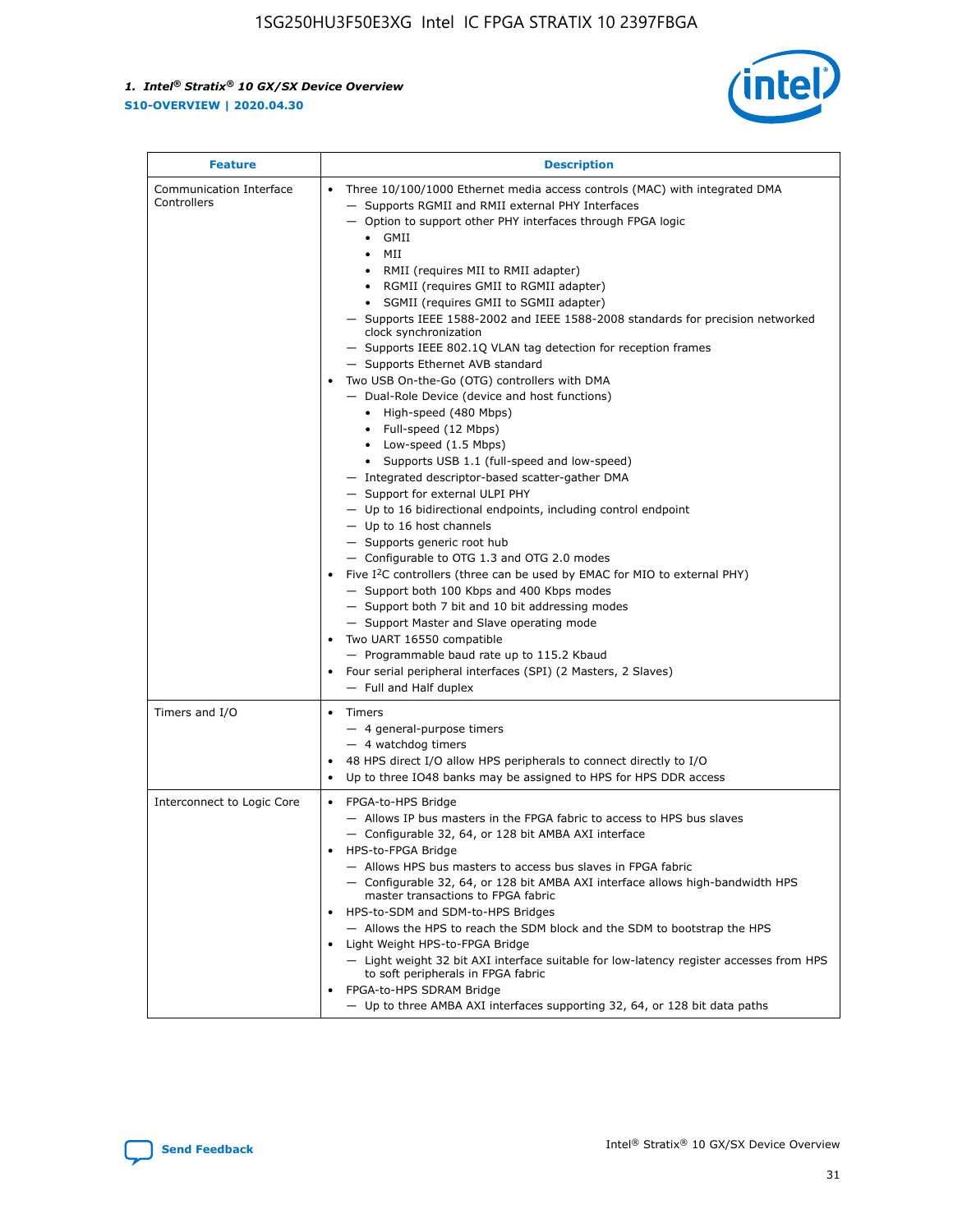

| <b>Feature</b>                         | <b>Description</b>                                                                                                                                                                                                                                                                                                                                                                                                                                                                                                                                                                                                                                                                                                                                                                                                                                                                                                                                                                                                                                                                                                                                                                                                                                                                                                                                                                                                                                                                                                  |  |
|----------------------------------------|---------------------------------------------------------------------------------------------------------------------------------------------------------------------------------------------------------------------------------------------------------------------------------------------------------------------------------------------------------------------------------------------------------------------------------------------------------------------------------------------------------------------------------------------------------------------------------------------------------------------------------------------------------------------------------------------------------------------------------------------------------------------------------------------------------------------------------------------------------------------------------------------------------------------------------------------------------------------------------------------------------------------------------------------------------------------------------------------------------------------------------------------------------------------------------------------------------------------------------------------------------------------------------------------------------------------------------------------------------------------------------------------------------------------------------------------------------------------------------------------------------------------|--|
| Communication Interface<br>Controllers | Three 10/100/1000 Ethernet media access controls (MAC) with integrated DMA<br>$\bullet$<br>- Supports RGMII and RMII external PHY Interfaces<br>- Option to support other PHY interfaces through FPGA logic<br>GMII<br>$\bullet$<br>MII<br>$\bullet$<br>• RMII (requires MII to RMII adapter)<br>• RGMII (requires GMII to RGMII adapter)<br>• SGMII (requires GMII to SGMII adapter)<br>- Supports IEEE 1588-2002 and IEEE 1588-2008 standards for precision networked<br>clock synchronization<br>- Supports IEEE 802.1Q VLAN tag detection for reception frames<br>- Supports Ethernet AVB standard<br>Two USB On-the-Go (OTG) controllers with DMA<br>- Dual-Role Device (device and host functions)<br>• High-speed (480 Mbps)<br>• Full-speed (12 Mbps)<br>• Low-speed (1.5 Mbps)<br>• Supports USB 1.1 (full-speed and low-speed)<br>- Integrated descriptor-based scatter-gather DMA<br>- Support for external ULPI PHY<br>- Up to 16 bidirectional endpoints, including control endpoint<br>$-$ Up to 16 host channels<br>- Supports generic root hub<br>- Configurable to OTG 1.3 and OTG 2.0 modes<br>Five $I^2C$ controllers (three can be used by EMAC for MIO to external PHY)<br>- Support both 100 Kbps and 400 Kbps modes<br>- Support both 7 bit and 10 bit addressing modes<br>- Support Master and Slave operating mode<br>Two UART 16550 compatible<br>- Programmable baud rate up to 115.2 Kbaud<br>• Four serial peripheral interfaces (SPI) (2 Masters, 2 Slaves)<br>- Full and Half duplex |  |
| Timers and I/O                         | $\bullet$ Timers<br>- 4 general-purpose timers<br>$-4$ watchdog timers<br>48 HPS direct I/O allow HPS peripherals to connect directly to I/O<br>Up to three IO48 banks may be assigned to HPS for HPS DDR access                                                                                                                                                                                                                                                                                                                                                                                                                                                                                                                                                                                                                                                                                                                                                                                                                                                                                                                                                                                                                                                                                                                                                                                                                                                                                                    |  |
| Interconnect to Logic Core             | • FPGA-to-HPS Bridge<br>- Allows IP bus masters in the FPGA fabric to access to HPS bus slaves<br>- Configurable 32, 64, or 128 bit AMBA AXI interface<br>HPS-to-FPGA Bridge<br>- Allows HPS bus masters to access bus slaves in FPGA fabric<br>- Configurable 32, 64, or 128 bit AMBA AXI interface allows high-bandwidth HPS<br>master transactions to FPGA fabric<br>HPS-to-SDM and SDM-to-HPS Bridges<br>- Allows the HPS to reach the SDM block and the SDM to bootstrap the HPS<br>Light Weight HPS-to-FPGA Bridge<br>- Light weight 32 bit AXI interface suitable for low-latency register accesses from HPS<br>to soft peripherals in FPGA fabric<br>FPGA-to-HPS SDRAM Bridge<br>- Up to three AMBA AXI interfaces supporting 32, 64, or 128 bit data paths                                                                                                                                                                                                                                                                                                                                                                                                                                                                                                                                                                                                                                                                                                                                                 |  |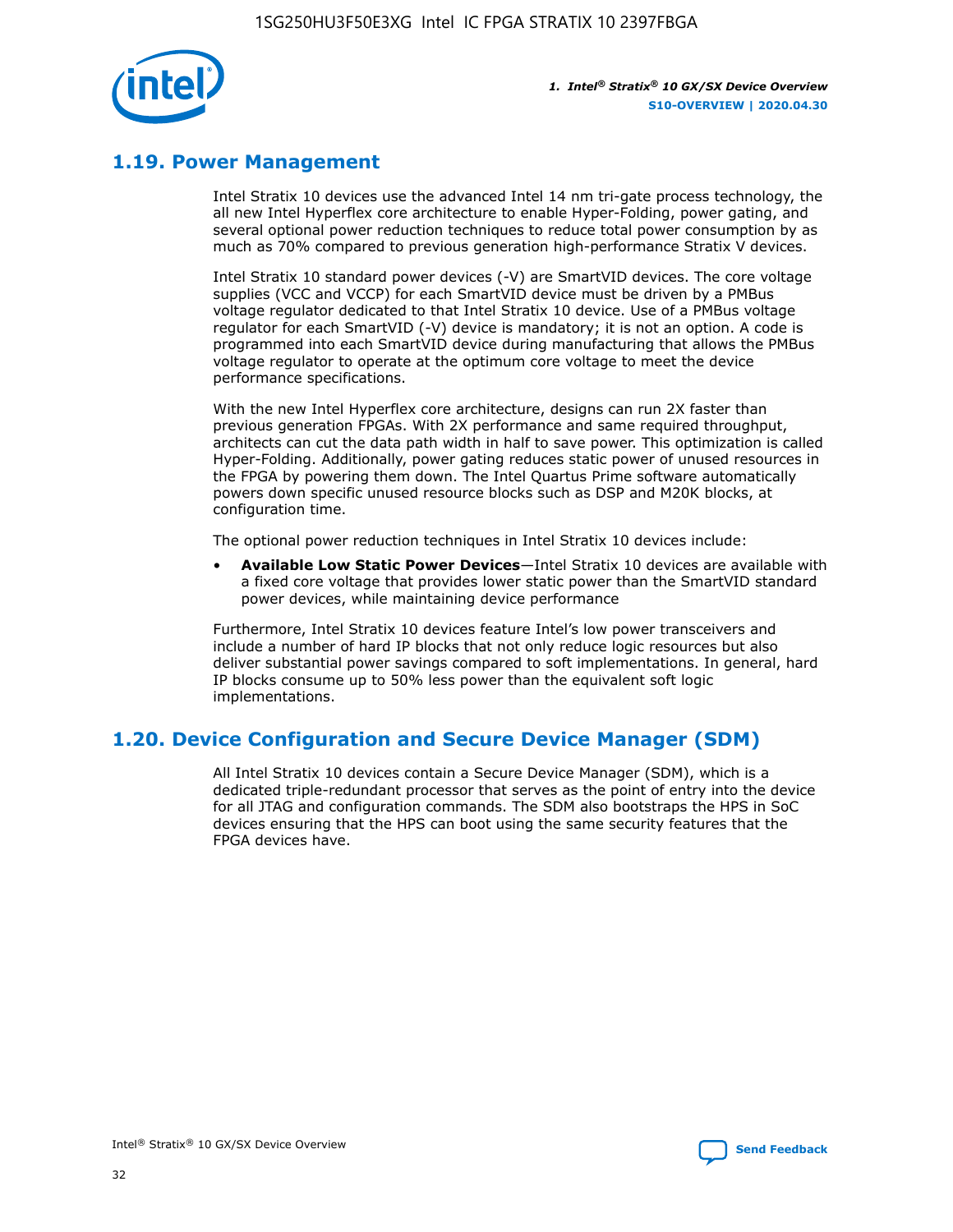

# **1.19. Power Management**

Intel Stratix 10 devices use the advanced Intel 14 nm tri-gate process technology, the all new Intel Hyperflex core architecture to enable Hyper-Folding, power gating, and several optional power reduction techniques to reduce total power consumption by as much as 70% compared to previous generation high-performance Stratix V devices.

Intel Stratix 10 standard power devices (-V) are SmartVID devices. The core voltage supplies (VCC and VCCP) for each SmartVID device must be driven by a PMBus voltage regulator dedicated to that Intel Stratix 10 device. Use of a PMBus voltage regulator for each SmartVID (-V) device is mandatory; it is not an option. A code is programmed into each SmartVID device during manufacturing that allows the PMBus voltage regulator to operate at the optimum core voltage to meet the device performance specifications.

With the new Intel Hyperflex core architecture, designs can run 2X faster than previous generation FPGAs. With 2X performance and same required throughput, architects can cut the data path width in half to save power. This optimization is called Hyper-Folding. Additionally, power gating reduces static power of unused resources in the FPGA by powering them down. The Intel Quartus Prime software automatically powers down specific unused resource blocks such as DSP and M20K blocks, at configuration time.

The optional power reduction techniques in Intel Stratix 10 devices include:

• **Available Low Static Power Devices**—Intel Stratix 10 devices are available with a fixed core voltage that provides lower static power than the SmartVID standard power devices, while maintaining device performance

Furthermore, Intel Stratix 10 devices feature Intel's low power transceivers and include a number of hard IP blocks that not only reduce logic resources but also deliver substantial power savings compared to soft implementations. In general, hard IP blocks consume up to 50% less power than the equivalent soft logic implementations.

# **1.20. Device Configuration and Secure Device Manager (SDM)**

All Intel Stratix 10 devices contain a Secure Device Manager (SDM), which is a dedicated triple-redundant processor that serves as the point of entry into the device for all JTAG and configuration commands. The SDM also bootstraps the HPS in SoC devices ensuring that the HPS can boot using the same security features that the FPGA devices have.

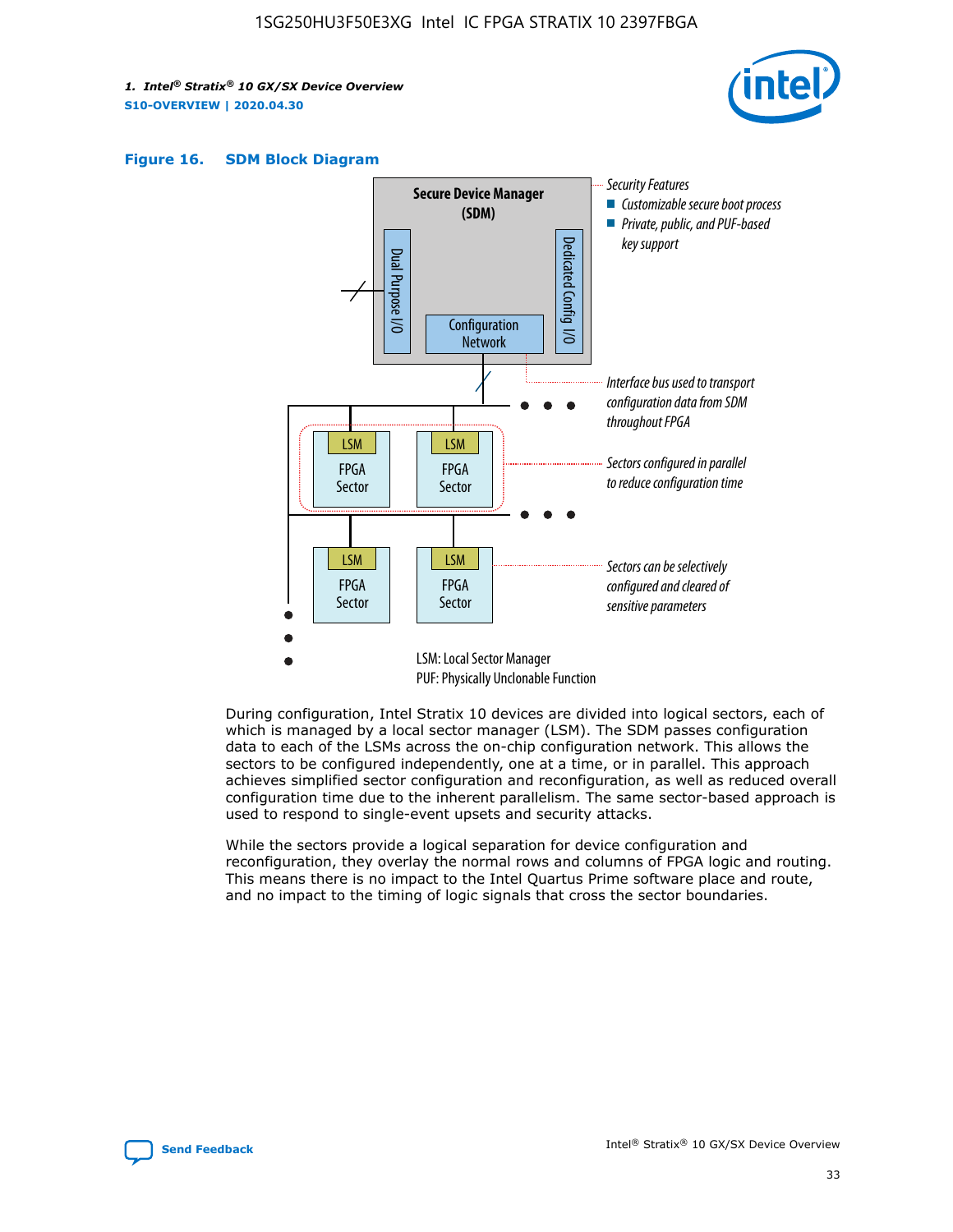





During configuration, Intel Stratix 10 devices are divided into logical sectors, each of which is managed by a local sector manager (LSM). The SDM passes configuration data to each of the LSMs across the on-chip configuration network. This allows the sectors to be configured independently, one at a time, or in parallel. This approach achieves simplified sector configuration and reconfiguration, as well as reduced overall configuration time due to the inherent parallelism. The same sector-based approach is used to respond to single-event upsets and security attacks.

While the sectors provide a logical separation for device configuration and reconfiguration, they overlay the normal rows and columns of FPGA logic and routing. This means there is no impact to the Intel Quartus Prime software place and route, and no impact to the timing of logic signals that cross the sector boundaries.

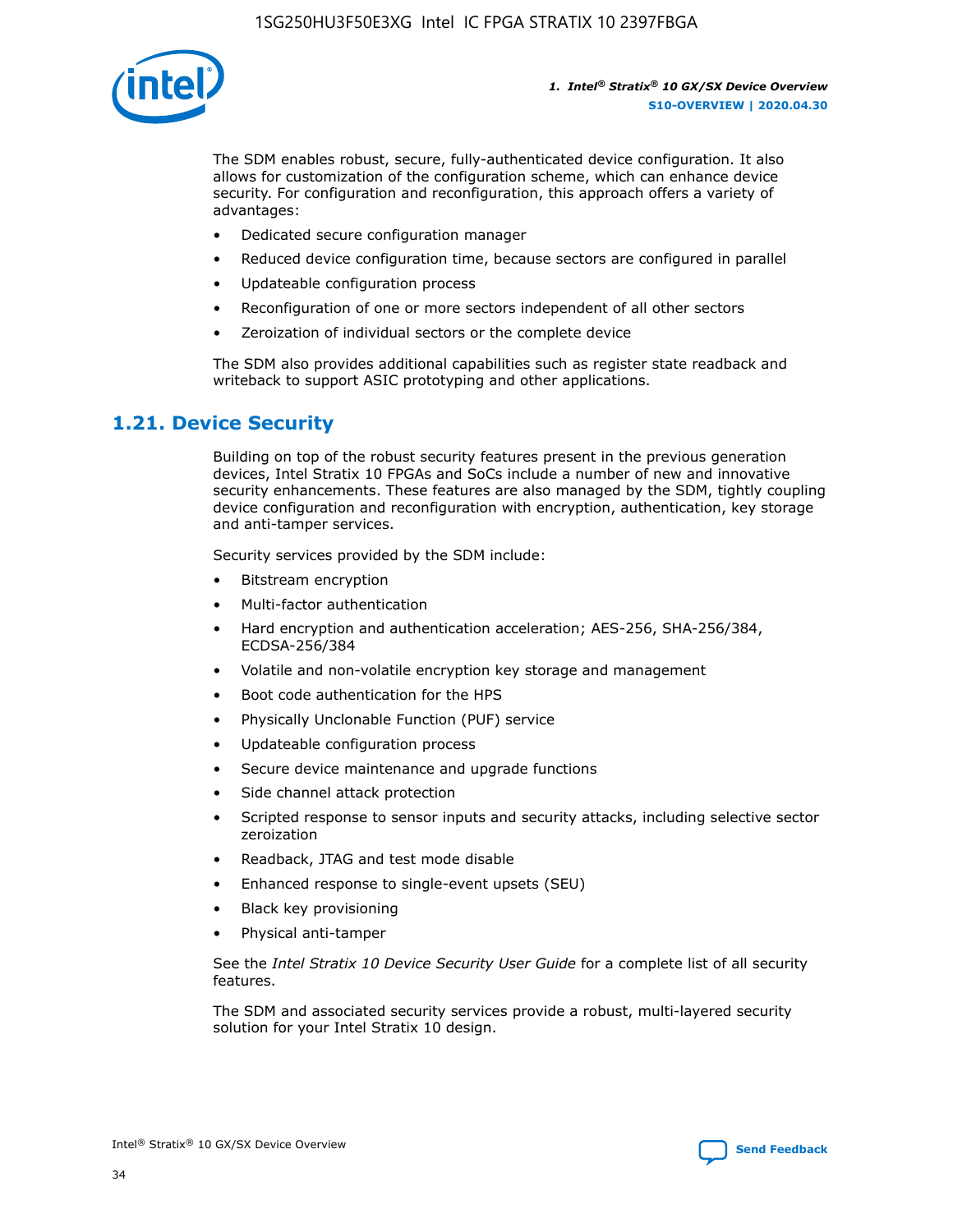

The SDM enables robust, secure, fully-authenticated device configuration. It also allows for customization of the configuration scheme, which can enhance device security. For configuration and reconfiguration, this approach offers a variety of advantages:

- Dedicated secure configuration manager
- Reduced device configuration time, because sectors are configured in parallel
- Updateable configuration process
- Reconfiguration of one or more sectors independent of all other sectors
- Zeroization of individual sectors or the complete device

The SDM also provides additional capabilities such as register state readback and writeback to support ASIC prototyping and other applications.

### **1.21. Device Security**

Building on top of the robust security features present in the previous generation devices, Intel Stratix 10 FPGAs and SoCs include a number of new and innovative security enhancements. These features are also managed by the SDM, tightly coupling device configuration and reconfiguration with encryption, authentication, key storage and anti-tamper services.

Security services provided by the SDM include:

- Bitstream encryption
- Multi-factor authentication
- Hard encryption and authentication acceleration; AES-256, SHA-256/384, ECDSA-256/384
- Volatile and non-volatile encryption key storage and management
- Boot code authentication for the HPS
- Physically Unclonable Function (PUF) service
- Updateable configuration process
- Secure device maintenance and upgrade functions
- Side channel attack protection
- Scripted response to sensor inputs and security attacks, including selective sector zeroization
- Readback, JTAG and test mode disable
- Enhanced response to single-event upsets (SEU)
- Black key provisioning
- Physical anti-tamper

See the *Intel Stratix 10 Device Security User Guide* for a complete list of all security features.

The SDM and associated security services provide a robust, multi-layered security solution for your Intel Stratix 10 design.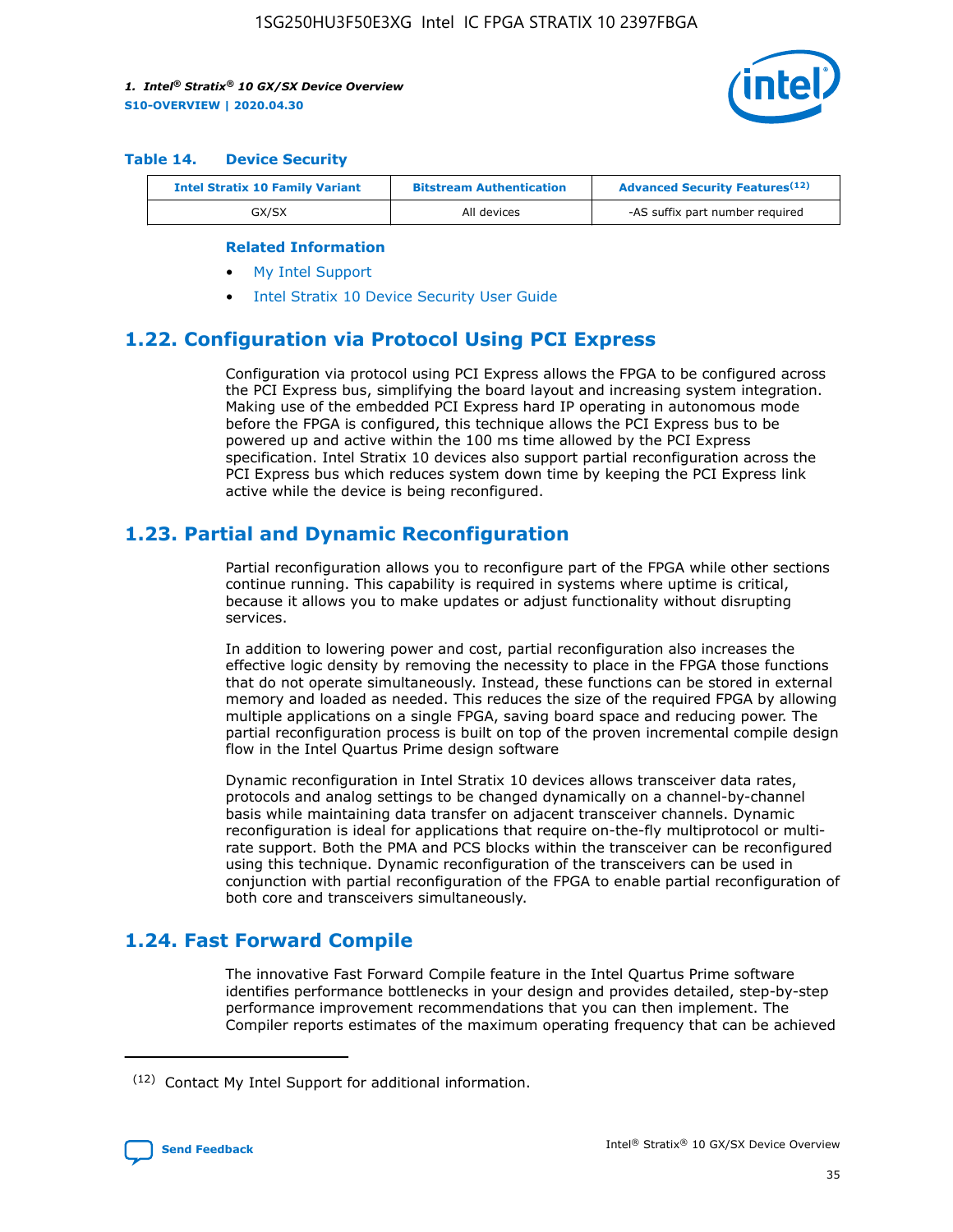

#### **Table 14. Device Security**

| <b>Intel Stratix 10 Family Variant</b> | <b>Bitstream Authentication</b> | <b>Advanced Security Features</b> <sup>(12)</sup> |  |  |
|----------------------------------------|---------------------------------|---------------------------------------------------|--|--|
| GX/SX                                  | All devices                     | -AS suffix part number required                   |  |  |

#### **Related Information**

- [My Intel Support](https://www.intel.com/content/www/us/en/programmable/my-intel/mal-home.html)
- [Intel Stratix 10 Device Security User Guide](https://www.intel.com/content/www/us/en/programmable/documentation/ndq1483601370898.html#wcd1483611014402)

# **1.22. Configuration via Protocol Using PCI Express**

Configuration via protocol using PCI Express allows the FPGA to be configured across the PCI Express bus, simplifying the board layout and increasing system integration. Making use of the embedded PCI Express hard IP operating in autonomous mode before the FPGA is configured, this technique allows the PCI Express bus to be powered up and active within the 100 ms time allowed by the PCI Express specification. Intel Stratix 10 devices also support partial reconfiguration across the PCI Express bus which reduces system down time by keeping the PCI Express link active while the device is being reconfigured.

# **1.23. Partial and Dynamic Reconfiguration**

Partial reconfiguration allows you to reconfigure part of the FPGA while other sections continue running. This capability is required in systems where uptime is critical, because it allows you to make updates or adjust functionality without disrupting services.

In addition to lowering power and cost, partial reconfiguration also increases the effective logic density by removing the necessity to place in the FPGA those functions that do not operate simultaneously. Instead, these functions can be stored in external memory and loaded as needed. This reduces the size of the required FPGA by allowing multiple applications on a single FPGA, saving board space and reducing power. The partial reconfiguration process is built on top of the proven incremental compile design flow in the Intel Quartus Prime design software

Dynamic reconfiguration in Intel Stratix 10 devices allows transceiver data rates, protocols and analog settings to be changed dynamically on a channel-by-channel basis while maintaining data transfer on adjacent transceiver channels. Dynamic reconfiguration is ideal for applications that require on-the-fly multiprotocol or multirate support. Both the PMA and PCS blocks within the transceiver can be reconfigured using this technique. Dynamic reconfiguration of the transceivers can be used in conjunction with partial reconfiguration of the FPGA to enable partial reconfiguration of both core and transceivers simultaneously.

# **1.24. Fast Forward Compile**

The innovative Fast Forward Compile feature in the Intel Quartus Prime software identifies performance bottlenecks in your design and provides detailed, step-by-step performance improvement recommendations that you can then implement. The Compiler reports estimates of the maximum operating frequency that can be achieved

<sup>(12)</sup> Contact My Intel Support for additional information.

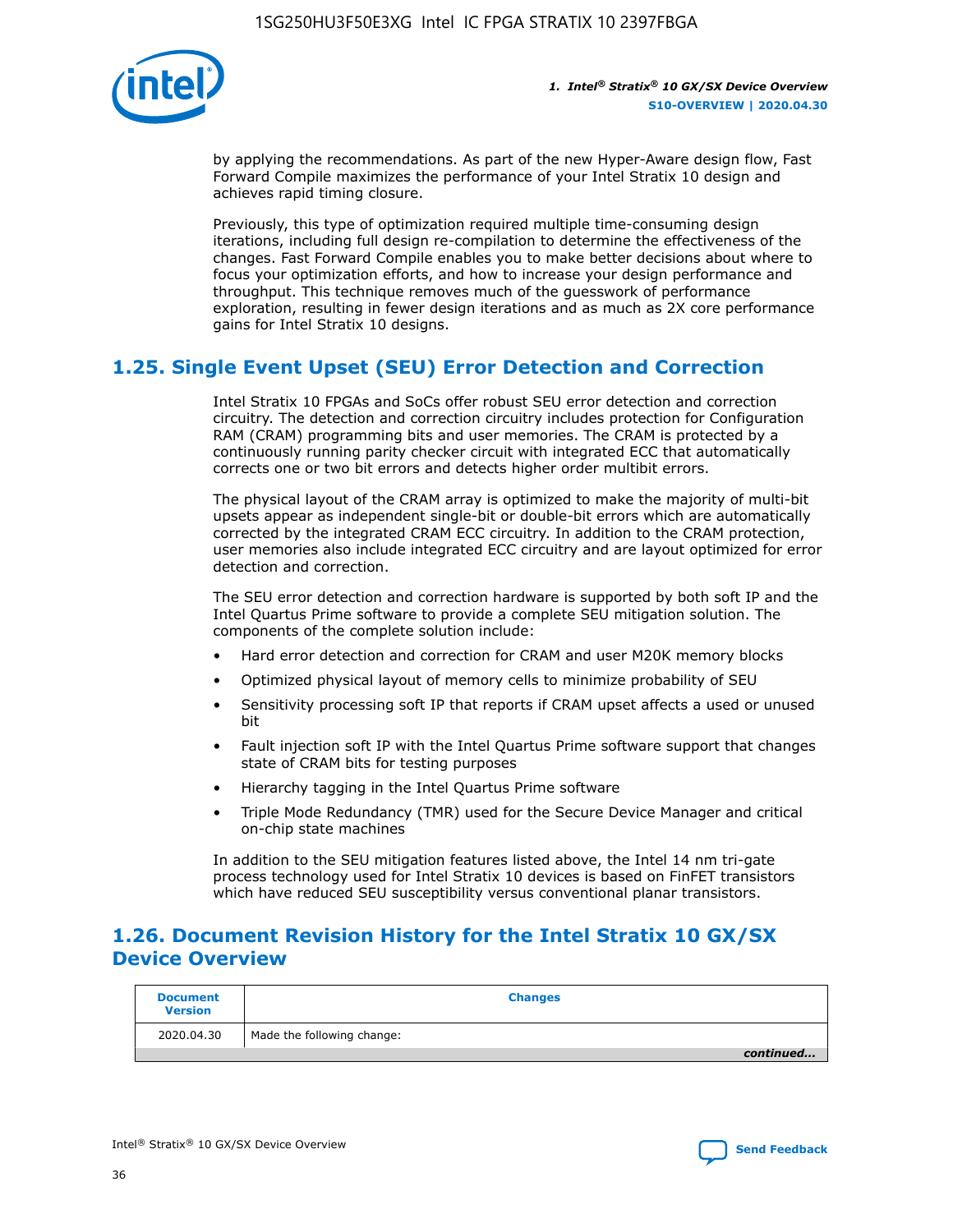

by applying the recommendations. As part of the new Hyper-Aware design flow, Fast Forward Compile maximizes the performance of your Intel Stratix 10 design and achieves rapid timing closure.

Previously, this type of optimization required multiple time-consuming design iterations, including full design re-compilation to determine the effectiveness of the changes. Fast Forward Compile enables you to make better decisions about where to focus your optimization efforts, and how to increase your design performance and throughput. This technique removes much of the guesswork of performance exploration, resulting in fewer design iterations and as much as 2X core performance gains for Intel Stratix 10 designs.

# **1.25. Single Event Upset (SEU) Error Detection and Correction**

Intel Stratix 10 FPGAs and SoCs offer robust SEU error detection and correction circuitry. The detection and correction circuitry includes protection for Configuration RAM (CRAM) programming bits and user memories. The CRAM is protected by a continuously running parity checker circuit with integrated ECC that automatically corrects one or two bit errors and detects higher order multibit errors.

The physical layout of the CRAM array is optimized to make the majority of multi-bit upsets appear as independent single-bit or double-bit errors which are automatically corrected by the integrated CRAM ECC circuitry. In addition to the CRAM protection, user memories also include integrated ECC circuitry and are layout optimized for error detection and correction.

The SEU error detection and correction hardware is supported by both soft IP and the Intel Quartus Prime software to provide a complete SEU mitigation solution. The components of the complete solution include:

- Hard error detection and correction for CRAM and user M20K memory blocks
- Optimized physical layout of memory cells to minimize probability of SEU
- Sensitivity processing soft IP that reports if CRAM upset affects a used or unused bit
- Fault injection soft IP with the Intel Quartus Prime software support that changes state of CRAM bits for testing purposes
- Hierarchy tagging in the Intel Quartus Prime software
- Triple Mode Redundancy (TMR) used for the Secure Device Manager and critical on-chip state machines

In addition to the SEU mitigation features listed above, the Intel 14 nm tri-gate process technology used for Intel Stratix 10 devices is based on FinFET transistors which have reduced SEU susceptibility versus conventional planar transistors.

# **1.26. Document Revision History for the Intel Stratix 10 GX/SX Device Overview**

| <b>Document</b><br><b>Version</b> | <b>Changes</b>             |
|-----------------------------------|----------------------------|
| 2020.04.30                        | Made the following change: |
|                                   | continued                  |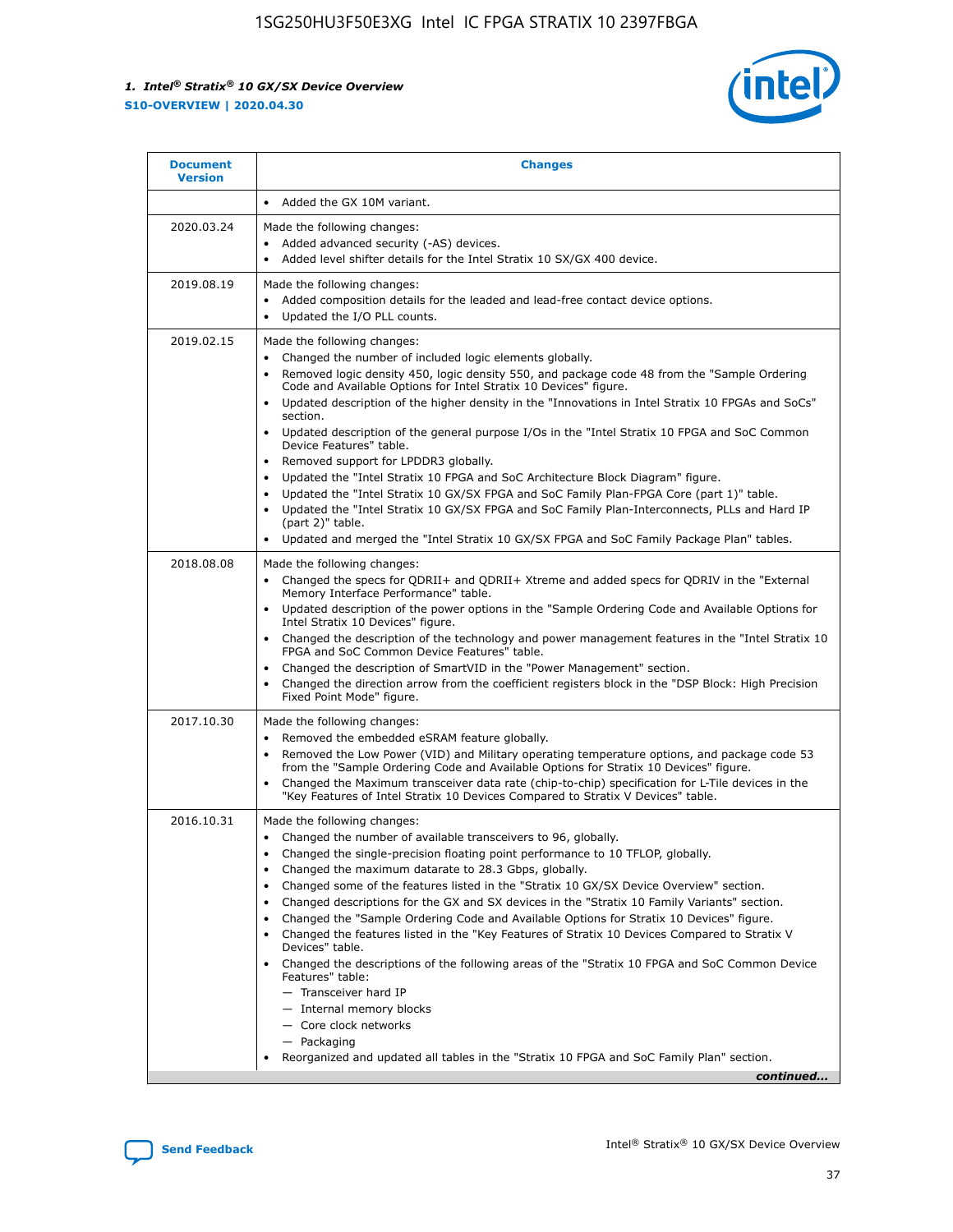

| • Added the GX 10M variant.<br>Made the following changes:<br>Added advanced security (-AS) devices.<br>$\bullet$<br>Added level shifter details for the Intel Stratix 10 SX/GX 400 device.<br>$\bullet$<br>Made the following changes:<br>Added composition details for the leaded and lead-free contact device options.                                                                                                                                                                                                                                                                                                                                                                                                                                                                                                                                                                                                                                                                                                     |
|-------------------------------------------------------------------------------------------------------------------------------------------------------------------------------------------------------------------------------------------------------------------------------------------------------------------------------------------------------------------------------------------------------------------------------------------------------------------------------------------------------------------------------------------------------------------------------------------------------------------------------------------------------------------------------------------------------------------------------------------------------------------------------------------------------------------------------------------------------------------------------------------------------------------------------------------------------------------------------------------------------------------------------|
|                                                                                                                                                                                                                                                                                                                                                                                                                                                                                                                                                                                                                                                                                                                                                                                                                                                                                                                                                                                                                               |
|                                                                                                                                                                                                                                                                                                                                                                                                                                                                                                                                                                                                                                                                                                                                                                                                                                                                                                                                                                                                                               |
| Updated the I/O PLL counts.<br>$\bullet$                                                                                                                                                                                                                                                                                                                                                                                                                                                                                                                                                                                                                                                                                                                                                                                                                                                                                                                                                                                      |
| Made the following changes:<br>Changed the number of included logic elements globally.<br>$\bullet$<br>Removed logic density 450, logic density 550, and package code 48 from the "Sample Ordering<br>$\bullet$<br>Code and Available Options for Intel Stratix 10 Devices" figure.<br>Updated description of the higher density in the "Innovations in Intel Stratix 10 FPGAs and SoCs"<br>section.<br>Updated description of the general purpose I/Os in the "Intel Stratix 10 FPGA and SoC Common<br>$\bullet$<br>Device Features" table.<br>Removed support for LPDDR3 globally.<br>٠<br>Updated the "Intel Stratix 10 FPGA and SoC Architecture Block Diagram" figure.<br>Updated the "Intel Stratix 10 GX/SX FPGA and SoC Family Plan-FPGA Core (part 1)" table.<br>$\bullet$<br>Updated the "Intel Stratix 10 GX/SX FPGA and SoC Family Plan-Interconnects, PLLs and Hard IP<br>$\bullet$<br>(part 2)" table.<br>Updated and merged the "Intel Stratix 10 GX/SX FPGA and SoC Family Package Plan" tables.<br>$\bullet$ |
| Made the following changes:<br>Changed the specs for ODRII+ and ODRII+ Xtreme and added specs for ODRIV in the "External<br>$\bullet$<br>Memory Interface Performance" table.<br>Updated description of the power options in the "Sample Ordering Code and Available Options for<br>Intel Stratix 10 Devices" figure.<br>Changed the description of the technology and power management features in the "Intel Stratix 10<br>FPGA and SoC Common Device Features" table.<br>Changed the description of SmartVID in the "Power Management" section.<br>Changed the direction arrow from the coefficient registers block in the "DSP Block: High Precision<br>Fixed Point Mode" figure.                                                                                                                                                                                                                                                                                                                                         |
| Made the following changes:<br>Removed the embedded eSRAM feature globally.<br>$\bullet$<br>Removed the Low Power (VID) and Military operating temperature options, and package code 53<br>$\bullet$<br>from the "Sample Ordering Code and Available Options for Stratix 10 Devices" figure.<br>Changed the Maximum transceiver data rate (chip-to-chip) specification for L-Tile devices in the<br>٠<br>"Key Features of Intel Stratix 10 Devices Compared to Stratix V Devices" table.                                                                                                                                                                                                                                                                                                                                                                                                                                                                                                                                      |
| Made the following changes:<br>• Changed the number of available transceivers to 96, globally.<br>Changed the single-precision floating point performance to 10 TFLOP, globally.<br>Changed the maximum datarate to 28.3 Gbps, globally.<br>Changed some of the features listed in the "Stratix 10 GX/SX Device Overview" section.<br>٠<br>Changed descriptions for the GX and SX devices in the "Stratix 10 Family Variants" section.<br>٠<br>Changed the "Sample Ordering Code and Available Options for Stratix 10 Devices" figure.<br>٠<br>Changed the features listed in the "Key Features of Stratix 10 Devices Compared to Stratix V<br>٠<br>Devices" table.<br>Changed the descriptions of the following areas of the "Stratix 10 FPGA and SoC Common Device<br>Features" table:<br>- Transceiver hard IP<br>- Internal memory blocks<br>- Core clock networks<br>- Packaging<br>Reorganized and updated all tables in the "Stratix 10 FPGA and SoC Family Plan" section.<br>continued                                |
|                                                                                                                                                                                                                                                                                                                                                                                                                                                                                                                                                                                                                                                                                                                                                                                                                                                                                                                                                                                                                               |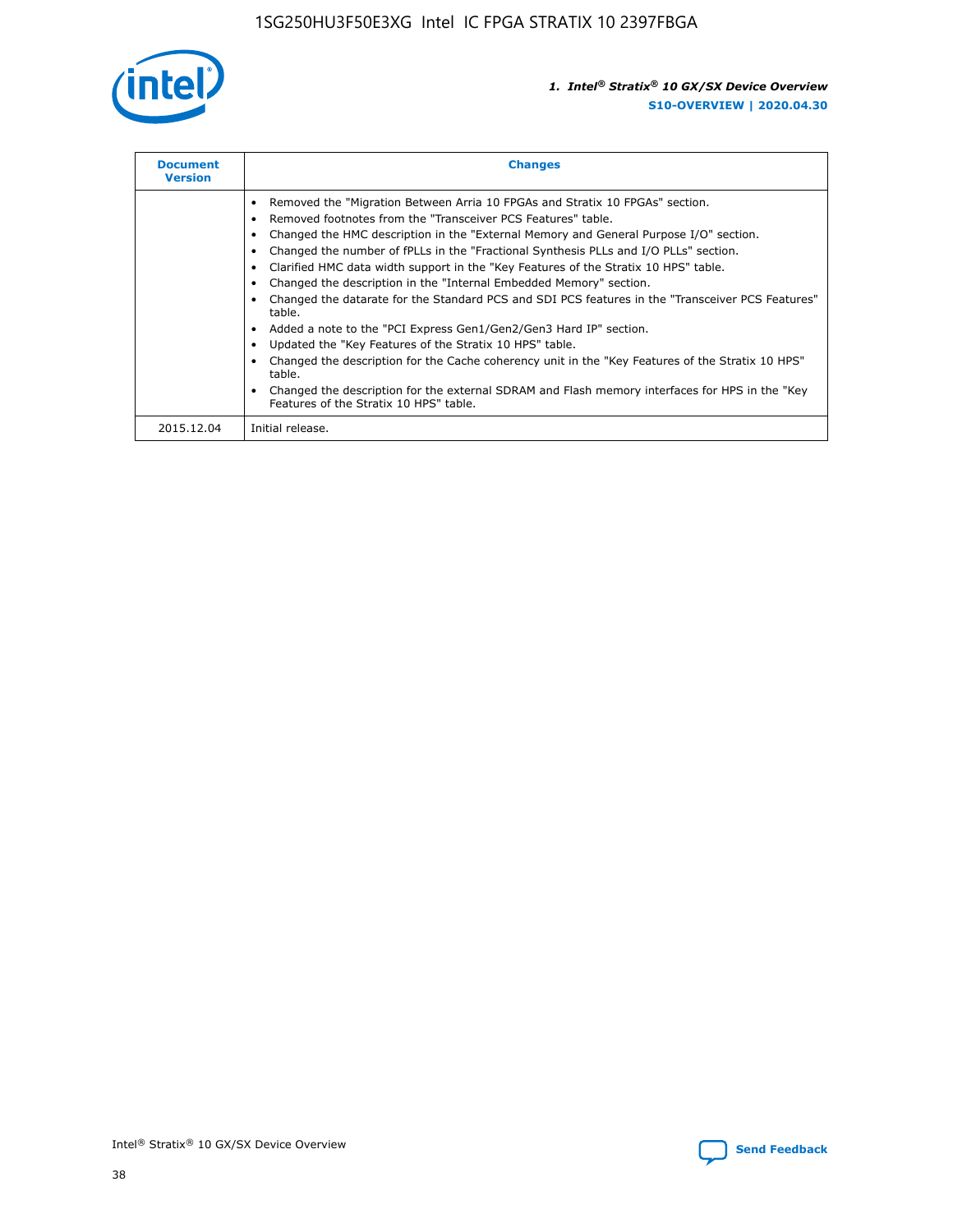

| <b>Document</b><br><b>Version</b> | <b>Changes</b>                                                                                                                                                                                                                                                                                                                                                                                                                                                                                                                                                                                                                                                                                                                                                                                                                                                                                                                                                                                     |
|-----------------------------------|----------------------------------------------------------------------------------------------------------------------------------------------------------------------------------------------------------------------------------------------------------------------------------------------------------------------------------------------------------------------------------------------------------------------------------------------------------------------------------------------------------------------------------------------------------------------------------------------------------------------------------------------------------------------------------------------------------------------------------------------------------------------------------------------------------------------------------------------------------------------------------------------------------------------------------------------------------------------------------------------------|
|                                   | Removed the "Migration Between Arria 10 FPGAs and Stratix 10 FPGAs" section.<br>Removed footnotes from the "Transceiver PCS Features" table.<br>Changed the HMC description in the "External Memory and General Purpose I/O" section.<br>Changed the number of fPLLs in the "Fractional Synthesis PLLs and I/O PLLs" section.<br>Clarified HMC data width support in the "Key Features of the Stratix 10 HPS" table.<br>Changed the description in the "Internal Embedded Memory" section.<br>Changed the datarate for the Standard PCS and SDI PCS features in the "Transceiver PCS Features"<br>table.<br>Added a note to the "PCI Express Gen1/Gen2/Gen3 Hard IP" section.<br>Updated the "Key Features of the Stratix 10 HPS" table.<br>Changed the description for the Cache coherency unit in the "Key Features of the Stratix 10 HPS"<br>table.<br>Changed the description for the external SDRAM and Flash memory interfaces for HPS in the "Key<br>Features of the Stratix 10 HPS" table. |
| 2015.12.04                        | Initial release.                                                                                                                                                                                                                                                                                                                                                                                                                                                                                                                                                                                                                                                                                                                                                                                                                                                                                                                                                                                   |